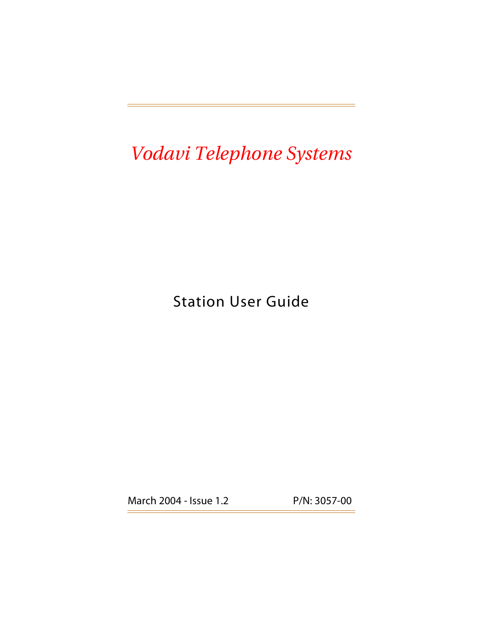## *Vodavi Telephone Systems*

## Station User Guide

March 2004 - Issue 1.2 P/N: 3057-00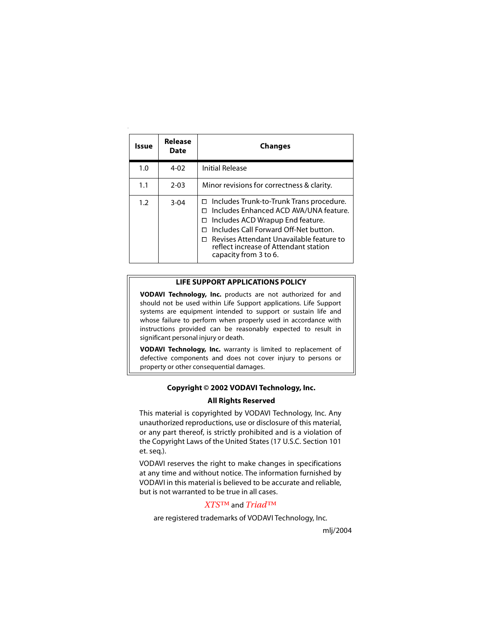| Issue | Release<br><b>Date</b> | <b>Changes</b>                                                                                                                                                                                                                                                                          |
|-------|------------------------|-----------------------------------------------------------------------------------------------------------------------------------------------------------------------------------------------------------------------------------------------------------------------------------------|
| 1.0   | $4 - 02$               | <b>Initial Release</b>                                                                                                                                                                                                                                                                  |
| 1.1   | $2 - 03$               | Minor revisions for correctness & clarity.                                                                                                                                                                                                                                              |
| 1.2   | $3 - 04$               | Includes Trunk-to-Trunk Trans procedure.<br>□<br>Includes Enhanced ACD AVA/UNA feature.<br>Includes ACD Wrapup End feature.<br>п<br>Includes Call Forward Off-Net button.<br>Revises Attendant Unavailable feature to<br>reflect increase of Attendant station<br>capacity from 3 to 6. |

#### **LIFE SUPPORT APPLICATIONS POLICY**

**VODAVI Technology, Inc.** products are not authorized for and should not be used within Life Support applications. Life Support systems are equipment intended to support or sustain life and whose failure to perform when properly used in accordance with instructions provided can be reasonably expected to result in significant personal injury or death.

**VODAVI Technology, Inc.** warranty is limited to replacement of defective components and does not cover injury to persons or property or other consequential damages.

#### **Copyright © 2002 VODAVI Technology, Inc.**

#### **All Rights Reserved**

This material is copyrighted by VODAVI Technology, Inc. Any unauthorized reproductions, use or disclosure of this material, or any part thereof, is strictly prohibited and is a violation of the Copyright Laws of the United States (17 U.S.C. Section 101 et. seq.).

VODAVI reserves the right to make changes in specifications at any time and without notice. The information furnished by VODAVI in this material is believed to be accurate and reliable, but is not warranted to be true in all cases.

#### *XTS™* and *Triad™*

are registered trademarks of VODAVI Technology, Inc.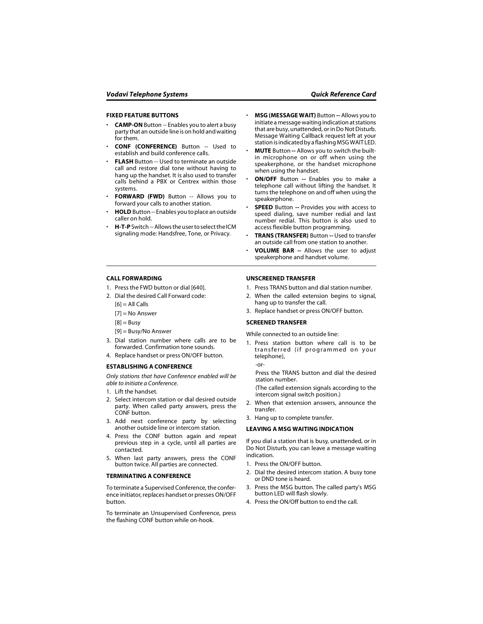#### **FIXED FEATURE BUTTONS**

- **CAMP-ON** Button -- Enables you to alert a busy party that an outside line is on hold and waiting for them.
- **CONF (CONFERENCE)** Button -- Used to establish and build conference calls.
- **FLASH** Button -- Used to terminate an outside call and restore dial tone without having to hang up the handset. It is also used to transfer calls behind a PBX or Centrex within those systems.
- **FORWARD (FWD)** Button -- Allows you to forward your calls to another station.
- **HOLD** Button -- Enables you to place an outside caller on hold.
- **H-T-P** Switch -- Allows the user to select the ICM signaling mode: Handsfree, Tone, or Privacy.
- **MSG (MESSAGE WAIT)** Button **--** Allows you to initiate a message waiting indication at stations that are busy, unattended, or in Do Not Disturb. Message Waiting Callback request left at your station is indicated by a flashing MSG WAIT LED.
- **MUTE** Button **--** Allows you to switch the builtin microphone on or off when using the speakerphone, or the handset microphone when using the handset.
- **ON/OFF** Button **--** Enables you to make a telephone call without lifting the handset. It turns the telephone on and off when using the speakerphone.
- **SPEED** Button **--** Provides you with access to speed dialing, save number redial and last number redial. This button is also used to access flexible button programming.
- **TRANS (TRANSFER)** Button **--** Used to transfer an outside call from one station to another.
- **VOLUME BAR --** Allows the user to adjust speakerphone and handset volume.

#### **CALL FORWARDING**

- 1. Press the FWD button or dial [640].
- 2. Dial the desired Call Forward code:

 $[6] = AllCalls$ 

- $[7]$  = No Answer
- $[8]$  = Busy
- [9] = Busy/No Answer
- 3. Dial station number where calls are to be forwarded. Confirmation tone sounds.
- 4. Replace handset or press ON/OFF button.

#### **ESTABLISHING A CONFERENCE**

*Only stations that have Conference enabled will be able to initiate a Conference.*

- 1. Lift the handset.
- 2. Select intercom station or dial desired outside party. When called party answers, press the CONF button.
- 3. Add next conference party by selecting another outside line or intercom station.
- 4. Press the CONF button again and repeat previous step in a cycle, until all parties are contacted.
- 5. When last party answers, press the CONF button twice. All parties are connected.

#### **TERMINATING A CONFERENCE**

To terminate a Supervised Conference, the conference initiator, replaces handset or presses ON/OFF button.

To terminate an Unsupervised Conference, press the flashing CONF button while on-hook.

#### **UNSCREENED TRANSFER**

- 1. Press TRANS button and dial station number.
- 2. When the called extension begins to signal, hang up to transfer the call.
- 3. Replace handset or press ON/OFF button.

#### **SCREENED TRANSFER**

While connected to an outside line:

1. Press station button where call is to be transferred (if programmed on your telephone),

-or-

Press the TRANS button and dial the desired station number.

(The called extension signals according to the intercom signal switch position.)

- 2. When that extension answers, announce the transfer.
- 3. Hang up to complete transfer.

#### **LEAVING A MSG WAITING INDICATION**

If you dial a station that is busy, unattended, or in Do Not Disturb, you can leave a message waiting indication.

- 1. Press the ON/OFF button.
- 2. Dial the desired intercom station. A busy tone or DND tone is heard.
- 3. Press the MSG button. The called party's MSG button LED will flash slowly.
- 4. Press the ON/Off button to end the call.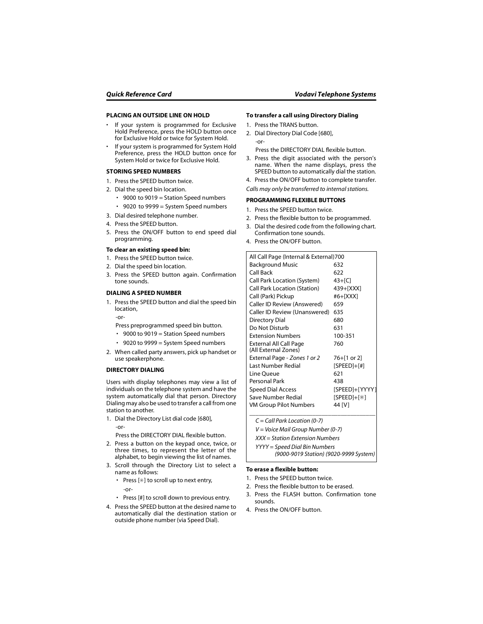#### **PLACING AN OUTSIDE LINE ON HOLD**

- If your system is programmed for Exclusive Hold Preference, press the HOLD button once for Exclusive Hold or twice for System Hold.
- If your system is programmed for System Hold Preference, press the HOLD button once for System Hold or twice for Exclusive Hold.

#### **STORING SPEED NUMBERS**

- 1. Press the SPEED button twice.
- 2. Dial the speed bin location.
	- 9000 to 9019 = Station Speed numbers
	- 9020 to 9999 = System Speed numbers
- 3. Dial desired telephone number.
- 4. Press the SPEED button.
- 5. Press the ON/OFF button to end speed dial programming.

#### **To clear an existing speed bin:**

- 1. Press the SPEED button twice.
- 2. Dial the speed bin location.
- 3. Press the SPEED button again. Confirmation tone sounds.

#### **DIALING A SPEED NUMBER**

1. Press the SPEED button and dial the speed bin location,

-or-

Press preprogrammed speed bin button.

- 9000 to 9019 = Station Speed numbers
- 9020 to 9999 = System Speed numbers
- 2. When called party answers, pick up handset or use speakerphone.

#### **DIRECTORY DIALING**

Users with display telephones may view a list of individuals on the telephone system and have the system automatically dial that person. Directory Dialing may also be used to transfer a call from one station to another.

1. Dial the Directory List dial code [680],  $-$ or-

Press the DIRECTORY DIAL flexible button.

- 2. Press a button on the keypad once, twice, or three times, to represent the letter of the alphabet, to begin viewing the list of names.
- 3. Scroll through the Directory List to select a name as follows:
	- Press [✳] to scroll up to next entry, -or-
	- Press [#] to scroll down to previous entry.
- 4. Press the SPEED button at the desired name to automatically dial the destination station or outside phone number (via Speed Dial).

#### **To transfer a call using Directory Dialing**

- 1. Press the TRANS button.
- 2. Dial Directory Dial Code [680], -or-

Press the DIRECTORY DIAL flexible button.

- 3. Press the digit associated with the person's name. When the name displays, press the SPEED button to automatically dial the station.
- 4. Press the ON/OFF button to complete transfer.

*Calls may only be transferred to internal stations.*

#### **PROGRAMMING FLEXIBLE BUTTONS**

- 1. Press the SPEED button twice.
- 2. Press the flexible button to be programmed.
- 3. Dial the desired code from the following chart. Confirmation tone sounds.
- 4. Press the ON/OFF button.

| All Call Page (Internal & External)700 |                |
|----------------------------------------|----------------|
| <b>Background Music</b>                | 632            |
| Call Back                              | 622            |
| Call Park Location (System)            | 43+[C]         |
| Call Park Location (Station)           | 439+[XXX]      |
| Call (Park) Pickup                     | #6+[XXX]       |
| <b>Caller ID Review (Answered)</b>     | 659            |
| Caller ID Review (Unanswered)          | 635            |
| Directory Dial                         | 680            |
| Do Not Disturb                         | 631            |
| <b>Extension Numbers</b>               | 100-351        |
| External All Call Page                 | 760            |
| (All External Zones)                   |                |
| External Page - Zones 1 or 2           | 76+[1 or 2]    |
| Last Number Redial                     | $[SPEED]+[#]$  |
| Line Queue                             | 621            |
| Personal Park                          | 438            |
| <b>Speed Dial Access</b>               | [SPEED]+[YYYY] |
| Save Number Redial                     | [SPEED]+[*]    |
| VM Group Pilot Numbers                 | 44 IV1         |
|                                        |                |

*C = Call Park Location (0-7)*

*V = Voice Mail Group Number (0-7)*

*XXX = Station Extension Numbers*

*YYYY = Speed Dial Bin Numbers*

*(9000-9019 Station) (9020-9999 System)*

#### **To erase a flexible button:**

- 1. Press the SPEED button twice.
- 2. Press the flexible button to be erased.
- 3. Press the FLASH button. Confirmation tone sounds.
- 4. Press the ON/OFF button.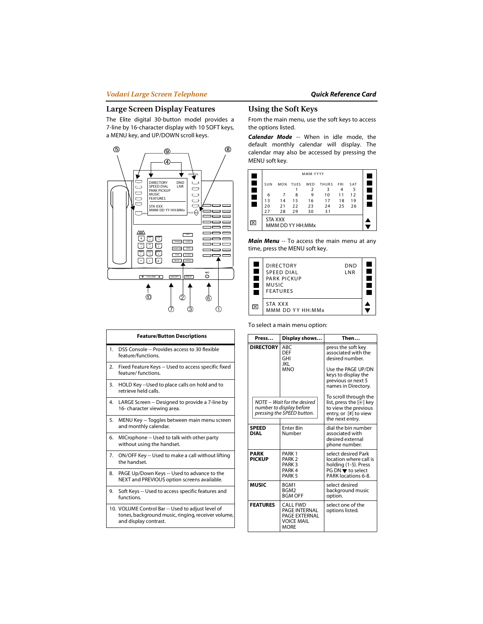#### **Large Screen Display Features**

The Elite digital 30-button model provides a 7-line by 16-character display with 10 SOFT keys, a MENU key, and UP/DOWN scroll keys.



|    | <b>Feature/Button Descriptions</b>                                                                                               |
|----|----------------------------------------------------------------------------------------------------------------------------------|
| 1. | DSS Console -- Provides access to 30 flexible<br>feature/functions.                                                              |
| 2. | Fixed Feature Keys -- Used to access specific fixed<br>feature/functions.                                                        |
| 3. | HOLD Key --Used to place calls on hold and to<br>retrieve held calls.                                                            |
| 4. | LARGE Screen -- Designed to provide a 7-line by<br>16- character viewing area.                                                   |
| 5. | MENU Key -- Toggles between main menu screen<br>and monthly calendar.                                                            |
| 6. | MICrophone -- Used to talk with other party<br>without using the handset.                                                        |
| 7. | ON/OFF Key -- Used to make a call without lifting<br>the handset.                                                                |
| 8. | PAGE Up/Down Keys -- Used to advance to the<br>NEXT and PREVIOUS option screens available.                                       |
| 9. | Soft Keys -- Used to access specific features and<br>functions.                                                                  |
|    | 10. VOLUME Control Bar -- Used to adjust level of<br>tones, background music, ringing, receiver volume,<br>and display contrast. |

#### **Using the Soft Keys**

From the main menu, use the soft keys to access the options listed.

*Calendar Mode* -- When in idle mode, the default monthly calendar will display. The calendar may also be accessed by pressing the MENU soft key.



*Main Menu* -- To access the main menu at any time, press the MENU soft key.



To select a main menu option:

| Press                        | Display shows                                                                                         | Then                                                                                                                                 |
|------------------------------|-------------------------------------------------------------------------------------------------------|--------------------------------------------------------------------------------------------------------------------------------------|
| <b>DIRECTORY</b>             | ABC<br><b>DEF</b><br>GHI<br>IKI<br><b>MNO</b>                                                         | press the soft key<br>associated with the<br>desired number.<br>Use the PAGE UP/DN                                                   |
|                              |                                                                                                       | keys to display the<br>previous or next 5<br>names in Directory.                                                                     |
|                              | NOTE -- Wait for the desired<br>number to display before<br>pressing the SPEED button.                | To scroll through the<br>list, press the [*] key<br>to view the previous<br>entry, or [#] to view<br>the next entry.                 |
| <b>SPEED</b><br>DIAL         | <b>Enter Bin</b><br>Number                                                                            | dial the bin number<br>associated with<br>desired external<br>phone number.                                                          |
| <b>PARK</b><br><b>PICKUP</b> | PARK <sub>1</sub><br>PARK <sub>2</sub><br>PARK <sub>3</sub><br>PARK <sub>4</sub><br>PARK <sub>5</sub> | select desired Park<br>location where call is<br>holding (1-5). Press<br>$PG DN \blacktriangledown$ to select<br>PARK locations 6-8. |
| <b>MUSIC</b>                 | BGM1<br>BGM <sub>2</sub><br><b>BGM OFF</b>                                                            | select desired<br>background music<br>option.                                                                                        |
| <b>FEATURES</b>              | CALL FWD<br>PAGE INTERNAL<br>PAGE EXTERNAL<br><b>VOICE MAIL</b><br><b>MORE</b>                        | select one of the<br>options listed.                                                                                                 |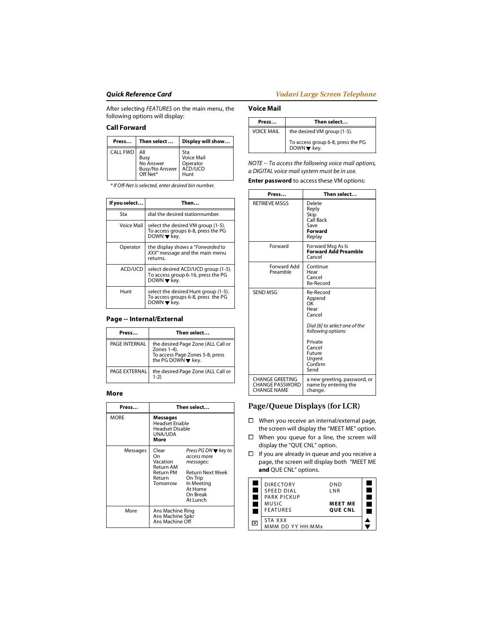After selecting *FEATURES* on the main menu, the following options will display:

#### **Call Forward**

| Press           | Then select                                            | Display will show                                       |
|-----------------|--------------------------------------------------------|---------------------------------------------------------|
| <b>CALL FWD</b> | All<br>Busy<br>No Answer<br>Busy/No Answer<br>Off Net* | Sta<br><b>Voice Mail</b><br>Operator<br>ACD/UCD<br>Hunt |

*\* If Off-Net is selected, enter desired bin number.*

| If you select | Then                                                                                                         |
|---------------|--------------------------------------------------------------------------------------------------------------|
| Sta           | dial the desired stationnumber.                                                                              |
| Voice Mail    | select the desired VM group (1-5).<br>To access groups 6-8, press the PG<br>DOWN $\blacktriangledown$ kev.   |
| Operator      | the display shows a "Forwarded to<br>XXX" message and the main menu<br>returns.                              |
| ACD/UCD       | select desired ACD/UCD group (1-5).<br>To access group 6-16, press the PG<br>DOWN $\blacktriangledown$ kev.  |
| Hunt          | select the desired Hunt group (1-5).<br>To access groups 6-8, press the PG<br>DOWN $\blacktriangledown$ key. |

#### **Page -- Internal/External**

| Press         | Then select                                                                                                |
|---------------|------------------------------------------------------------------------------------------------------------|
| PAGE INTERNAL | the desired Page Zone (ALL Call or<br>Zones 1-4).<br>To access Page Zones 5-8, press<br>the PG DOWN v key. |
| PAGE EXTERNAL | the desired Page Zone (ALL Call or<br>$1-2)$                                                               |

#### **More**

| Press       | Then select                                                                    |                                                                                                                                                            |
|-------------|--------------------------------------------------------------------------------|------------------------------------------------------------------------------------------------------------------------------------------------------------|
| <b>MORE</b> | Messages<br><b>Headset Enable</b><br>Headset Disable<br>UNA/UDA<br>More        |                                                                                                                                                            |
| Messages    | Clear<br>On<br>Vacation<br>Return AM<br><b>Return PM</b><br>Return<br>Tomorrow | Press PG DN $\blacktriangledown$ key to<br>access more<br>messages:<br><b>Return Next Week</b><br>On Trip<br>In Meeting<br>At Home<br>On Break<br>At Lunch |
| More        | Ans Machine Ring<br>Ans Machine Spkr<br>Ans Machine Off                        |                                                                                                                                                            |

#### **Voice Mail**

| Press             | Then select                                      |
|-------------------|--------------------------------------------------|
| <b>VOICE MAIL</b> | the desired VM group (1-5).                      |
|                   | To access group 6-8, press the PG<br>DOWN ▼ key. |

*NOTE -- To access the following voice mail options, a DIGITAL voice mail system must be in use.*

**Enter password** to access these VM options:

| Press                                                                  | Then select                                                                                                                                                    |
|------------------------------------------------------------------------|----------------------------------------------------------------------------------------------------------------------------------------------------------------|
| <b>RETRIEVE MSGS</b>                                                   | Delete<br>Reply<br>Skip<br>Call Back<br>Save<br>Forward<br>Replay                                                                                              |
| Forward                                                                | Forward Msg As Is<br><b>Forward Add Preamble</b><br>Cancel                                                                                                     |
| <b>Forward Add</b><br>Preamble                                         | Continue<br>Hear<br>Cancel<br>Re-Record                                                                                                                        |
| <b>SEND MSG</b>                                                        | Re-Record<br>Append<br>ΩK<br>Hear<br>Cancel<br>Dial [6] to select one of the<br>following options:<br>Private<br>Cancel<br>Future<br>Urgent<br>Confirm<br>Send |
| <b>CHANGE GREETING</b><br><b>CHANGE PASSWORD</b><br><b>CHANGE NAME</b> | a new greeting, password, or<br>name by entering the<br>change.                                                                                                |

#### **Page/Queue Displays (for LCR)**

- □ When you receive an internal/external page, the screen will display the "MEET ME" option.
- $\Box$  When you queue for a line, the screen will display the "QUE CNL" option.
- $\Box$  If you are already in queue and you receive a page, the screen will display both "MEET ME **and** QUE CNL" options.

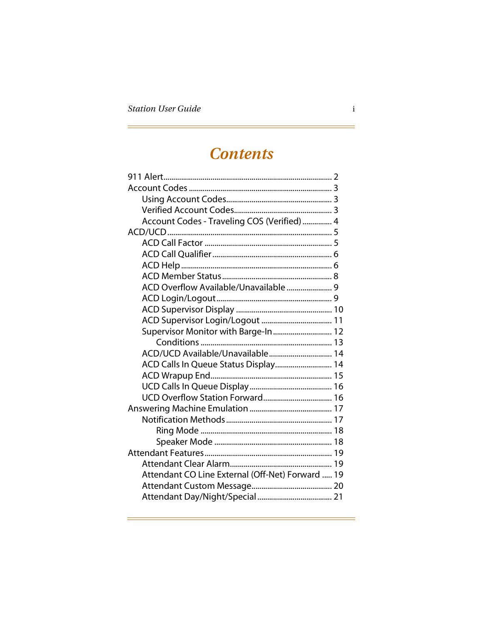## **Contents**

| Account Codes - Traveling COS (Verified)  4      |  |
|--------------------------------------------------|--|
|                                                  |  |
|                                                  |  |
|                                                  |  |
|                                                  |  |
|                                                  |  |
|                                                  |  |
|                                                  |  |
|                                                  |  |
|                                                  |  |
| Supervisor Monitor with Barge-In 12              |  |
|                                                  |  |
| ACD/UCD Available/Unavailable 14                 |  |
| ACD Calls In Queue Status Display 14             |  |
|                                                  |  |
|                                                  |  |
|                                                  |  |
|                                                  |  |
|                                                  |  |
|                                                  |  |
|                                                  |  |
|                                                  |  |
|                                                  |  |
| Attendant CO Line External (Off-Net) Forward  19 |  |
|                                                  |  |
|                                                  |  |
|                                                  |  |

<u> 1980 - Johann Barn, mars an t-Amerikaansk politiker (</u>

Ξ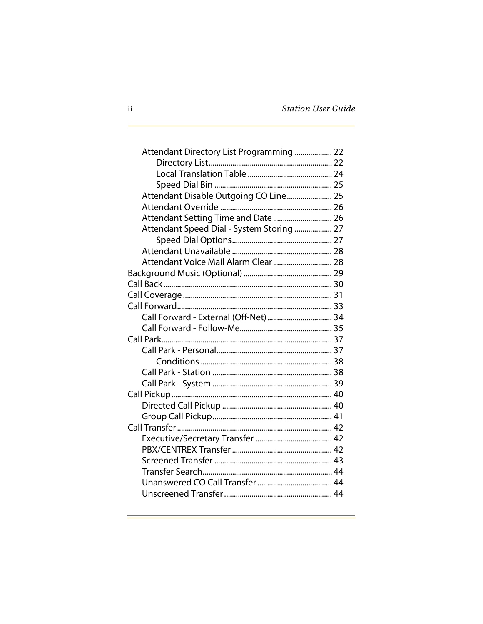$\equiv$ 

| Attendant Directory List Programming  22  |  |
|-------------------------------------------|--|
|                                           |  |
|                                           |  |
|                                           |  |
| Attendant Disable Outgoing CO Line 25     |  |
|                                           |  |
| Attendant Setting Time and Date  26       |  |
| Attendant Speed Dial - System Storing  27 |  |
|                                           |  |
|                                           |  |
| Attendant Voice Mail Alarm Clear  28      |  |
|                                           |  |
|                                           |  |
|                                           |  |
|                                           |  |
| Call Forward - External (Off-Net)  34     |  |
|                                           |  |
|                                           |  |
|                                           |  |
|                                           |  |
|                                           |  |
|                                           |  |
|                                           |  |
|                                           |  |
|                                           |  |
|                                           |  |
|                                           |  |
|                                           |  |
|                                           |  |
|                                           |  |
|                                           |  |
|                                           |  |

<u> 1980 - Andrea Barbara, amerikana politika (h. 1980).</u><br>1901 - Johann Barbara, mangalari periodor (h. 1902).

d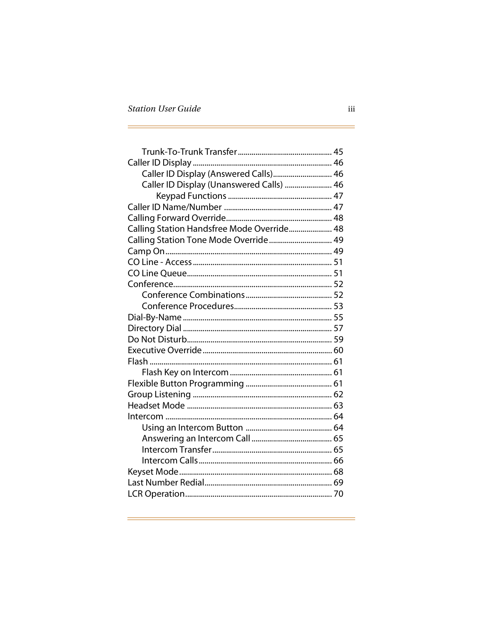| Caller ID Display (Answered Calls) 46      |  |
|--------------------------------------------|--|
| Caller ID Display (Unanswered Calls)  46   |  |
|                                            |  |
|                                            |  |
|                                            |  |
| Calling Station Handsfree Mode Override 48 |  |
| Calling Station Tone Mode Override  49     |  |
|                                            |  |
|                                            |  |
|                                            |  |
|                                            |  |
|                                            |  |
|                                            |  |
|                                            |  |
|                                            |  |
|                                            |  |
|                                            |  |
|                                            |  |
|                                            |  |
|                                            |  |
|                                            |  |
|                                            |  |
|                                            |  |
|                                            |  |
|                                            |  |
|                                            |  |
|                                            |  |
|                                            |  |
|                                            |  |
|                                            |  |

<u> 1980 - Andrea Branden, amerikan bernama (h. 1980).</u><br>1980 - Johann Branden, amerikan bernama (h. 1980).

<u> 1980 - Johann Barn, mars eta bizkailar (h. 1980).</u>

 $=$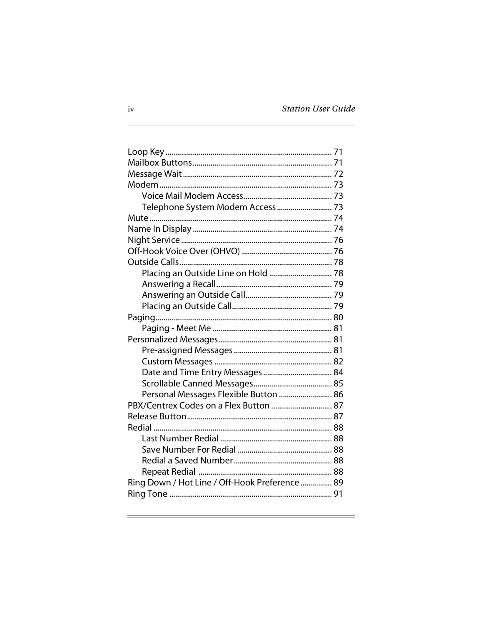È,

| Telephone System Modem Access  73              |  |
|------------------------------------------------|--|
|                                                |  |
|                                                |  |
|                                                |  |
|                                                |  |
|                                                |  |
| Placing an Outside Line on Hold  78            |  |
|                                                |  |
|                                                |  |
|                                                |  |
|                                                |  |
|                                                |  |
|                                                |  |
|                                                |  |
|                                                |  |
|                                                |  |
|                                                |  |
| Personal Messages Flexible Button  86          |  |
| PBX/Centrex Codes on a Flex Button  87         |  |
|                                                |  |
|                                                |  |
|                                                |  |
|                                                |  |
|                                                |  |
|                                                |  |
| Ring Down / Hot Line / Off-Hook Preference  89 |  |
|                                                |  |

<u> 1980 - Andrea Barbara, amerikana politika (h. 1980).</u><br>1901 - Johann Barbara, mangalari periodor (h. 1902).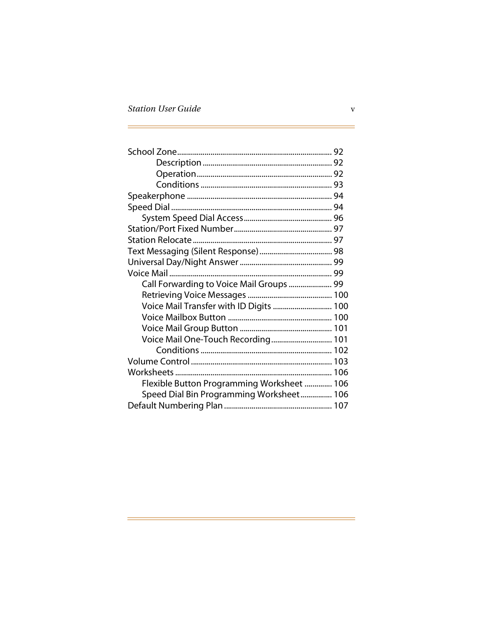| Call Forwarding to Voice Mail Groups  99   |  |
|--------------------------------------------|--|
|                                            |  |
| Voice Mail Transfer with ID Digits  100    |  |
|                                            |  |
|                                            |  |
| Voice Mail One-Touch Recording 101         |  |
|                                            |  |
|                                            |  |
|                                            |  |
| Flexible Button Programming Worksheet  106 |  |
| Speed Dial Bin Programming Worksheet 106   |  |
|                                            |  |

É.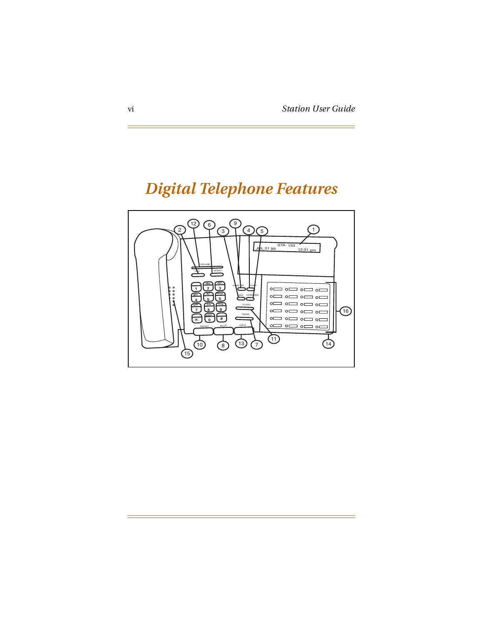## *Digital Telephone Features*

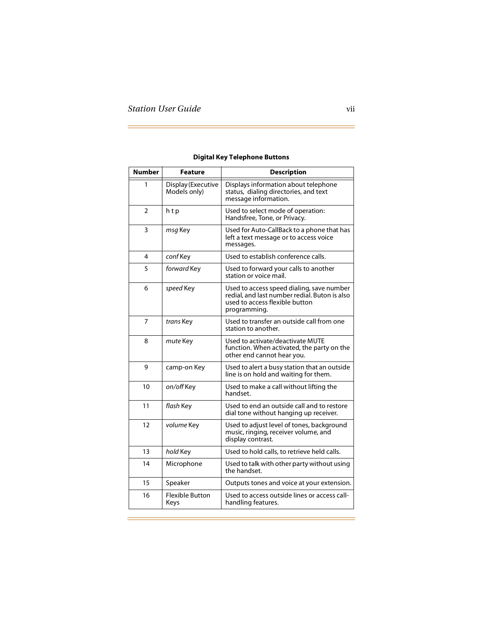| <b>Number</b>  | <b>Feature</b>                     | <b>Description</b>                                                                                                                           |  |  |  |
|----------------|------------------------------------|----------------------------------------------------------------------------------------------------------------------------------------------|--|--|--|
| 1              | Display (Executive<br>Models only) | Displays information about telephone<br>status, dialing directories, and text<br>message information.                                        |  |  |  |
| $\overline{2}$ | htp                                | Used to select mode of operation:<br>Handsfree, Tone, or Privacy.                                                                            |  |  |  |
| 3              | msg Key                            | Used for Auto-CallBack to a phone that has<br>left a text message or to access voice<br>messages.                                            |  |  |  |
| 4              | conf Key                           | Used to establish conference calls.                                                                                                          |  |  |  |
| 5              | forward Key                        | Used to forward your calls to another<br>station or voice mail.                                                                              |  |  |  |
| 6              | speed Key                          | Used to access speed dialing, save number<br>redial, and last number redial. Buton is also<br>used to access flexible button<br>programming. |  |  |  |
| 7              | trans Key                          | Used to transfer an outside call from one<br>station to another.                                                                             |  |  |  |
| 8              | mute Key                           | Used to activate/deactivate MUTE<br>function. When activated, the party on the<br>other end cannot hear you.                                 |  |  |  |
| 9              | camp-on Key                        | Used to alert a busy station that an outside<br>line is on hold and waiting for them.                                                        |  |  |  |
| 10             | on/off Key                         | Used to make a call without lifting the<br>handset.                                                                                          |  |  |  |
| 11             | flash Key                          | Used to end an outside call and to restore<br>dial tone without hanging up receiver.                                                         |  |  |  |
| 12             | volume Key                         | Used to adjust level of tones, background<br>music, ringing, receiver volume, and<br>display contrast.                                       |  |  |  |
| 13             | hold Key                           | Used to hold calls, to retrieve held calls.                                                                                                  |  |  |  |
| 14             | Microphone                         | Used to talk with other party without using<br>the handset.                                                                                  |  |  |  |
| 15             | Speaker                            | Outputs tones and voice at your extension.                                                                                                   |  |  |  |
| 16             | <b>Flexible Button</b><br>Keys     | Used to access outside lines or access call-<br>handling features.                                                                           |  |  |  |

#### **Digital Key Telephone Buttons**

<u> 1980 - Johann Barn, mars eta bizkailar (h. 1980).</u>

 $\equiv$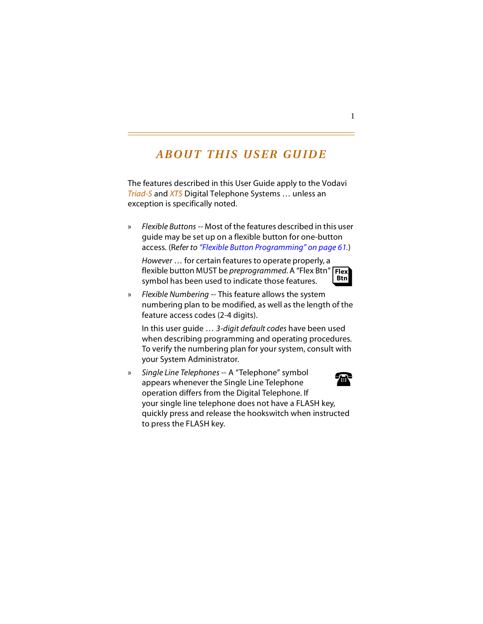## *ABOUT THIS USER GUIDE*

The features described in this User Guide apply to the Vodavi *Triad-S* and *XTS* Digital Telephone Systems … unless an exception is specifically noted.

» *Flexible Buttons* -- Most of the features described in this user guide may be set up on a flexible button for one-button access. (R*efer to ["Flexible Button Programming" on page 61.](#page-74-2)*)

*However* … for certain features to operate properly, a Flexible button MUST be *preprogrammed*. A "Flex Btn" **Flex**<br>symbol has been used to indicate those features. symbol has been used to indicate those features. **Btn**

» *Flexible Numbering* -- This feature allows the system numbering plan to be modified, as well as the length of the feature access codes (2-4 digits).

In this user guide … *3-digit default codes* have been used when describing programming and operating procedures. To verify the numbering plan for your system, consult with your System Administrator.

» *Single Line Telephones* -- A "Telephone" symbol appears whenever the Single Line Telephone operation differs from the Digital Telephone. If your single line telephone does not have a FLASH key, quickly press and release the hookswitch when instructed to press the FLASH key. 雷

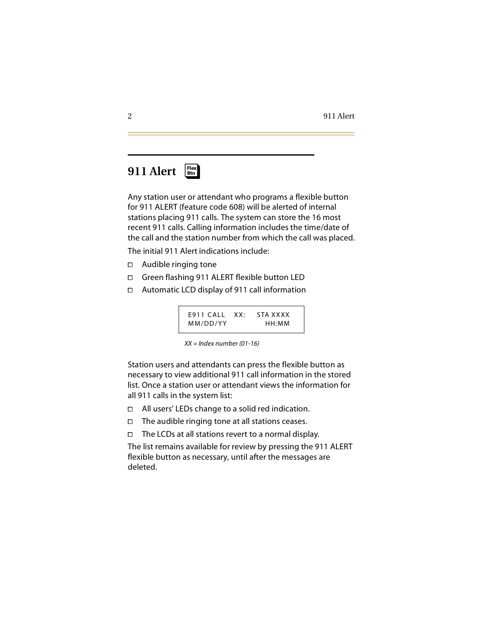### <span id="page-15-0"></span>**911 Alert** ❑ **Flex Btn**

Any station user or attendant who programs a flexible button for 911 ALERT (feature code 608) will be alerted of internal stations placing 911 calls. The system can store the 16 most recent 911 calls. Calling information includes the time/date of the call and the station number from which the call was placed.

The initial 911 Alert indications include:

- Audible ringing tone
- □ Green flashing 911 ALERT flexible button LED
- Automatic LCD display of 911 call information

| $E911$ CALL XX: | STA XXXX |
|-----------------|----------|
| MM/DD/YY        | HH:MM    |

*XX = Index number (01-16)*

Station users and attendants can press the flexible button as necessary to view additional 911 call information in the stored list. Once a station user or attendant views the information for all 911 calls in the system list:

- $\Box$  All users' LEDs change to a solid red indication.<br> $\Box$  The audible ringing tone at all stations ceases.
- $\Box$  The audible ringing tone at all stations ceases.<br> $\Box$  The LCDs at all stations revert to a normal disp
- The LCDs at all stations revert to a normal display.

The list remains available for review by pressing the 911 ALERT flexible button as necessary, until after the messages are deleted.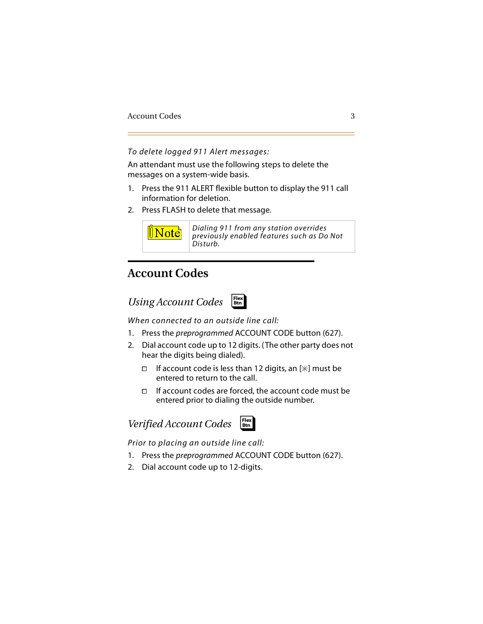*To delete logged 911 Alert messages:*

An attendant must use the following steps to delete the messages on a system-wide basis.

- 1. Press the 911 ALERT flexible button to display the 911 call information for deletion.
- 2. Press FLASH to delete that message.



*Dialing 911 from any station overrides previously enabled features such as Do Not Disturb.*

### <span id="page-16-0"></span>**Account Codes**

<span id="page-16-1"></span>*Using Account Codes*



*When connected to an outside line call:*

- 1. Press the *preprogrammed* ACCOUNT CODE button (627).
- 2. Dial account code up to 12 digits. (The other party does not hear the digits being dialed).
	- If account code is less than 12 digits, an  $[*]$  must be entered to return to the call.
	- $\Box$  If account codes are forced, the account code must be entered prior to dialing the outside number.

<span id="page-16-2"></span>



*Prior to placing an outside line call:*

- 1. Press the *preprogrammed* ACCOUNT CODE button (627).
- 2. Dial account code up to 12-digits.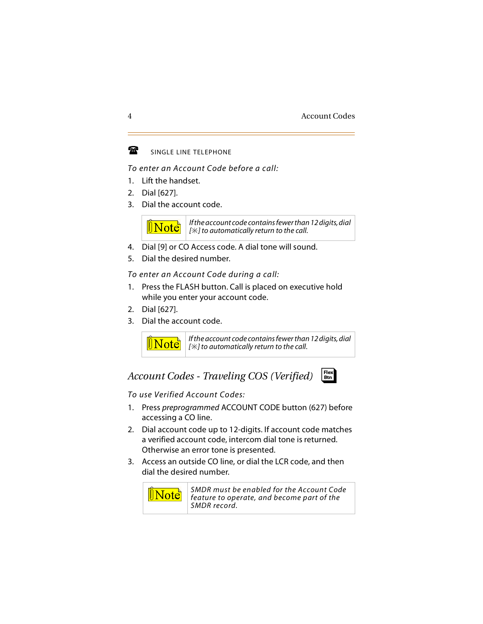#### $\mathbf{F}$ SINGLE LINE TELEPHONE

### *To enter an Account Code before a call:*

- 1. Lift the handset.
- 2. Dial [627].
- 3. Dial the account code.



- 4. Dial [9] or CO Access code. A dial tone will sound.
- 5. Dial the desired number.

*To enter an Account Code during a call:*

- 1. Press the FLASH button. Call is placed on executive hold while you enter your account code.
- 2. Dial [627].
- 3. Dial the account code.



*If the account code contains fewer than 12 digits, dial [] to automatically return to the call.*

### <span id="page-17-0"></span>*Account Codes - Traveling COS (Verified)*



*To use Verified Account Codes:*

- 1. Press *preprogrammed* ACCOUNT CODE button (627) before accessing a CO line.
- 2. Dial account code up to 12-digits. If account code matches a verified account code, intercom dial tone is returned. Otherwise an error tone is presented.
- 3. Access an outside CO line, or dial the LCR code, and then dial the desired number.



*SMDR must be enabled for the Account Code feature to operate, and become part of the SMDR record.*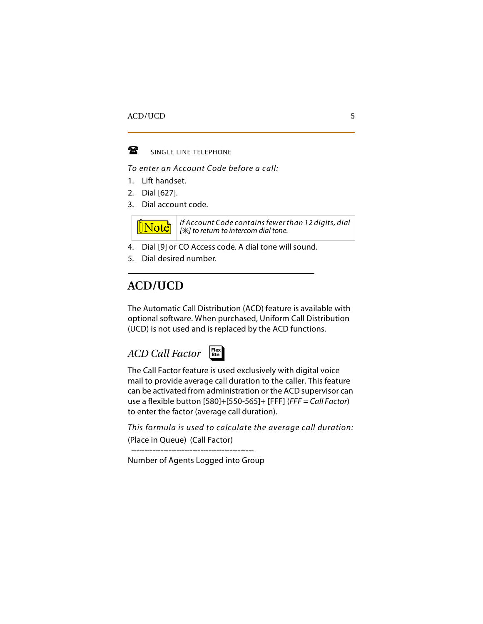

SINGLE LINE TELEPHONE

*To enter an Account Code before a call:*

- 1. Lift handset.
- 2. Dial [627].
- 3. Dial account code.



*If Account Code contains fewer than 12 digits, dial [] to return to intercom dial tone.*

- 4. Dial [9] or CO Access code. A dial tone will sound.
- 5. Dial desired number.

### <span id="page-18-0"></span>**ACD/UCD**

The Automatic Call Distribution (ACD) feature is available with optional software. When purchased, Uniform Call Distribution (UCD) is not used and is replaced by the ACD functions.

### <span id="page-18-1"></span>*ACD Call Factor*



The Call Factor feature is used exclusively with digital voice mail to provide average call duration to the caller. This feature can be activated from administration or the ACD supervisor can use a flexible button [580]+[550-565]+ [FFF] (*FFF = Call Factor*) to enter the factor (average call duration).

*This formula is used to calculate the average call duration:* (Place in Queue) (Call Factor)

----------------------------------------------

Number of Agents Logged into Group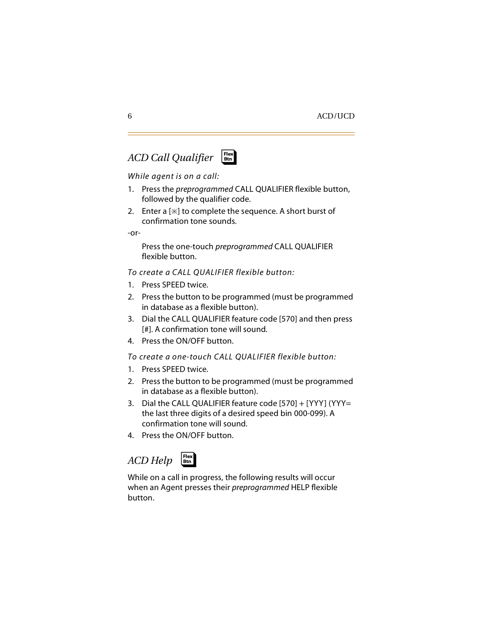# <span id="page-19-0"></span>*ACD Call Qualifier* ❑ **Flex Btn**



### *While agent is on a call:*

- 1. Press the *preprogrammed* CALL QUALIFIER flexible button, followed by the qualifier code.
- 2. Enter a  $[\ast]$  to complete the sequence. A short burst of confirmation tone sounds.

-or-

Press the one-touch *preprogrammed* CALL QUALIFIER flexible button.

*To create a CALL QUALIFIER flexible button:*

- 1. Press SPEED twice.
- 2. Press the button to be programmed (must be programmed in database as a flexible button).
- 3. Dial the CALL QUALIFIER feature code [570] and then press [#]. A confirmation tone will sound.
- 4. Press the ON/OFF button.

*To create a one-touch CALL QUALIFIER flexible button:*

- 1. Press SPEED twice.
- 2. Press the button to be programmed (must be programmed in database as a flexible button).
- 3. Dial the CALL QUALIFIER feature code [570] + [YYY] (YYY= the last three digits of a desired speed bin 000-099). A confirmation tone will sound.
- 4. Press the ON/OFF button.

## <span id="page-19-1"></span>*ACD Help*



While on a call in progress, the following results will occur when an Agent presses their *preprogrammed* HELP flexible button.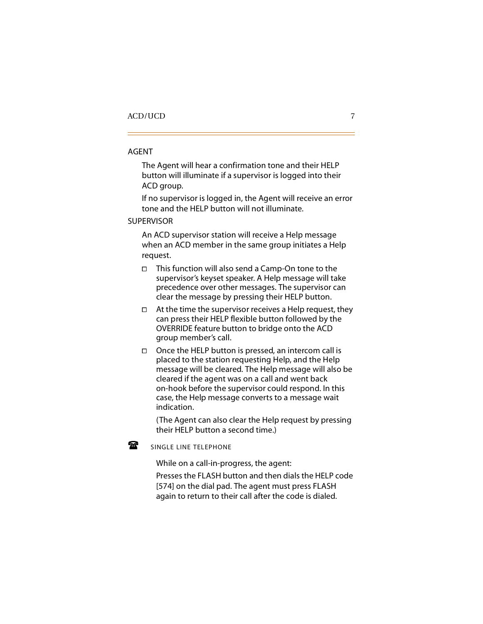#### AGENT

The Agent will hear a confirmation tone and their HELP button will illuminate if a supervisor is logged into their ACD group.

If no supervisor is logged in, the Agent will receive an error tone and the HELP button will not illuminate.

SUPERVISOR

An ACD supervisor station will receive a Help message when an ACD member in the same group initiates a Help request.

- $\Box$  This function will also send a Camp-On tone to the supervisor's keyset speaker. A Help message will take precedence over other messages. The supervisor can clear the message by pressing their HELP button.
- $\Box$  At the time the supervisor receives a Help request, they can press their HELP flexible button followed by the OVERRIDE feature button to bridge onto the ACD group member's call.
- $\Box$  Once the HELP button is pressed, an intercom call is placed to the station requesting Help, and the Help message will be cleared. The Help message will also be cleared if the agent was on a call and went back on-hook before the supervisor could respond. In this case, the Help message converts to a message wait indication.

(The Agent can also clear the Help request by pressing their HELP button a second time.)

SINGLE LINE TELEPHONE

曾

While on a call-in-progress, the agent:

Presses the FLASH button and then dials the HELP code [574] on the dial pad. The agent must press FLASH again to return to their call after the code is dialed.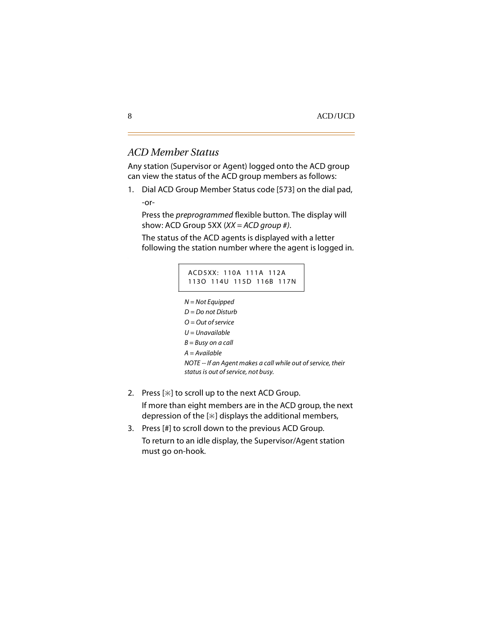### <span id="page-21-0"></span>*ACD Member Status*

Any station (Supervisor or Agent) logged onto the ACD group can view the status of the ACD group members as follows:

1. Dial ACD Group Member Status code [573] on the dial pad, -or-

Press the *preprogrammed* flexible button. The display will show: ACD Group 5XX (*XX = ACD group #)*.

The status of the ACD agents is displayed with a letter following the station number where the agent is logged in.

#### ACD5XX: 110A 111A 112A 113O 114U 115D 116B 117N

*N = Not Equipped*

- *D = Do not Disturb*
- *O = Out of service*
- *U = Unavailable*
- *B = Busy on a call*
- *A = Available*

*NOTE -- If an Agent makes a call while out of service, their status is out of service, not busy.*

2. Press  $[\ast]$  to scroll up to the next ACD Group.

If more than eight members are in the ACD group, the next depression of the  $[*]$  displays the additional members,

3. Press [#] to scroll down to the previous ACD Group. To return to an idle display, the Supervisor/Agent station must go on-hook.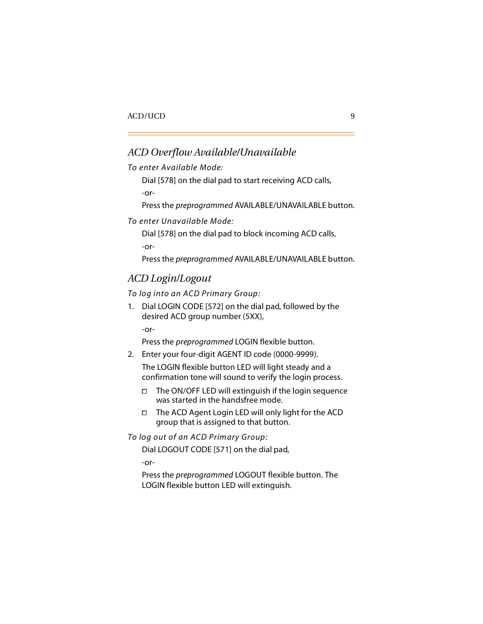### <span id="page-22-0"></span>*ACD Overflow Available/Unavailable*

*To enter Available Mode:*

Dial [578] on the dial pad to start receiving ACD calls,

-or-

Press the *preprogrammed* AVAILABLE/UNAVAILABLE button.

*To enter Unavailable Mode:*

Dial [578] on the dial pad to block incoming ACD calls,

-or-

Press the *preprogrammed* AVAILABLE/UNAVAILABLE button.

### <span id="page-22-1"></span>*ACD Login/Logout*

*To log into an ACD Primary Group:*

1. Dial LOGIN CODE [572] on the dial pad, followed by the desired ACD group number (5XX),

-or-

Press the *preprogrammed* LOGIN flexible button.

2. Enter your four-digit AGENT ID code (0000-9999).

The LOGIN flexible button LED will light steady and a confirmation tone will sound to verify the login process.

- $\Box$  The ON/OFF LED will extinguish if the login sequence was started in the handsfree mode.
- $\Box$  The ACD Agent Login LED will only light for the ACD group that is assigned to that button.

*To log out of an ACD Primary Group:*

Dial LOGOUT CODE [571] on the dial pad,

-or-

Press the *preprogrammed* LOGOUT flexible button. The LOGIN flexible button LED will extinguish.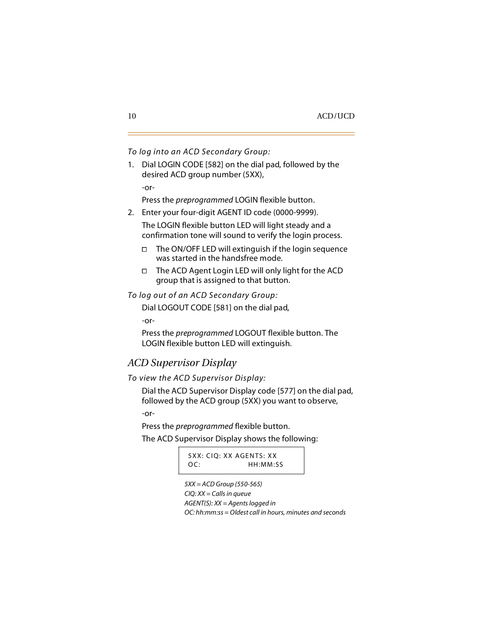### *To log into an ACD Secondary Group:*

1. Dial LOGIN CODE [582] on the dial pad, followed by the desired ACD group number (5XX),

-or-

Press the *preprogrammed* LOGIN flexible button.

2. Enter your four-digit AGENT ID code (0000-9999).

The LOGIN flexible button LED will light steady and a confirmation tone will sound to verify the login process.

- $\Box$  The ON/OFF LED will extinguish if the login sequence was started in the handsfree mode.
- $\Box$  The ACD Agent Login LED will only light for the ACD group that is assigned to that button.

*To log out of an ACD Secondary Group:*

Dial LOGOUT CODE [581] on the dial pad,

-or-

Press the *preprogrammed* LOGOUT flexible button. The LOGIN flexible button LED will extinguish.

### <span id="page-23-0"></span>*ACD Supervisor Display*

*To view the ACD Supervisor Display:*

Dial the ACD Supervisor Display code [577] on the dial pad, followed by the ACD group (5XX) you want to observe,

-or-

Press the *preprogrammed* flexible button.

The ACD Supervisor Display shows the following:

5XX: CIQ: XX AGENTS: XX OC: HH:MM:SS

*5XX = ACD Group (550-565) CIQ: XX = Calls in queue AGENT(S): XX = Agents logged in OC: hh:mm:ss = Oldest call in hours, minutes and seconds*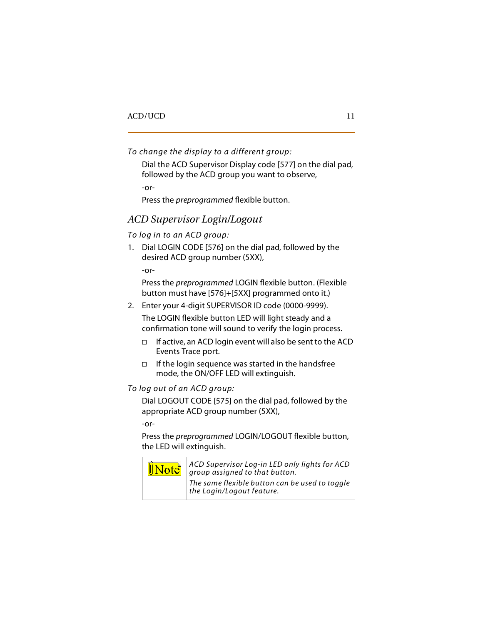```
To change the display to a different group:
```
Dial the ACD Supervisor Display code [577] on the dial pad, followed by the ACD group you want to observe,

-or-

Press the *preprogrammed* flexible button.

### <span id="page-24-0"></span>*ACD Supervisor Login/Logout*

*To log in to an ACD group:*

1. Dial LOGIN CODE [576] on the dial pad, followed by the desired ACD group number (5XX),

-or-

Press the *preprogrammed* LOGIN flexible button. (Flexible button must have [576]+[5XX] programmed onto it.)

2. Enter your 4-digit SUPERVISOR ID code (0000-9999).

The LOGIN flexible button LED will light steady and a confirmation tone will sound to verify the login process.

- $\Box$  If active, an ACD login event will also be sent to the ACD Events Trace port.
- $\Box$  If the login sequence was started in the handsfree mode, the ON/OFF LED will extinguish.

*To log out of an ACD group:*

Dial LOGOUT CODE [575] on the dial pad, followed by the appropriate ACD group number (5XX),

-or-

Press the *preprogrammed* LOGIN/LOGOUT flexible button, the LED will extinguish.



*ACD Supervisor Log-in LED only lights for ACD group assigned to that button.*

*The same flexible button can be used to toggle the Login/Logout feature.*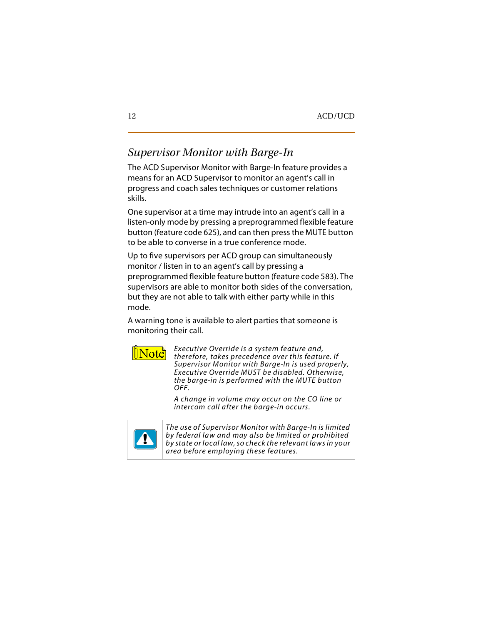### <span id="page-25-0"></span>*Supervisor Monitor with Barge-In*

The ACD Supervisor Monitor with Barge-In feature provides a means for an ACD Supervisor to monitor an agent's call in progress and coach sales techniques or customer relations skills.

One supervisor at a time may intrude into an agent's call in a listen-only mode by pressing a preprogrammed flexible feature button (feature code 625), and can then press the MUTE button to be able to converse in a true conference mode.

Up to five supervisors per ACD group can simultaneously monitor / listen in to an agent's call by pressing a preprogrammed flexible feature button (feature code 583). The supervisors are able to monitor both sides of the conversation, but they are not able to talk with either party while in this mode.

A warning tone is available to alert parties that someone is monitoring their call.



*Executive Override is a system feature and, therefore, takes precedence over this feature. If Supervisor Monitor with Barge-In is used properly, Executive Override MUST be disabled. Otherwise, the barge-in is performed with the MUTE button OFF.*

*A change in volume may occur on the CO line or intercom call after the barge-in occurs.*



*The use of Supervisor Monitor with Barge-In is limited by federal law and may also be limited or prohibited by state or local law, so check the relevant laws in your area before employing these features.*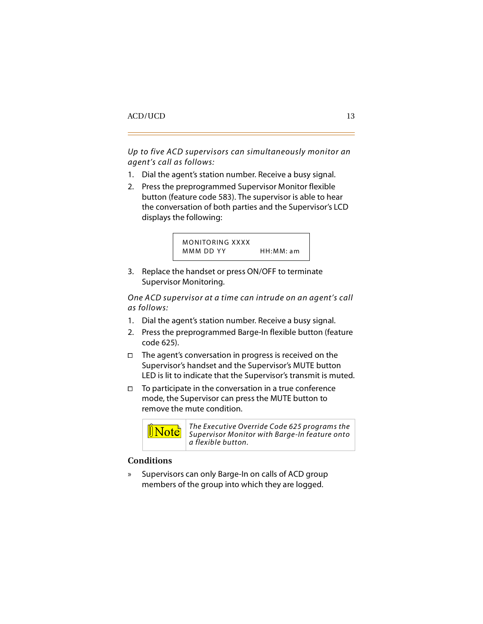*Up to five ACD supervisors can simultaneously monitor an agent's call as follows:*

- 1. Dial the agent's station number. Receive a busy signal.
- 2. Press the preprogrammed Supervisor Monitor flexible button (feature code 583). The supervisor is able to hear the conversation of both parties and the Supervisor's LCD displays the following:

```
MONITORING XXXX
MMM DD YY HH: MM: am
```
3. Replace the handset or press ON/OFF to terminate Supervisor Monitoring.

*One ACD supervisor at a time can intrude on an agent's call as follows:*

- 1. Dial the agent's station number. Receive a busy signal.
- 2. Press the preprogrammed Barge-In flexible button (feature code 625).
- $\Box$  The agent's conversation in progress is received on the Supervisor's handset and the Supervisor's MUTE button LED is lit to indicate that the Supervisor's transmit is muted.
- $\Box$  To participate in the conversation in a true conference mode, the Supervisor can press the MUTE button to remove the mute condition.



*The Executive Override Code 625 programs the Supervisor Monitor with Barge-In feature onto a flexible button.*

### <span id="page-26-0"></span>**Conditions**

» Supervisors can only Barge-In on calls of ACD group members of the group into which they are logged.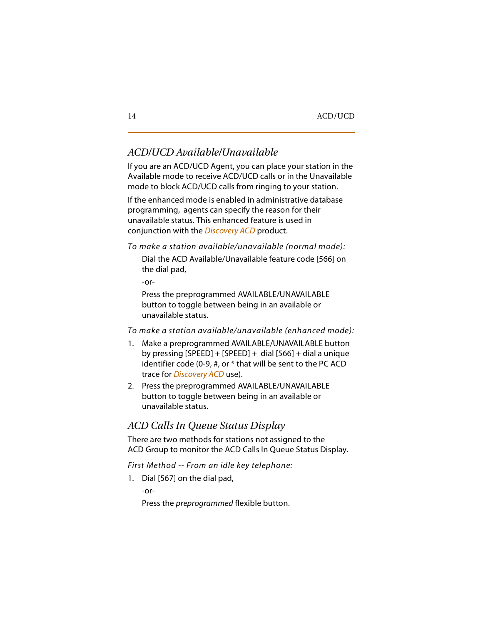### <span id="page-27-0"></span>*ACD/UCD Available/Unavailable*

If you are an ACD/UCD Agent, you can place your station in the Available mode to receive ACD/UCD calls or in the Unavailable mode to block ACD/UCD calls from ringing to your station.

If the enhanced mode is enabled in administrative database programming, agents can specify the reason for their unavailable status. This enhanced feature is used in conjunction with the *Discovery ACD* product.

*To make a station available/unavailable (normal mode):*

Dial the ACD Available/Unavailable feature code [566] on the dial pad,

-or-

Press the preprogrammed AVAILABLE/UNAVAILABLE button to toggle between being in an available or unavailable status.

*To make a station available/unavailable (enhanced mode):*

- 1. Make a preprogrammed AVAILABLE/UNAVAILABLE button by pressing  $[SPEED] + [SPEED] + dia[566] + dia]$  a unique identifier code (0-9, #, or \* that will be sent to the PC ACD trace for *Discovery ACD* use).
- 2. Press the preprogrammed AVAILABLE/UNAVAILABLE button to toggle between being in an available or unavailable status.

### <span id="page-27-1"></span>*ACD Calls In Queue Status Display*

There are two methods for stations not assigned to the ACD Group to monitor the ACD Calls In Queue Status Display.

*First Method -- From an idle key telephone:*

1. Dial [567] on the dial pad,

-or-

Press the *preprogrammed* flexible button.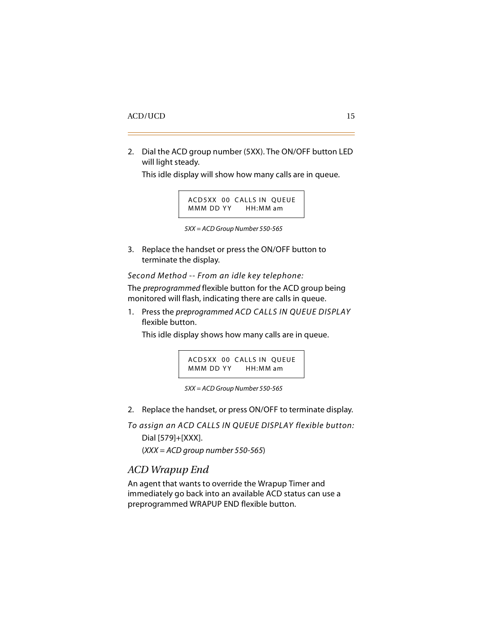2. Dial the ACD group number (5XX). The ON/OFF button LED will light steady.

This idle display will show how many calls are in queue.

ACD5XX 00 CALLS IN QUEUE MMM DD YY HH: MM am

*5XX = ACD Group Number 550-565*

3. Replace the handset or press the ON/OFF button to terminate the display.

*Second Method -- From an idle key telephone:*

The *preprogrammed* flexible button for the ACD group being monitored will flash, indicating there are calls in queue.

1. Press the *preprogrammed ACD CALLS IN QUEUE DISPLAY*  flexible button.

This idle display shows how many calls are in queue.

ACD5XX 00 CALLS IN QUEUE MMM DD YY HH: MM am



2. Replace the handset, or press ON/OFF to terminate display.

*To assign an ACD CALLS IN QUEUE DISPLAY flexible button:* Dial [579]+[XXX]. (*XXX = ACD group number 550-565*)

### <span id="page-28-0"></span>*ACD Wrapup End*

An agent that wants to override the Wrapup Timer and immediately go back into an available ACD status can use a preprogrammed WRAPUP END flexible button.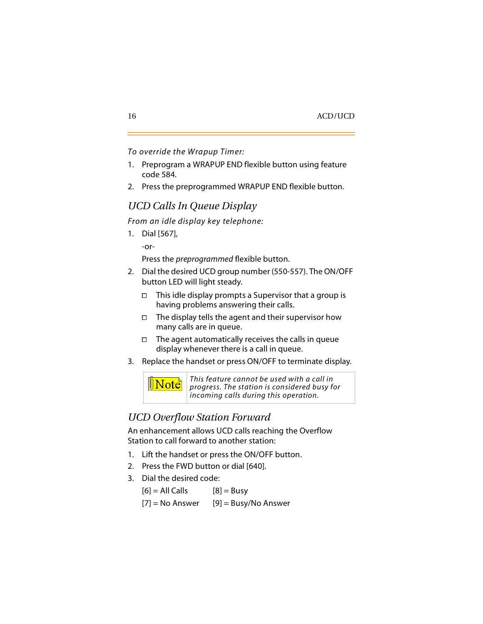*To override the Wrapup Timer:*

- 1. Preprogram a WRAPUP END flexible button using feature code 584.
- 2. Press the preprogrammed WRAPUP END flexible button.

### <span id="page-29-0"></span>*UCD Calls In Queue Display*

*From an idle display key telephone:*

1. Dial [567],

-or-

Press the *preprogrammed* flexible button.

- 2. Dial the desired UCD group number (550-557). The ON/OFF button LED will light steady.
	- $\Box$  This idle display prompts a Supervisor that a group is having problems answering their calls.
	- $\Box$  The display tells the agent and their supervisor how many calls are in queue.
	- $\Box$  The agent automatically receives the calls in queue display whenever there is a call in queue.
- 3. Replace the handset or press ON/OFF to terminate display.



### <span id="page-29-1"></span>*UCD Overflow Station Forward*

An enhancement allows UCD calls reaching the Overflow Station to call forward to another station:

- 1. Lift the handset or press the ON/OFF button.
- 2. Press the FWD button or dial [640].
- 3. Dial the desired code:
	- $[6] = AllCalls$   $[8] = Busy$
	- $[7]$  = No Answer [9] = Busy/No Answer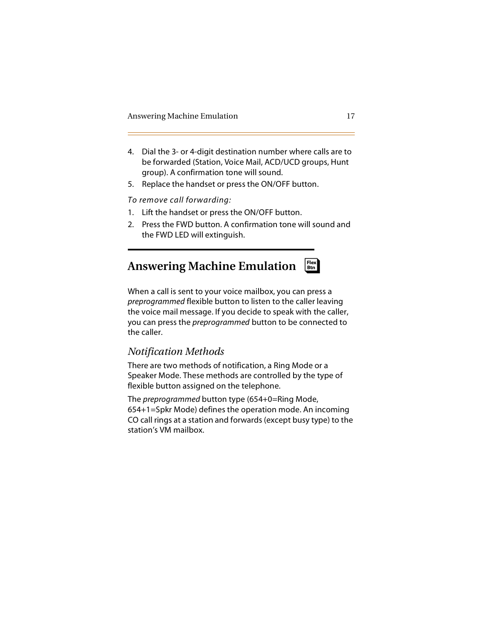- 4. Dial the 3- or 4-digit destination number where calls are to be forwarded (Station, Voice Mail, ACD/UCD groups, Hunt group). A confirmation tone will sound.
- 5. Replace the handset or press the ON/OFF button.

*To remove call forwarding:*

- 1. Lift the handset or press the ON/OFF button.
- 2. Press the FWD button. A confirmation tone will sound and the FWD LED will extinguish.

### <span id="page-30-0"></span>**Answering Machine Emulation** ❑ **Flex Btn**

When a call is sent to your voice mailbox, you can press a *preprogrammed* flexible button to listen to the caller leaving the voice mail message. If you decide to speak with the caller, you can press the *preprogrammed* button to be connected to the caller.

### <span id="page-30-1"></span>*Notification Methods*

There are two methods of notification, a Ring Mode or a Speaker Mode. These methods are controlled by the type of flexible button assigned on the telephone.

The *preprogrammed* button type (654+0=Ring Mode, 654+1=Spkr Mode) defines the operation mode. An incoming CO call rings at a station and forwards (except busy type) to the station's VM mailbox.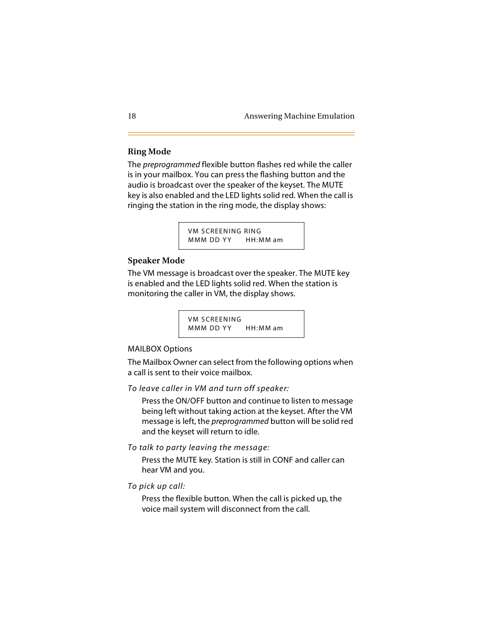### <span id="page-31-0"></span>**Ring Mode**

The *preprogrammed* flexible button flashes red while the caller is in your mailbox. You can press the flashing button and the audio is broadcast over the speaker of the keyset. The MUTE key is also enabled and the LED lights solid red. When the call is ringing the station in the ring mode, the display shows:

> VM SCREENING RING MMM DD YY HH: MM am

### <span id="page-31-1"></span>**Speaker Mode**

The VM message is broadcast over the speaker. The MUTE key is enabled and the LED lights solid red. When the station is monitoring the caller in VM, the display shows.

> VM SCREENING MMM DD YY HH: MM am

### MAILBOX Options

The Mailbox Owner can select from the following options when a call is sent to their voice mailbox.

*To leave caller in VM and turn off speaker:*

Press the ON/OFF button and continue to listen to message being left without taking action at the keyset. After the VM message is left, the *preprogrammed* button will be solid red and the keyset will return to idle.

*To talk to party leaving the message:*

Press the MUTE key. Station is still in CONF and caller can hear VM and you.

*To pick up call:*

Press the flexible button. When the call is picked up, the voice mail system will disconnect from the call.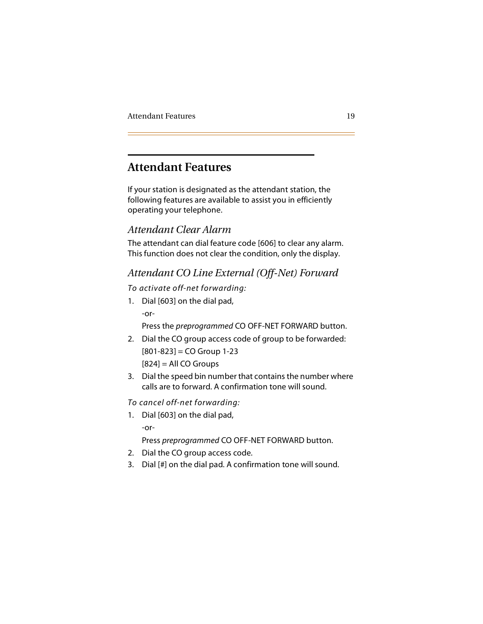### <span id="page-32-0"></span>**Attendant Features**

If your station is designated as the attendant station, the following features are available to assist you in efficiently operating your telephone.

### <span id="page-32-1"></span>*Attendant Clear Alarm*

The attendant can dial feature code [606] to clear any alarm. This function does not clear the condition, only the display.

### <span id="page-32-2"></span>*Attendant CO Line External (Off-Net) Forward*

### *To activate off-net forwarding:*

1. Dial [603] on the dial pad, -or-

Press the *preprogrammed* CO OFF-NET FORWARD button.

- 2. Dial the CO group access code of group to be forwarded:  $[801-823] = CO$  Group 1-23  $[824] =$  All CO Groups
- 3. Dial the speed bin number that contains the number where calls are to forward. A confirmation tone will sound.

*To cancel off-net forwarding:*

1. Dial [603] on the dial pad, -or-

Press *preprogrammed* CO OFF-NET FORWARD button.

- 2. Dial the CO group access code.
- 3. Dial [#] on the dial pad. A confirmation tone will sound.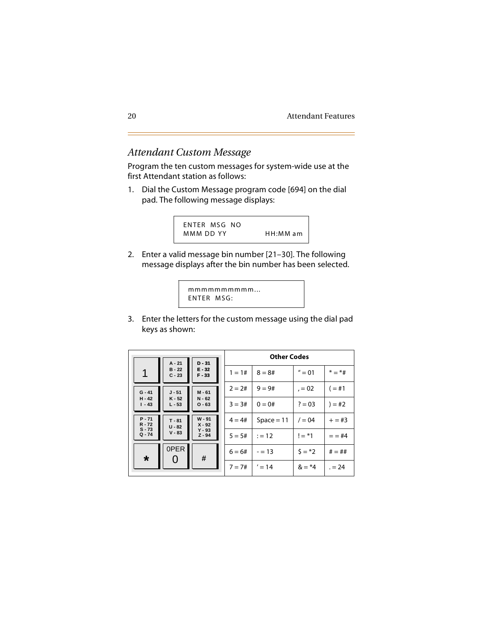### <span id="page-33-0"></span>**Attendant Custom Message**

Program the ten custom messages for system-wide use at the first Attendant station as follows:

Dial the Custom Message program code [694] on the dial  $1.$ pad. The following message displays:



2. Enter a valid message bin number [21-30]. The following message displays after the bin number has been selected.

```
mmmmmmmmmm...
ENTER MSG:
```
3. Enter the letters for the custom message using the dial pad keys as shown:

| $D - 31$<br>$A - 21$ |                      | <b>Other Codes</b>   |          |              |           |            |
|----------------------|----------------------|----------------------|----------|--------------|-----------|------------|
| 1                    | $B - 22$<br>$C - 23$ | $E - 32$<br>$F - 33$ | $1 = 1#$ | $8 = 8#$     | $'' = 01$ | $* = *#$   |
| $G - 41$             | $J - 51$             | $M - 61$             | $2 = 2#$ | $9 = 9#$     | $= 02$    | $( = #1)$  |
| $H - 42$<br>$1 - 43$ | $K - 52$<br>$L - 53$ | $N - 62$<br>$O - 63$ | $3 = 3#$ | $0 = 0#$     | $? = 03$  | $) = #2$   |
| $P - 71$<br>$R - 72$ | $T - 81$<br>$U - 82$ | $W - 91$<br>$X - 92$ | $4 = 4#$ | $Space = 11$ | $/ = 04$  | $+=$ #3    |
| $S - 73$<br>$Q - 74$ | $V - 83$             | $Y - 93$<br>$Z - 94$ | $5 = 5#$ | $:= 12$      | $!=$ *1   | $=$ $=$ #4 |
| $\star$              | 0PER                 | #                    | $6 = 6#$ | $= 13$       | $5 = *2$  | $# = ##$   |
|                      | U                    |                      | $7 = 7#$ | $' = 14$     | $&= 4$    | $= 24$     |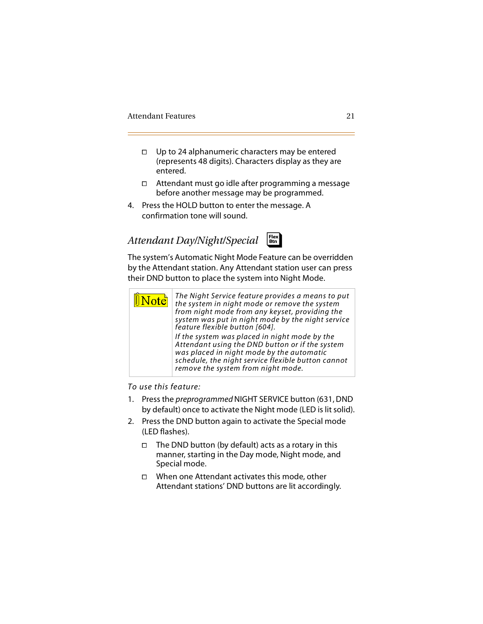- $\Box$  Up to 24 alphanumeric characters may be entered (represents 48 digits). Characters display as they are entered.
- Attendant must go idle after programming a message before another message may be programmed.
- 4. Press the HOLD button to enter the message. A confirmation tone will sound.

### <span id="page-34-0"></span>*Attendant Day/Night/Special*



The system's Automatic Night Mode Feature can be overridden by the Attendant station. Any Attendant station user can press their DND button to place the system into Night Mode.



#### *To use this feature:*

- 1. Press the *preprogrammed* NIGHT SERVICE button (631, DND by default) once to activate the Night mode (LED is lit solid).
- 2. Press the DND button again to activate the Special mode (LED flashes).
	- $\Box$  The DND button (by default) acts as a rotary in this manner, starting in the Day mode, Night mode, and Special mode.
	- $\Box$  When one Attendant activates this mode, other Attendant stations' DND buttons are lit accordingly.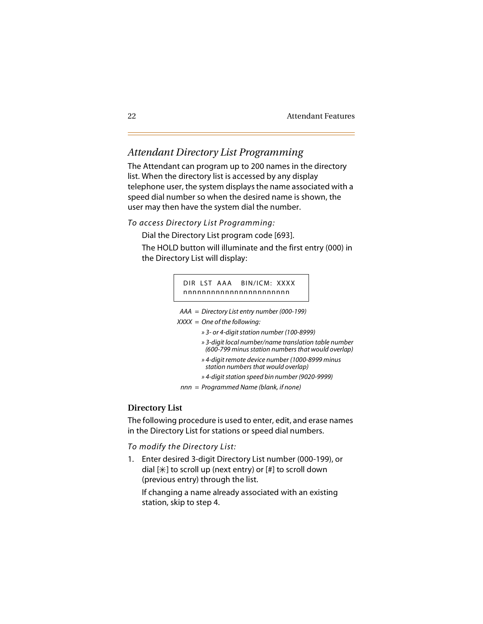### <span id="page-35-0"></span>*Attendant Directory List Programming*

The Attendant can program up to 200 names in the directory list. When the directory list is accessed by any display telephone user, the system displays the name associated with a speed dial number so when the desired name is shown, the user may then have the system dial the number.

### *To access Directory List Programming:*

Dial the Directory List program code [693].

The HOLD button will illuminate and the first entry (000) in the Directory List will display:

#### DIR LST AAA BIN/ICM: XXXX nnnnnnnnnnnnnnnnnnnnnnn

- *AAA* = *Directory List entry number (000-199)*
- *XXXX* = *One of the following:*
	- *» 3- or 4-digit station number (100-8999)*
	- *» 3-digit local number/name translation table number (600-799 minus station numbers that would overlap)*
	- *» 4-digit remote device number (1000-8999 minus station numbers that would overlap)*
	- *» 4-digit station speed bin number (9020-9999)*
	- *nnn* = *Programmed Name (blank, if none)*

### <span id="page-35-1"></span>**Directory List**

The following procedure is used to enter, edit, and erase names in the Directory List for stations or speed dial numbers.

#### *To modify the Directory List:*

1. Enter desired 3-digit Directory List number (000-199), or dial  $[\ast]$  to scroll up (next entry) or  $[\ast]$  to scroll down (previous entry) through the list.

If changing a name already associated with an existing station, skip to step 4.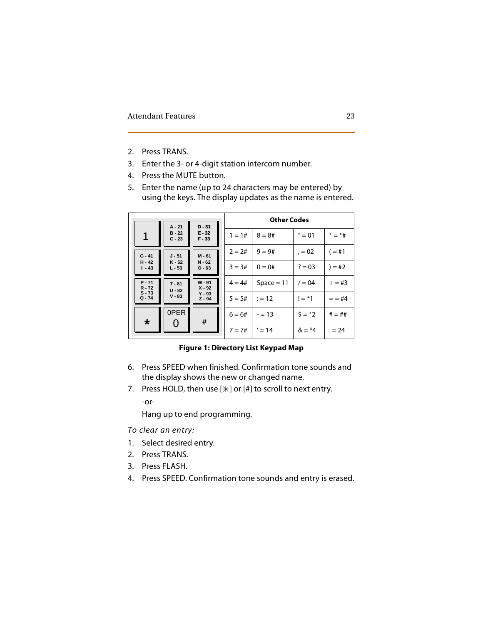- 2. Press TRANS.
- 3. Enter the 3- or 4-digit station intercom number.
- 4. Press the MUTE button.
- 5. Enter the name (up to 24 characters may be entered) by using the keys. The display updates as the name is entered.

| $D - 31$<br>$A - 21$ |                      |                                              | <b>Other Codes</b> |              |                |           |
|----------------------|----------------------|----------------------------------------------|--------------------|--------------|----------------|-----------|
| 1                    | $B - 22$<br>$C - 23$ | $E - 32$<br>$F - 33$                         | $1 = 1#$           | $8 = 8#$     | $'' = 01$      | $* = *#$  |
| $G - 41$             | $J - 51$             | $M - 61$                                     | $2 = 2#$           | $9 = 9#$     | $, = 02$       | $( = #1)$ |
| $H - 42$<br>$1 - 43$ | $K - 52$<br>$L - 53$ | $N - 62$<br>$O - 63$                         | $3 = 3#$           | $0 = 0#$     | $? = 03$       | $) = #2$  |
| $P - 71$<br>$R - 72$ | $T - 81$<br>$U - 82$ | $W - 91$<br>$X - 92$<br>$Y - 93$<br>$Z - 94$ | $4 = 4#$           | $Space = 11$ | $/ = 04$       | $+=$ #3   |
| $S - 73$<br>$Q - 74$ | $V - 83$             |                                              | $5 = 5#$           | $:= 12$      | $!=$ *1        | $= 44$    |
| $\star$              | 0PER<br>O            | #                                            | $6 = 6#$           | $= 13$       | $5 = *2$       | $# = ##$  |
|                      |                      |                                              | $7 = 7#$           | $' = 14$     | $&= 4^{\circ}$ | $= 24$    |

#### **Figure 1: Directory List Keypad Map**

- 6. Press SPEED when finished. Confirmation tone sounds and the display shows the new or changed name.
- 7. Press HOLD, then use  $[\n *]$  or  $[\n #]$  to scroll to next entry.

-or-

Hang up to end programming.

*To clear an entry:*

- 1. Select desired entry.
- 2. Press TRANS.
- 3. Press FLASH.
- 4. Press SPEED. Confirmation tone sounds and entry is erased.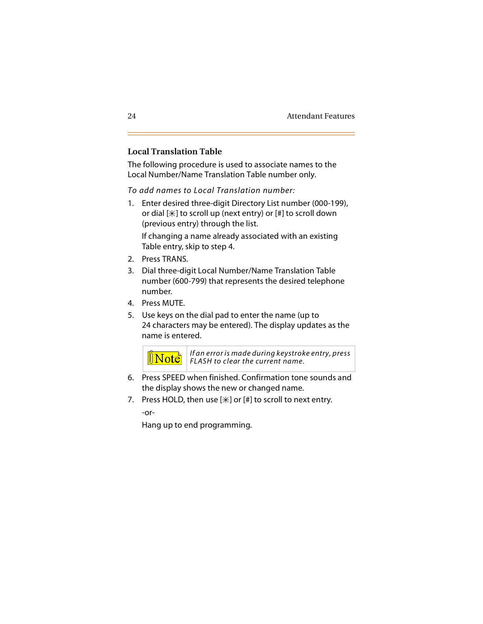#### **Local Translation Table**

The following procedure is used to associate names to the Local Number/Name Translation Table number only.

*To add names to Local Translation number:*

1. Enter desired three-digit Directory List number (000-199), or dial  $[\ast]$  to scroll up (next entry) or  $[\ast]$  to scroll down (previous entry) through the list.

If changing a name already associated with an existing Table entry, skip to step 4.

- 2. Press TRANS.
- 3. Dial three-digit Local Number/Name Translation Table number (600-799) that represents the desired telephone number.
- 4. Press MUTE.
- 5. Use keys on the dial pad to enter the name (up to 24 characters may be entered). The display updates as the name is entered.



*If an error is made during keystroke entry, press FLASH to clear the current name.*

- 6. Press SPEED when finished. Confirmation tone sounds and the display shows the new or changed name.
- 7. Press HOLD, then use  $[\n\ast]$  or  $[\n\sharp]$  to scroll to next entry.

-or-

Hang up to end programming.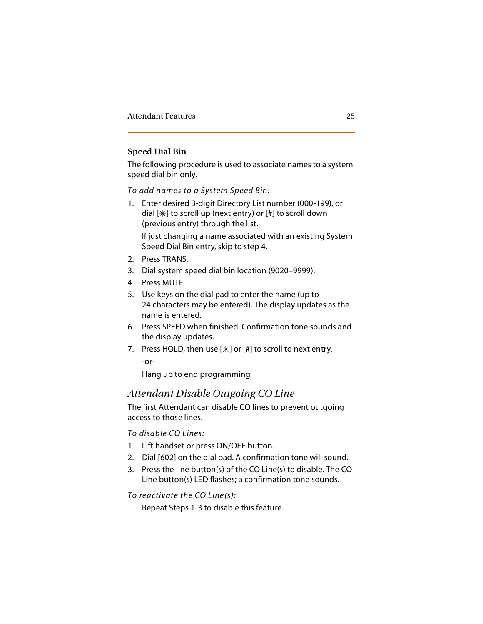### **Speed Dial Bin**

The following procedure is used to associate names to a system speed dial bin only.

*To add names to a System Speed Bin:*

1. Enter desired 3-digit Directory List number (000-199), or dial  $[\ast]$  to scroll up (next entry) or  $[\ast]$  to scroll down (previous entry) through the list.

If just changing a name associated with an existing System Speed Dial Bin entry, skip to step 4.

- 2. Press TRANS.
- 3. Dial system speed dial bin location (9020–9999).
- 4. Press MUTE.
- 5. Use keys on the dial pad to enter the name (up to 24 characters may be entered). The display updates as the name is entered.
- 6. Press SPEED when finished. Confirmation tone sounds and the display updates.
- 7. Press HOLD, then use  $[\frac{n}{k}]$  or  $[\frac{n}{k}]$  to scroll to next entry. -or-

Hang up to end programming.

### *Attendant Disable Outgoing CO Line*

The first Attendant can disable CO lines to prevent outgoing access to those lines.

*To disable CO Lines:*

- 1. Lift handset or press ON/OFF button.
- 2. Dial [602] on the dial pad. A confirmation tone will sound.
- 3. Press the line button(s) of the CO Line(s) to disable. The CO Line button(s) LED flashes; a confirmation tone sounds.

*To reactivate the CO Line(s):*

Repeat Steps 1-3 to disable this feature.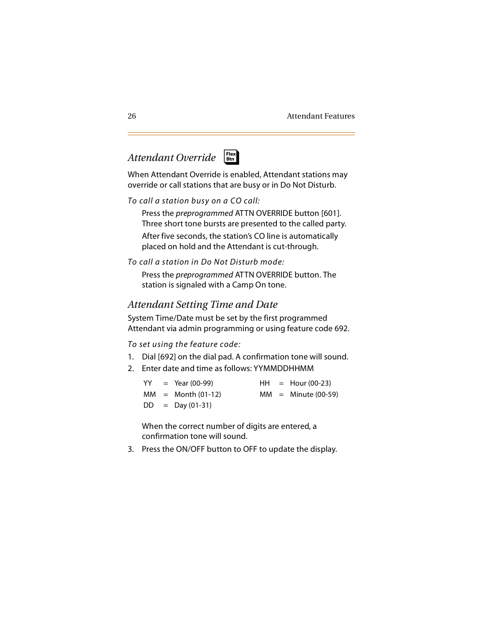# *Attendant Override*



When Attendant Override is enabled, Attendant stations may override or call stations that are busy or in Do Not Disturb.

*To call a station busy on a CO call:*

Press the *preprogrammed* ATTN OVERRIDE button [601]. Three short tone bursts are presented to the called party. After five seconds, the station's CO line is automatically placed on hold and the Attendant is cut-through.

*To call a station in Do Not Disturb mode:*

Press the *preprogrammed* ATTN OVERRIDE button. The station is signaled with a Camp On tone.

# *Attendant Setting Time and Date*

System Time/Date must be set by the first programmed Attendant via admin programming or using feature code 692.

*To set using the feature code:*

- 1. Dial [692] on the dial pad. A confirmation tone will sound.
- 2. Enter date and time as follows: YYMMDDHHMM

|  | $YY = Year (00-99)$ |  | $HH =$ Hour (00-23)   |
|--|---------------------|--|-----------------------|
|  | $MM = Month(01-12)$ |  | $MM =$ Minute (00-59) |
|  | $DD = Day(01-31)$   |  |                       |

When the correct number of digits are entered, a confirmation tone will sound.

3. Press the ON/OFF button to OFF to update the display.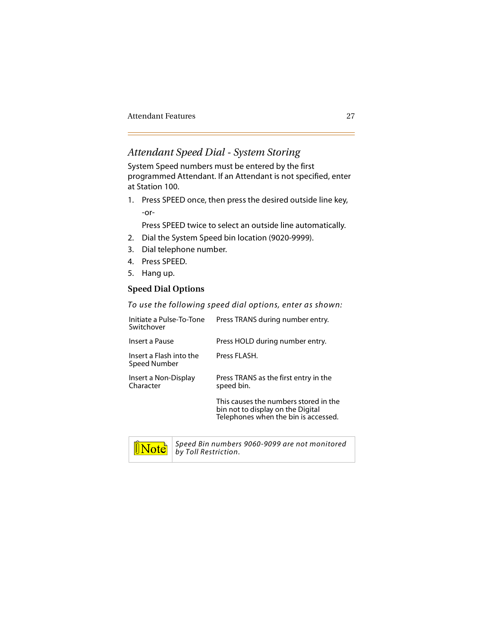### *Attendant Speed Dial - System Storing*

System Speed numbers must be entered by the first programmed Attendant. If an Attendant is not specified, enter at Station 100.

1. Press SPEED once, then press the desired outside line key, -or-

Press SPEED twice to select an outside line automatically.

- 2. Dial the System Speed bin location (9020-9999).
- 3. Dial telephone number.
- 4. Press SPEED.
- 5. Hang up.

#### **Speed Dial Options**

*To use the following speed dial options, enter as shown:*

| Initiate a Pulse-To-Tone<br>Switchover  | Press TRANS during number entry.                                                                                   |
|-----------------------------------------|--------------------------------------------------------------------------------------------------------------------|
| Insert a Pause                          | Press HOLD during number entry.                                                                                    |
| Insert a Flash into the<br>Speed Number | Press FLASH.                                                                                                       |
| Insert a Non-Display<br>Character       | Press TRANS as the first entry in the<br>speed bin.                                                                |
|                                         | This causes the numbers stored in the<br>bin not to display on the Digital<br>Telephones when the bin is accessed. |



*Speed Bin numbers 9060-9099 are not monitored by Toll Restriction.*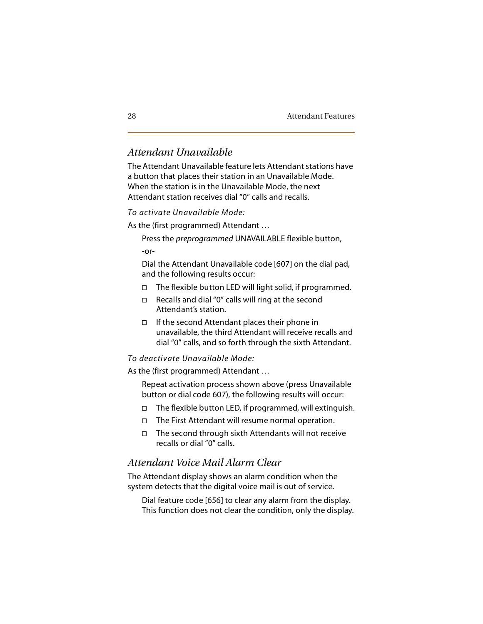### *Attendant Unavailable*

The Attendant Unavailable feature lets Attendant stations have a button that places their station in an Unavailable Mode. When the station is in the Unavailable Mode, the next Attendant station receives dial "0" calls and recalls.

*To activate Unavailable Mode:*

As the (first programmed) Attendant …

Press the *preprogrammed* UNAVAILABLE flexible button,

-or-

Dial the Attendant Unavailable code [607] on the dial pad, and the following results occur:

- $\Box$  The flexible button LED will light solid, if programmed.
- $\Box$  Recalls and dial "0" calls will ring at the second Attendant's station.
- $\Box$  If the second Attendant places their phone in unavailable, the third Attendant will receive recalls and dial "0" calls, and so forth through the sixth Attendant.

#### *To deactivate Unavailable Mode:*

As the (first programmed) Attendant …

Repeat activation process shown above (press Unavailable button or dial code 607), the following results will occur:

- $\Box$  The flexible button LED, if programmed, will extinguish.
- $\Box$  The First Attendant will resume normal operation.
- $\Box$  The second through sixth Attendants will not receive recalls or dial "0" calls.

### *Attendant Voice Mail Alarm Clear*

The Attendant display shows an alarm condition when the system detects that the digital voice mail is out of service.

Dial feature code [656] to clear any alarm from the display. This function does not clear the condition, only the display.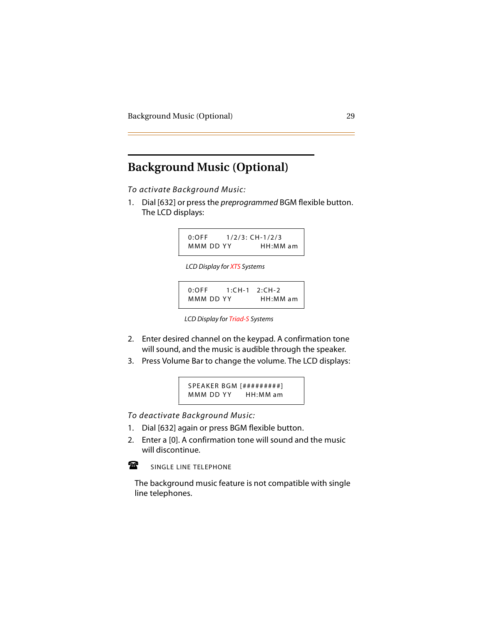# **Background Music (Optional)**

*To activate Background Music:*

1. Dial [632] or press the *preprogrammed* BGM flexible button. The LCD displays:

> 0:OFF 1/2/3: CH-1/2/3 MMM DD YY HH:MM am

 *LCD Display for XTS Systems*

0:OFF 1:CH-1 2:CH-2 MMM DD YY HH:MM am

- 2. Enter desired channel on the keypad. A confirmation tone will sound, and the music is audible through the speaker.
- 3. Press Volume Bar to change the volume. The LCD displays:

SPEAKER BGM [#########] MMM DD YY HH: MM am

*To deactivate Background Music:*

- 1. Dial [632] again or press BGM flexible button.
- 2. Enter a [0]. A confirmation tone will sound and the music will discontinue.



SINGLE LINE TELEPHONE

- T<sub>ar</sub> The background music feature is not compatible with single line telephones.

*LCD Display for Triad-S Systems*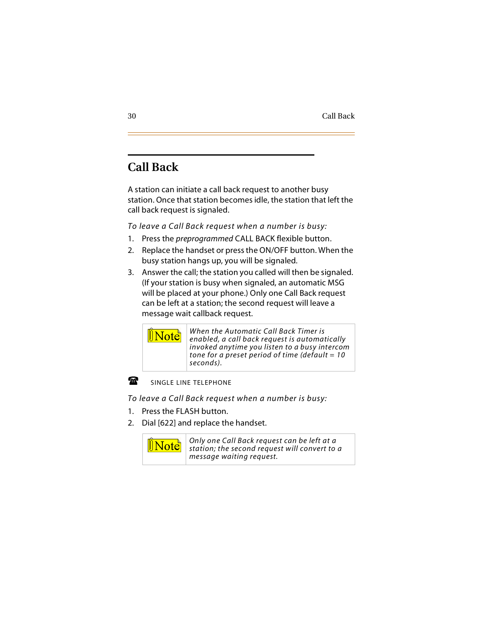# **Call Back**

A station can initiate a call back request to another busy station. Once that station becomes idle, the station that left the call back request is signaled.

*To leave a Call Back request when a number is busy:*

- 1. Press the *preprogrammed* CALL BACK flexible button.
- 2. Replace the handset or press the ON/OFF button. When the busy station hangs up, you will be signaled.
- 3. Answer the call; the station you called will then be signaled. (If your station is busy when signaled, an automatic MSG will be placed at your phone.) Only one Call Back request can be left at a station; the second request will leave a message wait callback request.



#### Ŧ SINGLE LINE TELEPHONE

 $\Box$ *To leave a Call Back request when a number is busy:*

- 1. Press the FLASH button.
- 2. Dial [622] and replace the handset.

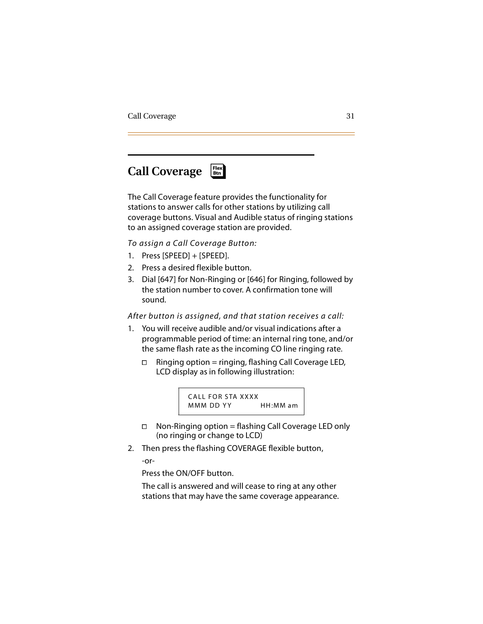### **Call Coverage** ❑ **Flex Btn**

The Call Coverage feature provides the functionality for stations to answer calls for other stations by utilizing call coverage buttons. Visual and Audible status of ringing stations to an assigned coverage station are provided.

*To assign a Call Coverage Button:*

- 1. Press [SPEED] + [SPEED].
- 2. Press a desired flexible button.
- 3. Dial [647] for Non-Ringing or [646] for Ringing, followed by the station number to cover. A confirmation tone will sound.

#### *After button is assigned, and that station receives a call:*

- 1. You will receive audible and/or visual indications after a programmable period of time: an internal ring tone, and/or the same flash rate as the incoming CO line ringing rate.
	- $\Box$  Ringing option = ringing, flashing Call Coverage LED, LCD display as in following illustration:



- $\Box$  Non-Ringing option = flashing Call Coverage LED only (no ringing or change to LCD)
- 2. Then press the flashing COVERAGE flexible button,

-or-

Press the ON/OFF button.

The call is answered and will cease to ring at any other stations that may have the same coverage appearance.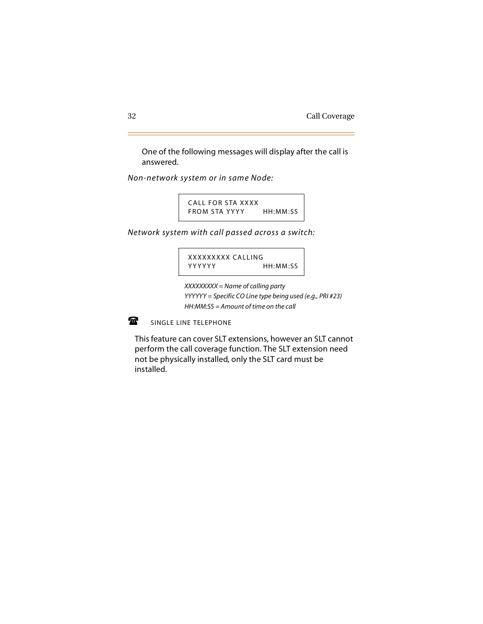One of the following messages will display after the call is answered.

*Non-network system or in same Node:*

CALL FOR STA XXXX FROM STA YYYY HH:MM:SS

*Network system with call passed across a switch:*

XXXXXXXXX CALLING YYYYYY HH:MM:SS

*XXXXXXXXX = Name of calling party YYYYYY = Specific CO Line type being used (e.g., PRI #23) HH:MM:SS = Amount of time on the call*

金 SINGLE LINE TELEPHONE

This feature can cover SLT extensions, however an SLT cannot perform the call coverage function. The SLT extension need not be physically installed, only the SLT card must be installed.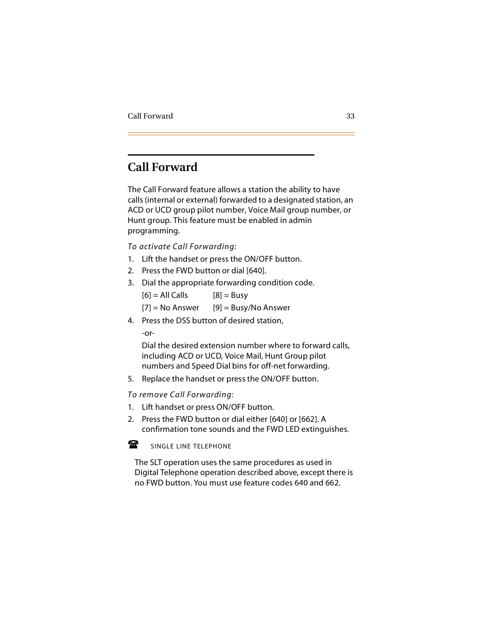# **Call Forward**

The Call Forward feature allows a station the ability to have calls (internal or external) forwarded to a designated station, an ACD or UCD group pilot number, Voice Mail group number, or Hunt group. This feature must be enabled in admin programming.

*To activate Call Forwarding:*

- 1. Lift the handset or press the ON/OFF button.
- 2. Press the FWD button or dial [640].
- 3. Dial the appropriate forwarding condition code.
	- $[6] = AllCalls$   $[8] = Busy$
	- $[7]$  = No Answer  $[9]$  = Busy/No Answer
- 4. Press the DSS button of desired station,

-or-

Dial the desired extension number where to forward calls, including ACD or UCD, Voice Mail, Hunt Group pilot numbers and Speed Dial bins for off-net forwarding.

5. Replace the handset or press the ON/OFF button.

*To remove Call Forwarding:*

- 1. Lift handset or press ON/OFF button.
- 2. Press the FWD button or dial either [640] or [662]. A confirmation tone sounds and the FWD LED extinguishes.

#### $\mathbf{F}$ SINGLE LINE TELEPHONE

The SLT operation uses the same procedures as used in Digital Telephone operation described above, except there is no FWD button. You must use feature codes 640 and 662.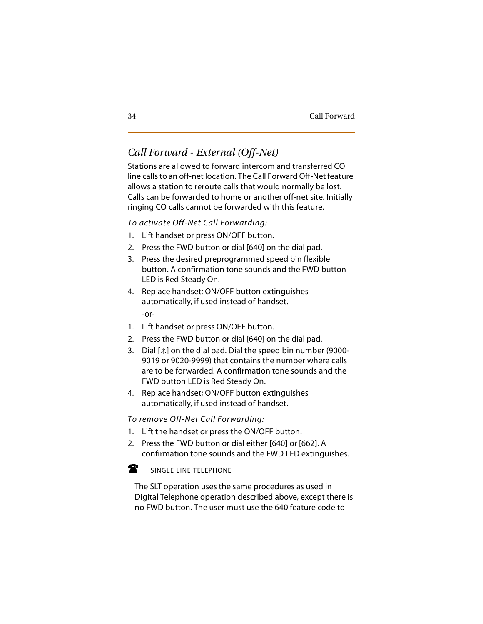# *Call Forward - External (Off-Net)*

Stations are allowed to forward intercom and transferred CO line calls to an off-net location. The Call Forward Off-Net feature allows a station to reroute calls that would normally be lost. Calls can be forwarded to home or another off-net site. Initially ringing CO calls cannot be forwarded with this feature.

*To activate Off-Net Call Forwarding:*

- 1. Lift handset or press ON/OFF button.
- 2. Press the FWD button or dial [640] on the dial pad.
- 3. Press the desired preprogrammed speed bin flexible button. A confirmation tone sounds and the FWD button LED is Red Steady On.
- 4. Replace handset; ON/OFF button extinguishes automatically, if used instead of handset. -or-
- 1. Lift handset or press ON/OFF button.
- 2. Press the FWD button or dial [640] on the dial pad.
- 3. Dial  $[+]$  on the dial pad. Dial the speed bin number (9000-9019 or 9020-9999) that contains the number where calls are to be forwarded. A confirmation tone sounds and the FWD button LED is Red Steady On.
- 4. Replace handset; ON/OFF button extinguishes automatically, if used instead of handset.

*To remove Off-Net Call Forwarding:*

- 1. Lift the handset or press the ON/OFF button.
- 2. Press the FWD button or dial either [640] or [662]. A confirmation tone sounds and the FWD LED extinguishes.

金 SINGLE LINE TELEPHONE

 $-1$ The SLT operation uses the same procedures as used in Digital Telephone operation described above, except there is no FWD button. The user must use the 640 feature code to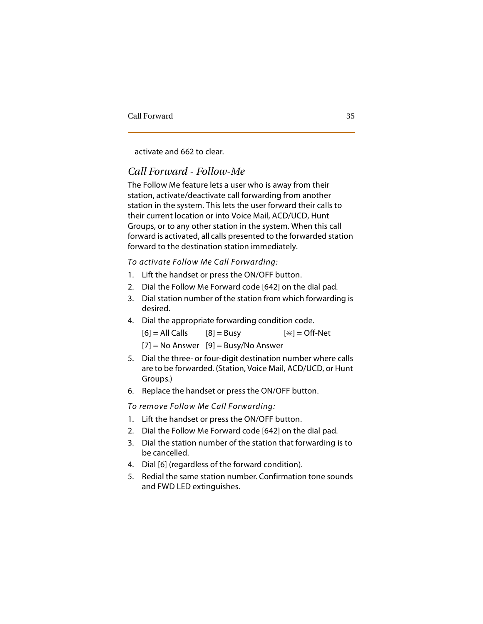activate and 662 to clear.

## *Call Forward - Follow-Me*

The Follow Me feature lets a user who is away from their station, activate/deactivate call forwarding from another station in the system. This lets the user forward their calls to their current location or into Voice Mail, ACD/UCD, Hunt Groups, or to any other station in the system. When this call forward is activated, all calls presented to the forwarded station forward to the destination station immediately.

#### *To activate Follow Me Call Forwarding:*

- 1. Lift the handset or press the ON/OFF button.
- 2. Dial the Follow Me Forward code [642] on the dial pad.
- 3. Dial station number of the station from which forwarding is desired.
- 4. Dial the appropriate forwarding condition code.

 $[6] = AllCalls$   $[8] = Busy$   $[\ast] = Off-Net$ 

```
[7] = No Answer [9] = Busy/No Answer
```
- 5. Dial the three- or four-digit destination number where calls are to be forwarded. (Station, Voice Mail, ACD/UCD, or Hunt Groups.)
- 6. Replace the handset or press the ON/OFF button.

*To remove Follow Me Call Forwarding:*

- 1. Lift the handset or press the ON/OFF button.
- 2. Dial the Follow Me Forward code [642] on the dial pad.
- 3. Dial the station number of the station that forwarding is to be cancelled.
- 4. Dial [6] (regardless of the forward condition).
- 5. Redial the same station number. Confirmation tone sounds and FWD LED extinguishes.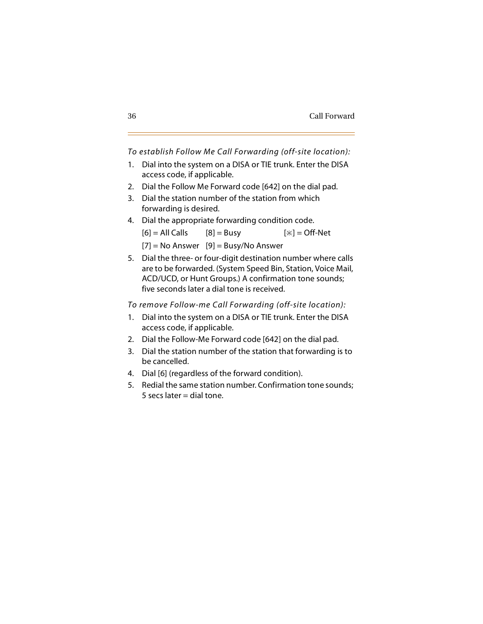*To establish Follow Me Call Forwarding (off-site location):*

- 1. Dial into the system on a DISA or TIE trunk. Enter the DISA access code, if applicable.
- 2. Dial the Follow Me Forward code [642] on the dial pad.
- 3. Dial the station number of the station from which forwarding is desired.
- 4. Dial the appropriate forwarding condition code.  $[6] = AllCalls \t[8] = Busy \t[*] = Off-Net$  $[7]$  = No Answer  $[9]$  = Busy/No Answer
- 5. Dial the three- or four-digit destination number where calls are to be forwarded. (System Speed Bin, Station, Voice Mail, ACD/UCD, or Hunt Groups.) A confirmation tone sounds; five seconds later a dial tone is received.

*To remove Follow-me Call Forwarding (off-site location):*

- 1. Dial into the system on a DISA or TIE trunk. Enter the DISA access code, if applicable.
- 2. Dial the Follow-Me Forward code [642] on the dial pad.
- 3. Dial the station number of the station that forwarding is to be cancelled.
- 4. Dial [6] (regardless of the forward condition).
- 5. Redial the same station number. Confirmation tone sounds;  $5$  secs later = dial tone.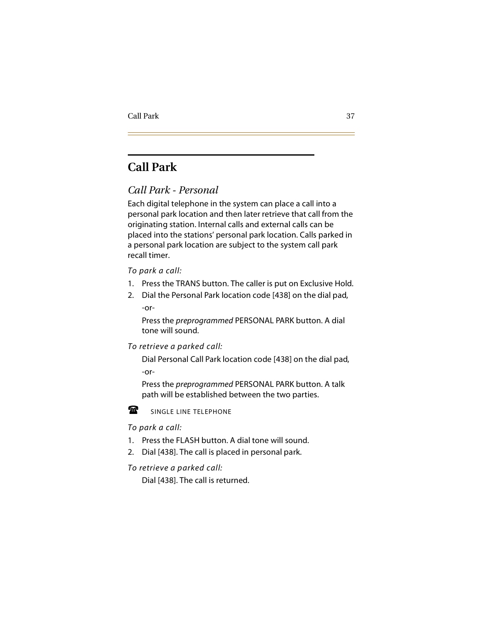# **Call Park**

## *Call Park - Personal*

Each digital telephone in the system can place a call into a personal park location and then later retrieve that call from the originating station. Internal calls and external calls can be placed into the stations' personal park location. Calls parked in a personal park location are subject to the system call park recall timer.

#### *To park a call:*

- 1. Press the TRANS button. The caller is put on Exclusive Hold.
- 2. Dial the Personal Park location code [438] on the dial pad, -or-

Press the *preprogrammed* PERSONAL PARK button. A dial tone will sound.

*To retrieve a parked call:*

Dial Personal Call Park location code [438] on the dial pad, -or-

Press the *preprogrammed* PERSONAL PARK button. A talk path will be established between the two parties.



SINGLE LINE TELEPHONE

#### -*To park a call:*

- 1. Press the FLASH button. A dial tone will sound.
- 2. Dial [438]. The call is placed in personal park.

*To retrieve a parked call:*

Dial [438]. The call is returned.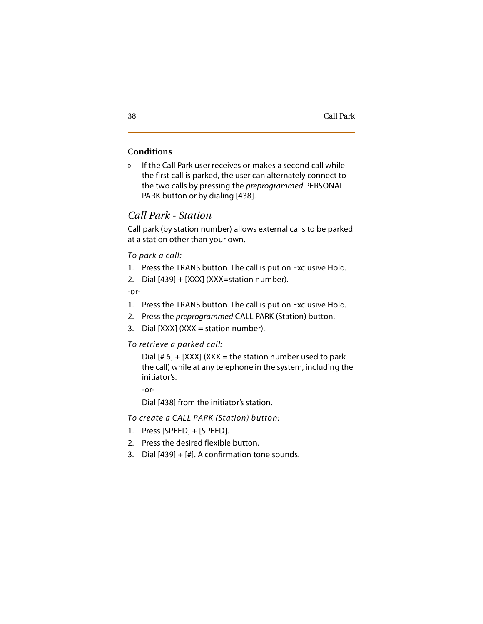### **Conditions**

» If the Call Park user receives or makes a second call while the first call is parked, the user can alternately connect to the two calls by pressing the *preprogrammed* PERSONAL PARK button or by dialing [438].

## *Call Park - Station*

Call park (by station number) allows external calls to be parked at a station other than your own.

*To park a call:*

- 1. Press the TRANS button. The call is put on Exclusive Hold.
- 2. Dial [439] + [XXX] (XXX=station number).

-or-

- 1. Press the TRANS button. The call is put on Exclusive Hold.
- 2. Press the *preprogrammed* CALL PARK (Station) button.
- 3. Dial  $[XXX]$   $(XXX = station number)$ .

#### *To retrieve a parked call:*

Dial  $[# 6] + [XXX]$  (XXX = the station number used to park the call) while at any telephone in the system, including the initiator's.

-or-

Dial [438] from the initiator's station.

*To create a CALL PARK (Station) button:*

- 1. Press [SPEED] + [SPEED].
- 2. Press the desired flexible button.
- 3. Dial  $[439] + [4]$ . A confirmation tone sounds.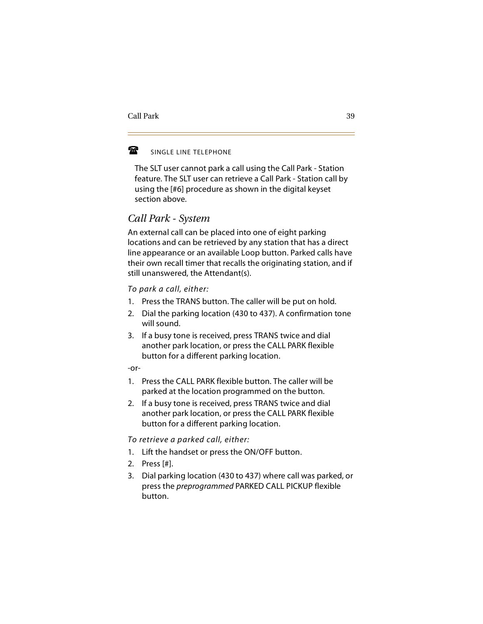#### 魯 SINGLE LINE TELEPHONE

The SLT user cannot park a call using the Call Park - Station feature. The SLT user can retrieve a Call Park - Station call by using the [#6] procedure as shown in the digital keyset section above.

## *Call Park - System*

An external call can be placed into one of eight parking locations and can be retrieved by any station that has a direct line appearance or an available Loop button. Parked calls have their own recall timer that recalls the originating station, and if still unanswered, the Attendant(s).

*To park a call, either:*

- 1. Press the TRANS button. The caller will be put on hold.
- 2. Dial the parking location (430 to 437). A confirmation tone will sound.
- 3. If a busy tone is received, press TRANS twice and dial another park location, or press the CALL PARK flexible button for a different parking location.

-or-

- 1. Press the CALL PARK flexible button. The caller will be parked at the location programmed on the button.
- 2. If a busy tone is received, press TRANS twice and dial another park location, or press the CALL PARK flexible button for a different parking location.

#### *To retrieve a parked call, either:*

- 1. Lift the handset or press the ON/OFF button.
- 2. Press [#].
- 3. Dial parking location (430 to 437) where call was parked, or press the *preprogrammed* PARKED CALL PICKUP flexible button.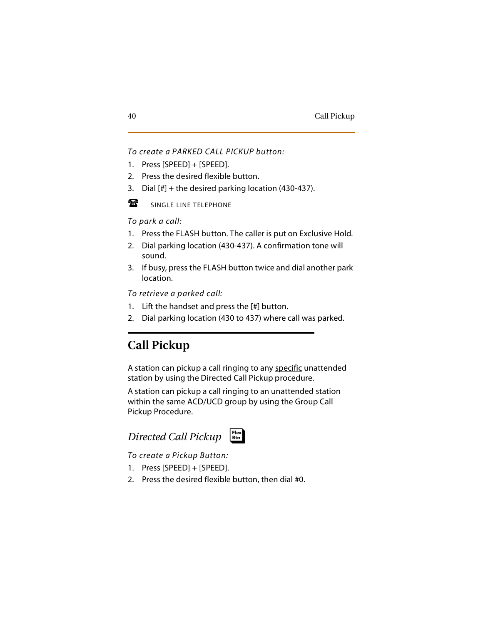#### *To create a PARKED CALL PICKUP button:*

- 1. Press [SPEED] + [SPEED].
- 2. Press the desired flexible button.
- 3. Dial [#] + the desired parking location (430-437).
- $\mathbf{F}$ SINGLE LINE TELEPHONE

*To park a call:*

- 1. Press the FLASH button. The caller is put on Exclusive Hold.
- 2. Dial parking location (430-437). A confirmation tone will sound.
- 3. If busy, press the FLASH button twice and dial another park location.

*To retrieve a parked call:*

- 1. Lift the handset and press the [#] button.
- 2. Dial parking location (430 to 437) where call was parked.

# **Call Pickup**

A station can pickup a call ringing to any specific unattended station by using the Directed Call Pickup procedure.

A station can pickup a call ringing to an unattended station within the same ACD/UCD group by using the Group Call Pickup Procedure.



*To create a Pickup Button:*

- 1. Press [SPEED] + [SPEED].
- 2. Press the desired flexible button, then dial #0.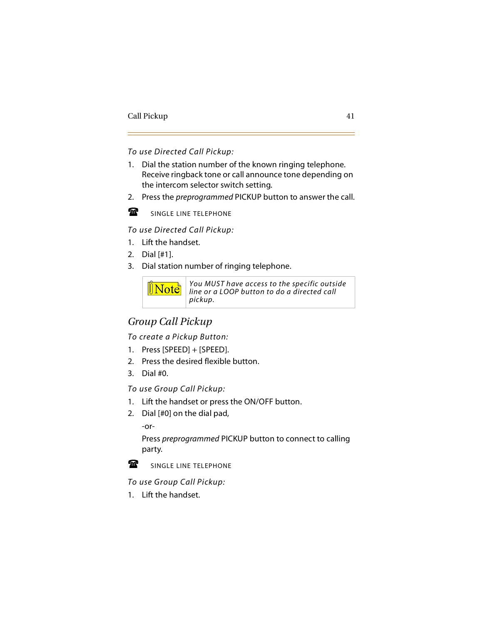*To use Directed Call Pickup:*

- 1. Dial the station number of the known ringing telephone. Receive ringback tone or call announce tone depending on the intercom selector switch setting.
- 2. Press the *preprogrammed* PICKUP button to answer the call.



SINGLE LINE TELEPHONE

*To use Directed Call Pickup:*

- 1. Lift the handset.
- 2. Dial [#1].
- 3. Dial station number of ringing telephone.



*You MUST have access to the specific outside line or a LOOP button to do a directed call pickup.*

# *Group Call Pickup*

*To create a Pickup Button:*

- 1. Press [SPEED] + [SPEED].
- 2. Press the desired flexible button.
- 3. Dial #0.

*To use Group Call Pickup:*

- 1. Lift the handset or press the ON/OFF button.
- 2. Dial [#0] on the dial pad,

-or-

Press *preprogrammed* PICKUP button to connect to calling party.



SINGLE LINE TELEPHONE

**-***To use Group Call Pickup:*

1. Lift the handset.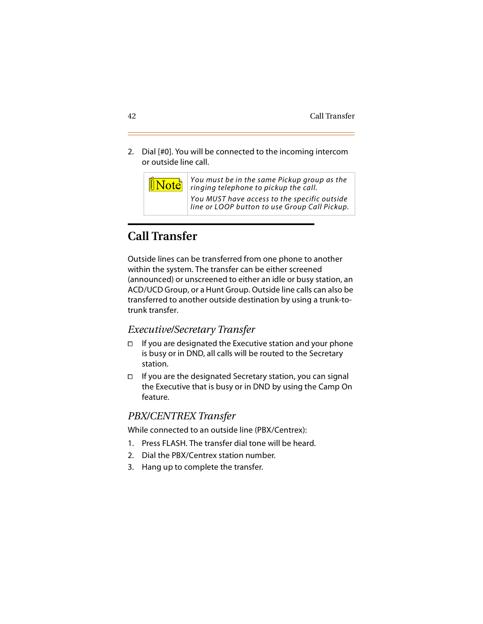2. Dial [#0]. You will be connected to the incoming intercom or outside line call.

> *You must be in the same Pickup group as the ringing telephone to pickup the call.*

*You MUST have access to the specific outside line or LOOP button to use Group Call Pickup.*

# **Call Transfer**

**Note** 

Outside lines can be transferred from one phone to another within the system. The transfer can be either screened (announced) or unscreened to either an idle or busy station, an ACD/UCD Group, or a Hunt Group. Outside line calls can also be transferred to another outside destination by using a trunk-totrunk transfer.

### *Executive/Secretary Transfer*

- $\Box$  If you are designated the Executive station and your phone is busy or in DND, all calls will be routed to the Secretary station.
- $\Box$  If you are the designated Secretary station, you can signal the Executive that is busy or in DND by using the Camp On feature.

## *PBX/CENTREX Transfer*

While connected to an outside line (PBX/Centrex):

- 1. Press FLASH. The transfer dial tone will be heard.
- 2. Dial the PBX/Centrex station number.
- 3. Hang up to complete the transfer.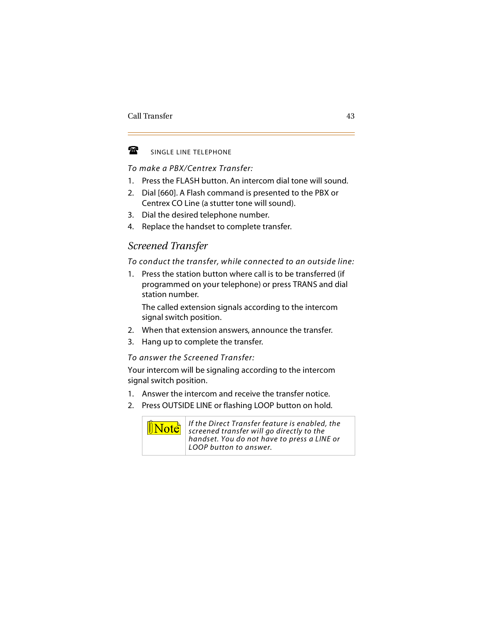

#### SINGLE LINE TELEPHONE

#### *To make a PBX/Centrex Transfer:*

- 1. Press the FLASH button. An intercom dial tone will sound.
- 2. Dial [660]. A Flash command is presented to the PBX or Centrex CO Line (a stutter tone will sound).
- 3. Dial the desired telephone number.
- 4. Replace the handset to complete transfer.

## *Screened Transfer*

#### *To conduct the transfer, while connected to an outside line:*

1. Press the station button where call is to be transferred (if programmed on your telephone) or press TRANS and dial station number.

The called extension signals according to the intercom signal switch position.

- 2. When that extension answers, announce the transfer.
- 3. Hang up to complete the transfer.

#### *To answer the Screened Transfer:*

Your intercom will be signaling according to the intercom signal switch position.

- 1. Answer the intercom and receive the transfer notice.
- 2. Press OUTSIDE LINE or flashing LOOP button on hold.



*If the Direct Transfer feature is enabled, the screened transfer will go directly to the handset. You do not have to press a LINE or LOOP button to answer.*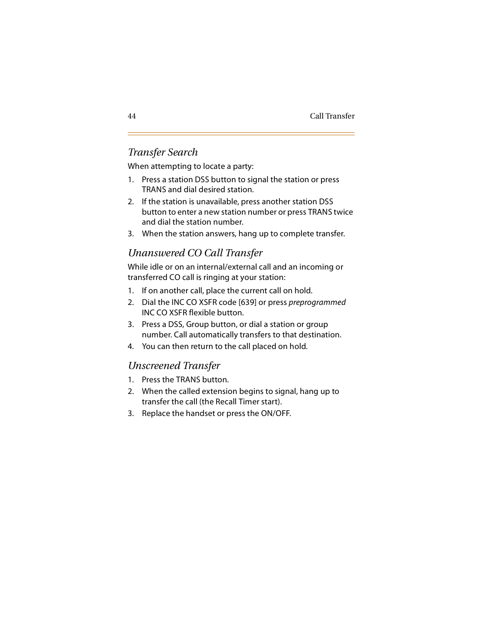## *Transfer Search*

When attempting to locate a party:

- 1. Press a station DSS button to signal the station or press TRANS and dial desired station.
- 2. If the station is unavailable, press another station DSS button to enter a new station number or press TRANS twice and dial the station number.
- 3. When the station answers, hang up to complete transfer.

# *Unanswered CO Call Transfer*

While idle or on an internal/external call and an incoming or transferred CO call is ringing at your station:

- 1. If on another call, place the current call on hold.
- 2. Dial the INC CO XSFR code [639] or press *preprogrammed* INC CO XSFR flexible button.
- 3. Press a DSS, Group button, or dial a station or group number. Call automatically transfers to that destination.
- 4. You can then return to the call placed on hold.

## *Unscreened Transfer*

- 1. Press the TRANS button.
- 2. When the called extension begins to signal, hang up to transfer the call (the Recall Timer start).
- 3. Replace the handset or press the ON/OFF.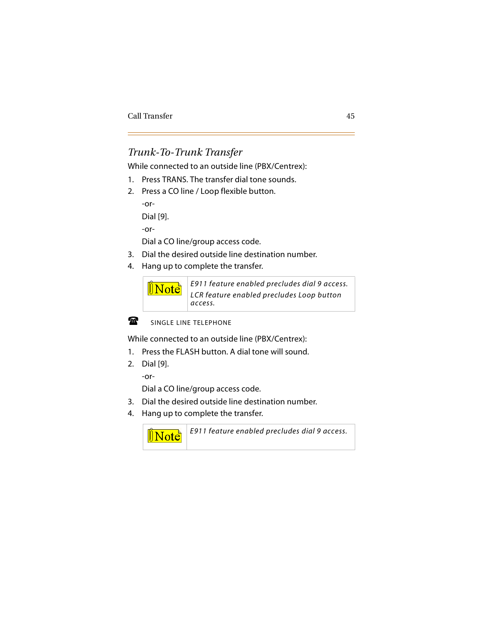# *Trunk-To-Trunk Transfer*

While connected to an outside line (PBX/Centrex):

- 1. Press TRANS. The transfer dial tone sounds.
- 2. Press a CO line / Loop flexible button.

```
-or-
Dial [9].
-or-
```
Dial a CO line/group access code.

- 3. Dial the desired outside line destination number.
- 4. Hang up to complete the transfer.





SINGLE LINE TELEPHONE

While connected to an outside line (PBX/Centrex):

- 1. Press the FLASH button. A dial tone will sound.
- 2. Dial [9].

-or-

Dial a CO line/group access code.

- 3. Dial the desired outside line destination number.
- 4. Hang up to complete the transfer.

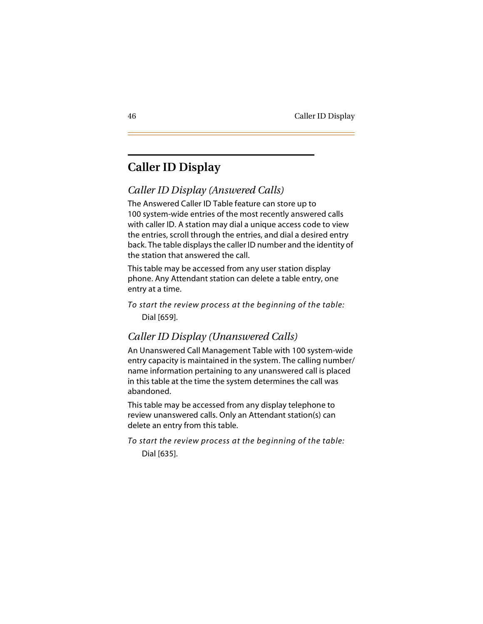# **Caller ID Display**

# *Caller ID Display (Answered Calls)*

The Answered Caller ID Table feature can store up to 100 system-wide entries of the most recently answered calls with caller ID. A station may dial a unique access code to view the entries, scroll through the entries, and dial a desired entry back. The table displays the caller ID number and the identity of the station that answered the call.

This table may be accessed from any user station display phone. Any Attendant station can delete a table entry, one entry at a time.

*To start the review process at the beginning of the table:* Dial [659].

# *Caller ID Display (Unanswered Calls)*

An Unanswered Call Management Table with 100 system-wide entry capacity is maintained in the system. The calling number/ name information pertaining to any unanswered call is placed in this table at the time the system determines the call was abandoned.

This table may be accessed from any display telephone to review unanswered calls. Only an Attendant station(s) can delete an entry from this table.

*To start the review process at the beginning of the table:* Dial [635].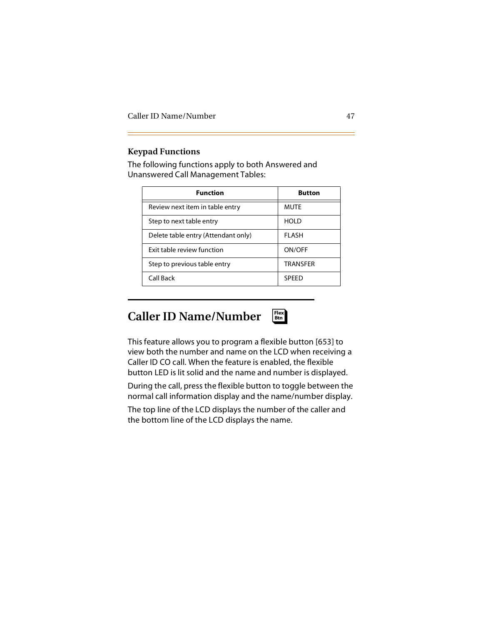#### **Keypad Functions**

The following functions apply to both Answered and Unanswered Call Management Tables:

| <b>Function</b>                     | <b>Button</b>   |  |
|-------------------------------------|-----------------|--|
| Review next item in table entry     | <b>MUTE</b>     |  |
| Step to next table entry            | <b>HOLD</b>     |  |
| Delete table entry (Attendant only) | <b>FLASH</b>    |  |
| Exit table review function          | ON/OFF          |  |
| Step to previous table entry        | <b>TRANSFFR</b> |  |
| Call Back                           | <b>SPFFD</b>    |  |

# **Caller ID Name/Number**



This feature allows you to program a flexible button [653] to view both the number and name on the LCD when receiving a Caller ID CO call. When the feature is enabled, the flexible button LED is lit solid and the name and number is displayed.

During the call, press the flexible button to toggle between the normal call information display and the name/number display.

The top line of the LCD displays the number of the caller and the bottom line of the LCD displays the name.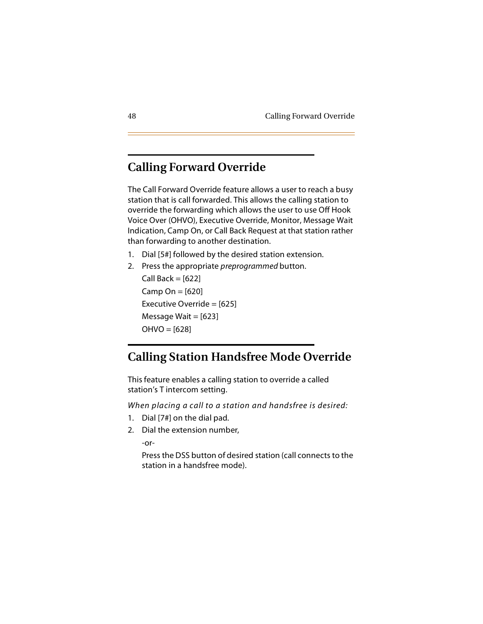# **Calling Forward Override**

The Call Forward Override feature allows a user to reach a busy station that is call forwarded. This allows the calling station to override the forwarding which allows the user to use Off Hook Voice Over (OHVO), Executive Override, Monitor, Message Wait Indication, Camp On, or Call Back Request at that station rather than forwarding to another destination.

- 1. Dial [5#] followed by the desired station extension.
- 2. Press the appropriate *preprogrammed* button.

Call Back  $=$  [622] Camp On  $=$  [620] Executive Override = [625] Message Wait  $=$  [623]  $OHVO = [628]$ 

# **Calling Station Handsfree Mode Override**

This feature enables a calling station to override a called station's T intercom setting.

*When placing a call to a station and handsfree is desired:*

- 1. Dial [7#] on the dial pad.
- 2. Dial the extension number,

-or-

Press the DSS button of desired station (call connects to the station in a handsfree mode).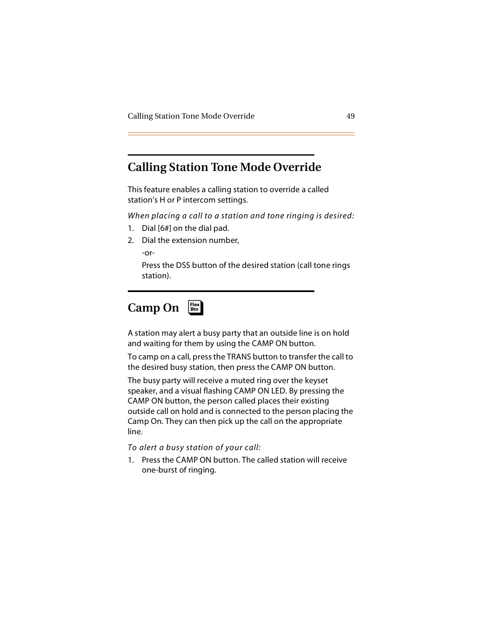# **Calling Station Tone Mode Override**

This feature enables a calling station to override a called station's H or P intercom settings.

*When placing a call to a station and tone ringing is desired:*

- 1. Dial [6#] on the dial pad.
- 2. Dial the extension number,

-or-

Press the DSS button of the desired station (call tone rings station).

### **Camp On** ❑ **Flex Btn**

A station may alert a busy party that an outside line is on hold and waiting for them by using the CAMP ON button.

To camp on a call, press the TRANS button to transfer the call to the desired busy station, then press the CAMP ON button.

The busy party will receive a muted ring over the keyset speaker, and a visual flashing CAMP ON LED. By pressing the CAMP ON button, the person called places their existing outside call on hold and is connected to the person placing the Camp On. They can then pick up the call on the appropriate line.

*To alert a busy station of your call:*

1. Press the CAMP ON button. The called station will receive one-burst of ringing.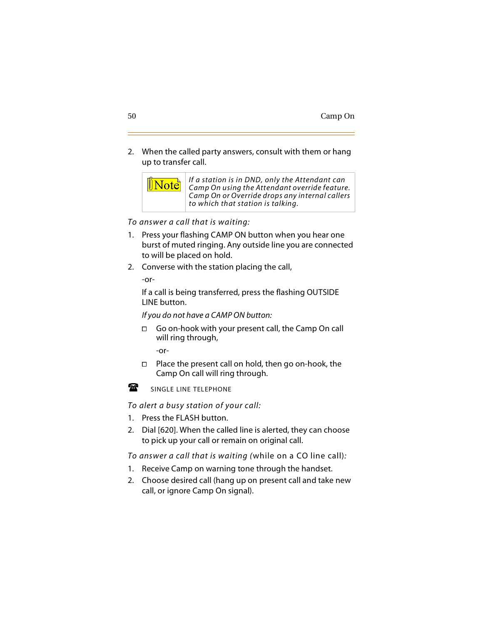2. When the called party answers, consult with them or hang up to transfer call.



*To answer a call that is waiting:*

- 1. Press your flashing CAMP ON button when you hear one burst of muted ringing. Any outside line you are connected to will be placed on hold.
- 2. Converse with the station placing the call,

-or-

If a call is being transferred, press the flashing OUTSIDE LINE button.

*If you do not have a CAMP ON button:*

 Go on-hook with your present call, the Camp On call will ring through,

-or-

 $\Box$  Place the present call on hold, then go on-hook, the Camp On call will ring through.



SINGLE LINE TELEPHONE

*To alert a busy station of your call:*

- 1. Press the FLASH button.
- 2. Dial [620]. When the called line is alerted, they can choose to pick up your call or remain on original call.

*To answer a call that is waiting (*while on a CO line call)*:*

- 1. Receive Camp on warning tone through the handset.
- 2. Choose desired call (hang up on present call and take new call, or ignore Camp On signal).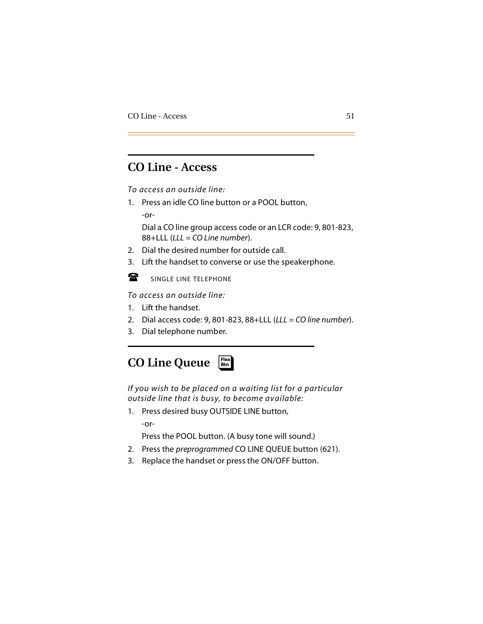# **CO Line - Access**

*To access an outside line:*

1. Press an idle CO line button or a POOL button,

-or-

Dial a CO line group access code or an LCR code: 9, 801-823, 88+LLL (*LLL = CO Line number*).

- 2. Dial the desired number for outside call.
- 3. Lift the handset to converse or use the speakerphone.

 $\mathbf{r}$ SINGLE LINE TELEPHONE

-*To access an outside line:*

- 1. Lift the handset.
- 2. Dial access code: 9, 801-823, 88+LLL (*LLL = CO line number*).
- 3. Dial telephone number.

### **CO Line Queue** ❑ **Flex Btn**

*If you wish to be placed on a waiting list for a particular outside line that is busy, to become available:*

1. Press desired busy OUTSIDE LINE button,

-or-

Press the POOL button. (A busy tone will sound.)

- 2. Press the *preprogrammed* CO LINE QUEUE button (621).
- 3. Replace the handset or press the ON/OFF button.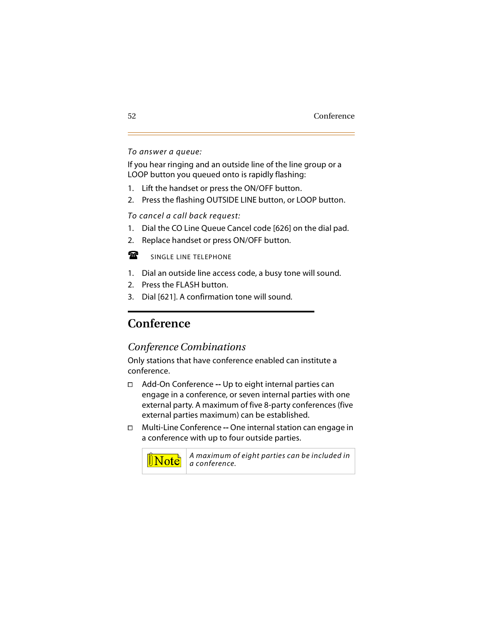#### *To answer a queue:*

If you hear ringing and an outside line of the line group or a LOOP button you queued onto is rapidly flashing:

- 1. Lift the handset or press the ON/OFF button.
- 2. Press the flashing OUTSIDE LINE button, or LOOP button.

*To cancel a call back request:*

- 1. Dial the CO Line Queue Cancel code [626] on the dial pad.
- 2. Replace handset or press ON/OFF button.

 $\mathbf{F}$ 

SINGLE LINE TELEPHONE

- 1. Dial an outside line access code, a busy tone will sound.
- 2. Press the FLASH button.
- 3. Dial [621]. A confirmation tone will sound.

# **Conference**

## *Conference Combinations*

Only stations that have conference enabled can institute a conference.

- Add-On Conference **--** Up to eight internal parties can engage in a conference, or seven internal parties with one external party. A maximum of five 8-party conferences (five external parties maximum) can be established.
- Multi-Line Conference **--** One internal station can engage in a conference with up to four outside parties.



*A maximum of eight parties can be included in a conference.*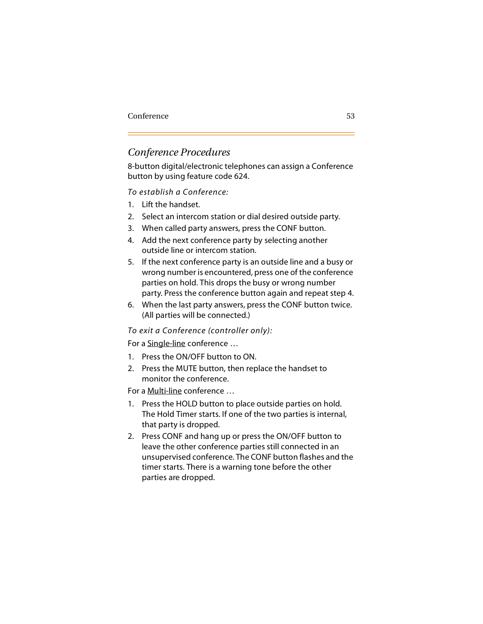## *Conference Procedures*

8-button digital/electronic telephones can assign a Conference button by using feature code 624.

#### *To establish a Conference:*

- 1. Lift the handset.
- 2. Select an intercom station or dial desired outside party.
- 3. When called party answers, press the CONF button.
- 4. Add the next conference party by selecting another outside line or intercom station.
- 5. If the next conference party is an outside line and a busy or wrong number is encountered, press one of the conference parties on hold. This drops the busy or wrong number party. Press the conference button again and repeat step 4.
- 6. When the last party answers, press the CONF button twice. (All parties will be connected.)

#### *To exit a Conference (controller only):*

For a Single-line conference …

- 1. Press the ON/OFF button to ON.
- 2. Press the MUTE button, then replace the handset to monitor the conference.

For a Multi-line conference …

- 1. Press the HOLD button to place outside parties on hold. The Hold Timer starts. If one of the two parties is internal, that party is dropped.
- 2. Press CONF and hang up or press the ON/OFF button to leave the other conference parties still connected in an unsupervised conference. The CONF button flashes and the timer starts. There is a warning tone before the other parties are dropped.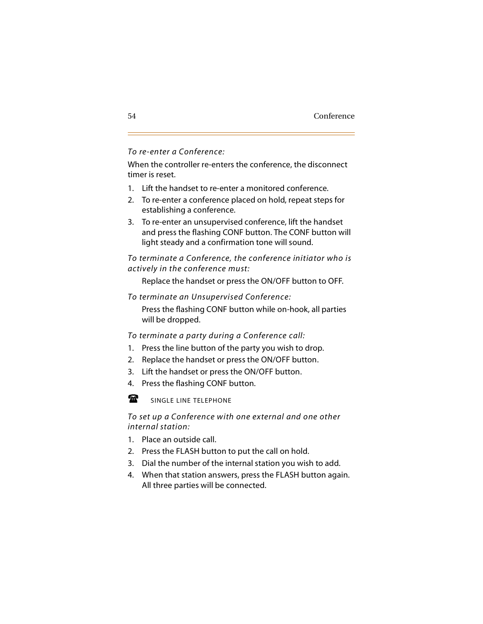#### *To re-enter a Conference:*

When the controller re-enters the conference, the disconnect timer is reset.

- 1. Lift the handset to re-enter a monitored conference.
- 2. To re-enter a conference placed on hold, repeat steps for establishing a conference.
- 3. To re-enter an unsupervised conference, lift the handset and press the flashing CONF button. The CONF button will light steady and a confirmation tone will sound.

*To terminate a Conference, the conference initiator who is actively in the conference must:*

Replace the handset or press the ON/OFF button to OFF.

*To terminate an Unsupervised Conference:*

Press the flashing CONF button while on-hook, all parties will be dropped.

*To terminate a party during a Conference call:*

- 1. Press the line button of the party you wish to drop.
- 2. Replace the handset or press the ON/OFF button.
- 3. Lift the handset or press the ON/OFF button.
- 4. Press the flashing CONF button.

魯 SINGLE LINE TELEPHONE

#### *To set up a Conference with one external and one other internal station:*

- 1. Place an outside call.
- 2. Press the FLASH button to put the call on hold.
- 3. Dial the number of the internal station you wish to add.
- 4. When that station answers, press the FLASH button again. All three parties will be connected.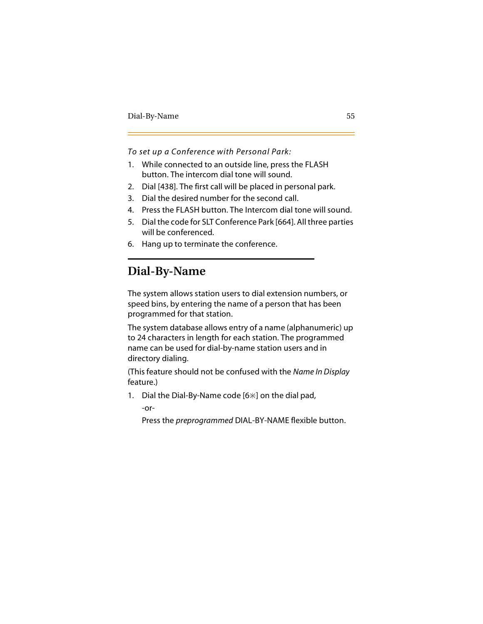*To set up a Conference with Personal Park:*

- 1. While connected to an outside line, press the FLASH button. The intercom dial tone will sound.
- 2. Dial [438]. The first call will be placed in personal park.
- 3. Dial the desired number for the second call.
- 4. Press the FLASH button. The Intercom dial tone will sound.
- 5. Dial the code for SLT Conference Park [664]. All three parties will be conferenced.
- 6. Hang up to terminate the conference.

# **Dial-By-Name**

The system allows station users to dial extension numbers, or speed bins, by entering the name of a person that has been programmed for that station.

The system database allows entry of a name (alphanumeric) up to 24 characters in length for each station. The programmed name can be used for dial-by-name station users and in directory dialing.

(This feature should not be confused with the *Name In Display* feature.)

1. Dial the Dial-By-Name code  $[6*]$  on the dial pad,

-or-

Press the *preprogrammed* DIAL-BY-NAME flexible button.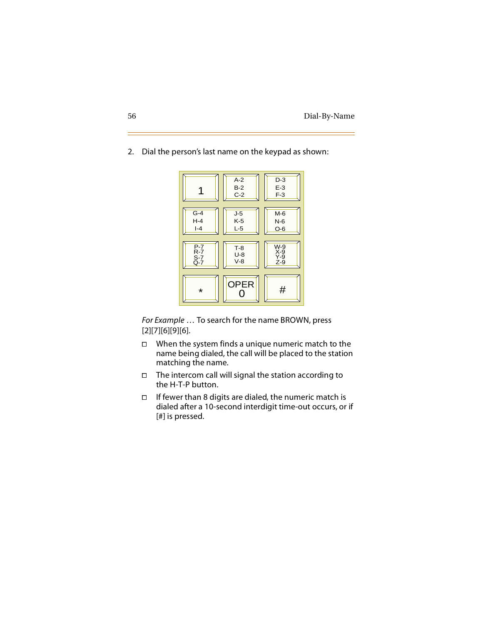

2. Dial the person's last name on the keypad as shown:

*For Example* … To search for the name BROWN, press [2][7][6][9][6].

- $\Box$  When the system finds a unique numeric match to the name being dialed, the call will be placed to the station matching the name.
- $\Box$  The intercom call will signal the station according to the H-T-P button.
- If fewer than 8 digits are dialed, the numeric match is dialed after a 10-second interdigit time-out occurs, or if [#] is pressed.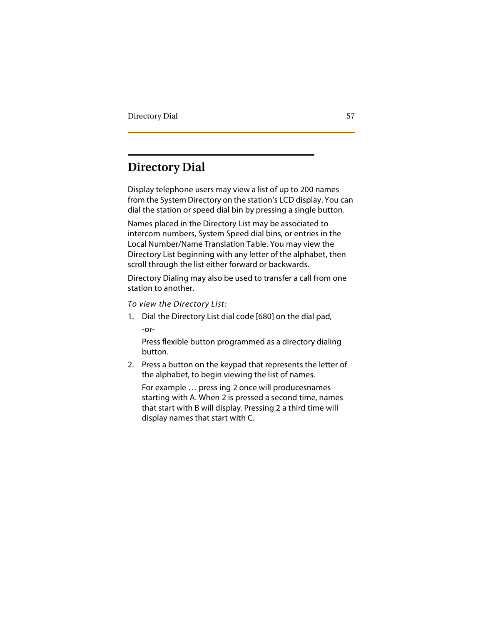# **Directory Dial**

Display telephone users may view a list of up to 200 names from the System Directory on the station's LCD display. You can dial the station or speed dial bin by pressing a single button.

Names placed in the Directory List may be associated to intercom numbers, System Speed dial bins, or entries in the Local Number/Name Translation Table. You may view the Directory List beginning with any letter of the alphabet, then scroll through the list either forward or backwards.

Directory Dialing may also be used to transfer a call from one station to another.

*To view the Directory List:*

1. Dial the Directory List dial code [680] on the dial pad, -or-

Press flexible button programmed as a directory dialing button.

2. Press a button on the keypad that represents the letter of the alphabet, to begin viewing the list of names.

For example … press ing 2 once will producesnames starting with A. When 2 is pressed a second time, names that start with B will display. Pressing 2 a third time will display names that start with C.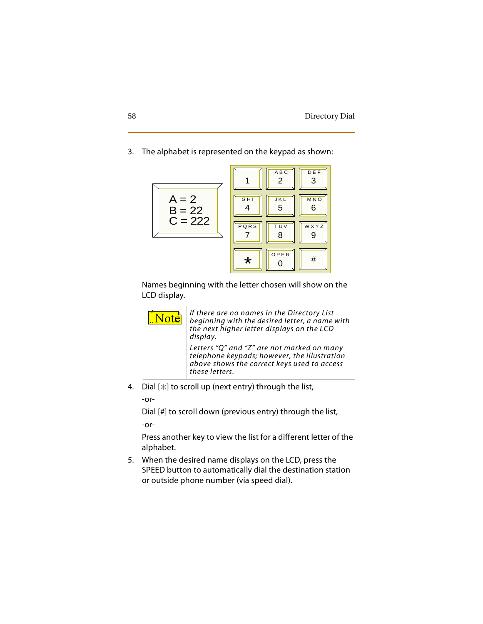#### 3. The alphabet is represented on the keypad as shown:



Names beginning with the letter chosen will show on the LCD display.



4. Dial  $[\ast]$  to scroll up (next entry) through the list,

-or-

Dial [#] to scroll down (previous entry) through the list, -or-

Press another key to view the list for a different letter of the alphabet.

5. When the desired name displays on the LCD, press the SPEED button to automatically dial the destination station or outside phone number (via speed dial).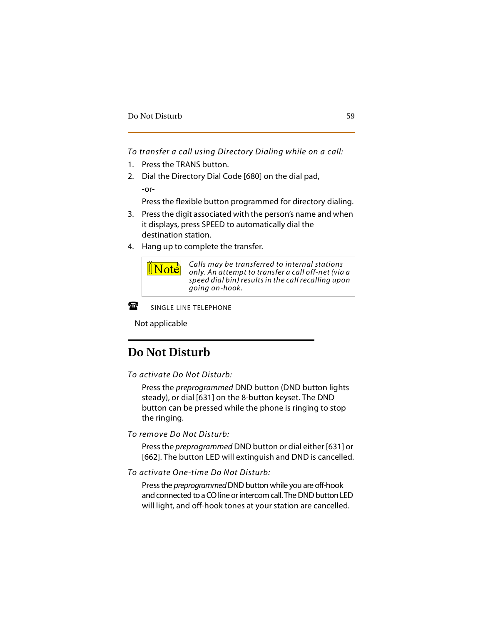*To transfer a call using Directory Dialing while on a call:*

- 1. Press the TRANS button.
- 2. Dial the Directory Dial Code [680] on the dial pad, -or-

Press the flexible button programmed for directory dialing.

- 3. Press the digit associated with the person's name and when it displays, press SPEED to automatically dial the destination station.
- 4. Hang up to complete the transfer.



*Calls may be transferred to internal stations only. An attempt to transfer a call off-net (via a speed dial bin) results in the call recalling upon going on-hook.*



SINGLE LINE TELEPHONE

- 7. s Not applicable

# **Do Not Disturb**

*To activate Do Not Disturb:*

Press the *preprogrammed* DND button (DND button lights steady), or dial [631] on the 8-button keyset. The DND button can be pressed while the phone is ringing to stop the ringing.

*To remove Do Not Disturb:*

Press the *preprogrammed* DND button or dial either [631] or [662]. The button LED will extinguish and DND is cancelled.

*To activate One-time Do Not Disturb:*

Press the *preprogrammed* DND button while you are off-hook and connected to a CO line or intercom call. The DND button LED will light, and off-hook tones at your station are cancelled.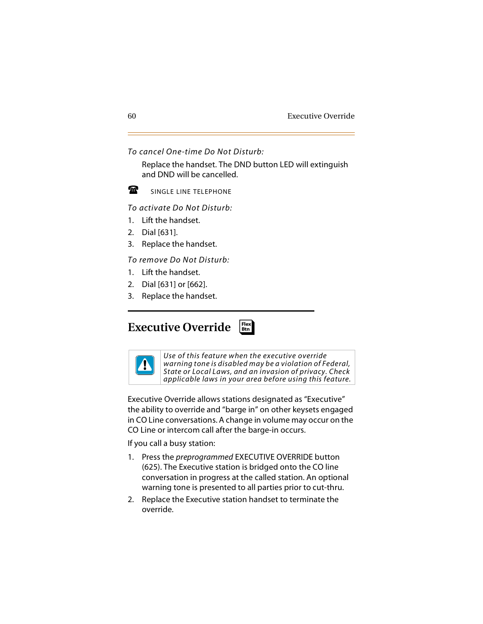*To cancel One-time Do Not Disturb:*

Replace the handset. The DND button LED will extinguish and DND will be cancelled.

金

SINGLE LINE TELEPHONE

**-***To activate Do Not Disturb:*

- 1. Lift the handset.
- 2. Dial [631].
- 3. Replace the handset.

*To remove Do Not Disturb:*

- 1. Lift the handset.
- 2. Dial [631] or [662].
- 3. Replace the handset.

#### **Executive Override** ❑ **Flex Btn**



*Use of this feature when the executive override warning tone is disabled may be a violation of Federal, State or Local Laws, and an invasion of privacy. Check applicable laws in your area before using this feature.*

Executive Override allows stations designated as "Executive" the ability to override and "barge in" on other keysets engaged in CO Line conversations. A change in volume may occur on the CO Line or intercom call after the barge-in occurs.

If you call a busy station:

- 1. Press the *preprogrammed* EXECUTIVE OVERRIDE button (625). The Executive station is bridged onto the CO line conversation in progress at the called station. An optional warning tone is presented to all parties prior to cut-thru.
- 2. Replace the Executive station handset to terminate the override.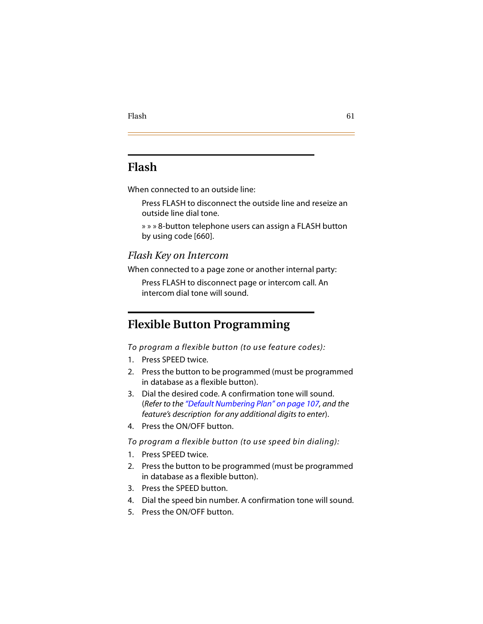# **Flash**

When connected to an outside line:

Press FLASH to disconnect the outside line and reseize an outside line dial tone.

» » » 8-button telephone users can assign a FLASH button by using code [660].

## *Flash Key on Intercom*

When connected to a page zone or another internal party:

Press FLASH to disconnect page or intercom call. An intercom dial tone will sound.

# <span id="page-74-0"></span>**Flexible Button Programming**

*To program a flexible button (to use feature codes):*

- 1. Press SPEED twice.
- 2. Press the button to be programmed (must be programmed in database as a flexible button).
- 3. Dial the desired code. A confirmation tone will sound. (*Refer to the ["Default Numbering Plan" on page 107,](#page-120-0) and the feature's description for any additional digits to enter*).
- 4. Press the ON/OFF button.

*To program a flexible button (to use speed bin dialing):*

- 1. Press SPEED twice.
- 2. Press the button to be programmed (must be programmed in database as a flexible button).
- 3. Press the SPEED button.
- 4. Dial the speed bin number. A confirmation tone will sound.
- 5. Press the ON/OFF button.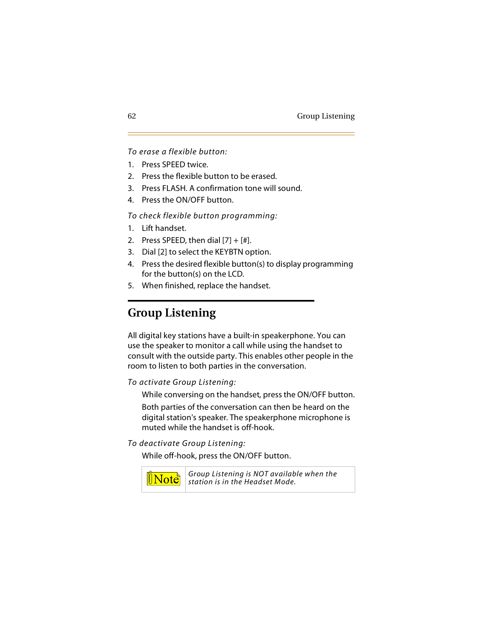#### *To erase a flexible button:*

- 1. Press SPEED twice.
- 2. Press the flexible button to be erased.
- 3. Press FLASH. A confirmation tone will sound.
- 4. Press the ON/OFF button.

*To check flexible button programming:*

- 1. Lift handset.
- 2. Press SPEED, then dial  $[7] + [#]$ .
- 3. Dial [2] to select the KEYBTN option.
- 4. Press the desired flexible button(s) to display programming for the button(s) on the LCD.
- 5. When finished, replace the handset.

# **Group Listening**

All digital key stations have a built-in speakerphone. You can use the speaker to monitor a call while using the handset to consult with the outside party. This enables other people in the room to listen to both parties in the conversation.

*To activate Group Listening:*

While conversing on the handset, press the ON/OFF button.

Both parties of the conversation can then be heard on the digital station's speaker. The speakerphone microphone is muted while the handset is off-hook.

*To deactivate Group Listening:*

While off-hook, press the ON/OFF button.



*Group Listening is NOT available when the station is in the Headset Mode.*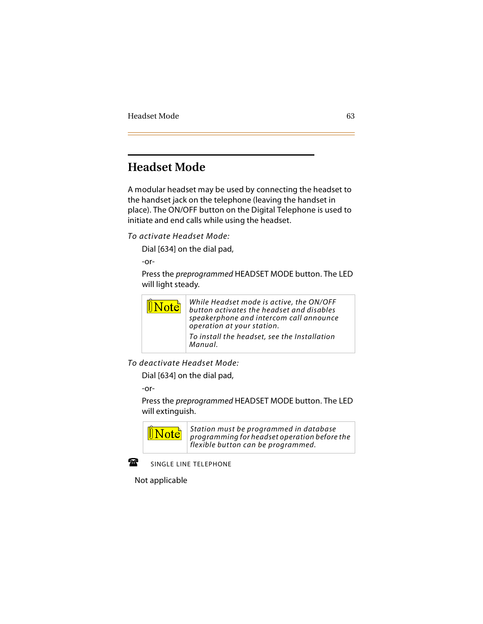# **Headset Mode**

A modular headset may be used by connecting the headset to the handset jack on the telephone (leaving the handset in place). The ON/OFF button on the Digital Telephone is used to initiate and end calls while using the headset.

*To activate Headset Mode:*

Dial [634] on the dial pad,

-or-

Press the *preprogrammed* HEADSET MODE button. The LED will light steady.



*To deactivate Headset Mode:*

Dial [634] on the dial pad,

-or-

Press the *preprogrammed* HEADSET MODE button. The LED will extinguish.



*Station must be programmed in database programming for headset operation before the flexible button can be programmed.*



SINGLE LINE TELEPHONE

Not applicable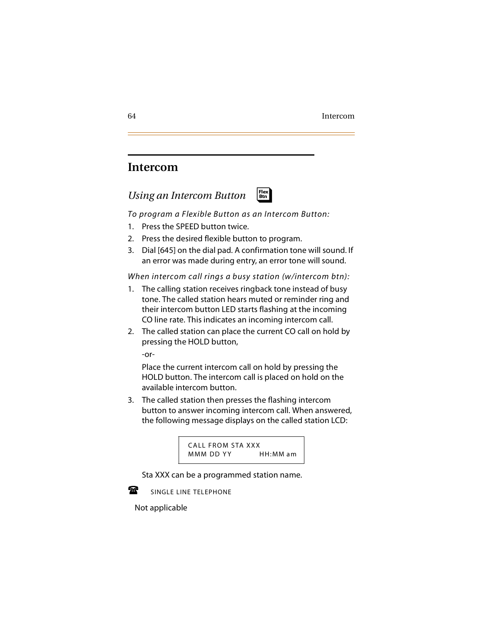## **Intercom**

## *Using an Intercom Button*



*To program a Flexible Button as an Intercom Button:*

- 1. Press the SPEED button twice.
- 2. Press the desired flexible button to program.
- 3. Dial [645] on the dial pad. A confirmation tone will sound. If an error was made during entry, an error tone will sound.

*When intercom call rings a busy station (w/intercom btn):*

- 1. The calling station receives ringback tone instead of busy tone. The called station hears muted or reminder ring and their intercom button LED starts flashing at the incoming CO line rate. This indicates an incoming intercom call.
- 2. The called station can place the current CO call on hold by pressing the HOLD button,

-or-

Place the current intercom call on hold by pressing the HOLD button. The intercom call is placed on hold on the available intercom button.

3. The called station then presses the flashing intercom button to answer incoming intercom call. When answered, the following message displays on the called station LCD:

CALL FROM STA XXX MMM DD YY HH: MM am

Sta XXX can be a programmed station name.



SINGLE LINE TELEPHONE

- 7. s Not applicable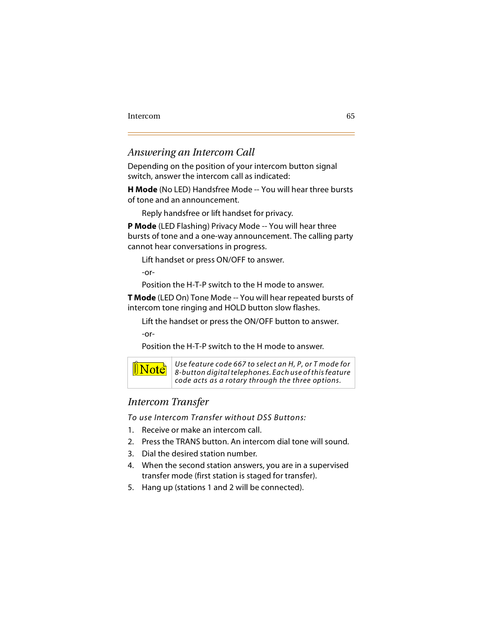## *Answering an Intercom Call*

Depending on the position of your intercom button signal switch, answer the intercom call as indicated:

**H Mode** (No LED) Handsfree Mode -- You will hear three bursts of tone and an announcement.

Reply handsfree or lift handset for privacy.

**P Mode** (LED Flashing) Privacy Mode -- You will hear three bursts of tone and a one-way announcement. The calling party cannot hear conversations in progress.

Lift handset or press ON/OFF to answer.

-or-

Position the H-T-P switch to the H mode to answer.

**T Mode** (LED On) Tone Mode -- You will hear repeated bursts of intercom tone ringing and HOLD button slow flashes.

Lift the handset or press the ON/OFF button to answer.

-or-

Position the H-T-P switch to the H mode to answer.



*Use feature code 667 to select an H, P, or T mode for 8-button digital telephones. Each use of this feature code acts as a rotary through the three options.*

## *Intercom Transfer*

*To use Intercom Transfer without DSS Buttons:*

- 1. Receive or make an intercom call.
- 2. Press the TRANS button. An intercom dial tone will sound.
- 3. Dial the desired station number.
- 4. When the second station answers, you are in a supervised transfer mode (first station is staged for transfer).
- 5. Hang up (stations 1 and 2 will be connected).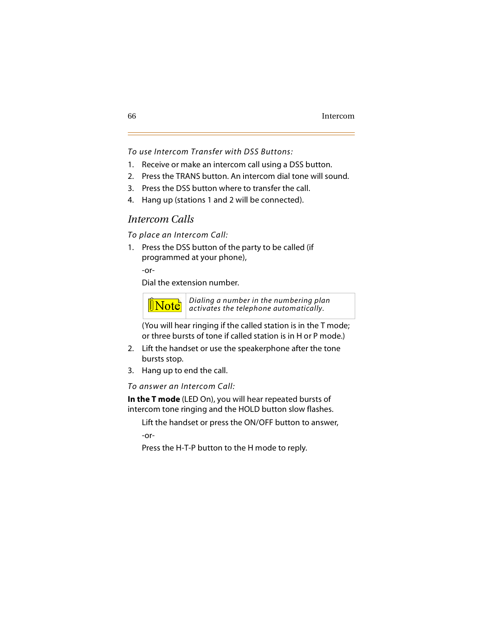*To use Intercom Transfer with DSS Buttons:*

- 1. Receive or make an intercom call using a DSS button.
- 2. Press the TRANS button. An intercom dial tone will sound.
- 3. Press the DSS button where to transfer the call.
- 4. Hang up (stations 1 and 2 will be connected).

## *Intercom Calls*

*To place an Intercom Call:*

1. Press the DSS button of the party to be called (if programmed at your phone),

-or-

Dial the extension number.



(You will hear ringing if the called station is in the T mode; or three bursts of tone if called station is in H or P mode.)

- 2. Lift the handset or use the speakerphone after the tone bursts stop.
- 3. Hang up to end the call.

*To answer an Intercom Call:*

**In the T mode** (LED On), you will hear repeated bursts of intercom tone ringing and the HOLD button slow flashes.

Lift the handset or press the ON/OFF button to answer, -or-

Press the H-T-P button to the H mode to reply.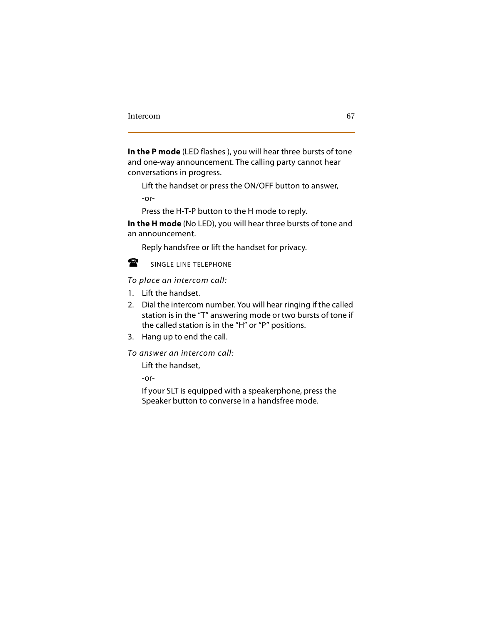**In the P mode** (LED flashes ), you will hear three bursts of tone and one-way announcement. The calling party cannot hear conversations in progress.

Lift the handset or press the ON/OFF button to answer, -or-

Press the H-T-P button to the H mode to reply.

**In the H mode** (No LED), you will hear three bursts of tone and an announcement.

Reply handsfree or lift the handset for privacy.



SINGLE LINE TELEPHONE

 $\Box$  . *To place an intercom call:*

- 1. Lift the handset.
- 2. Dial the intercom number. You will hear ringing if the called station is in the "T" answering mode or two bursts of tone if the called station is in the "H" or "P" positions.
- 3. Hang up to end the call.

*To answer an intercom call:*

Lift the handset,

-or-

If your SLT is equipped with a speakerphone, press the Speaker button to converse in a handsfree mode.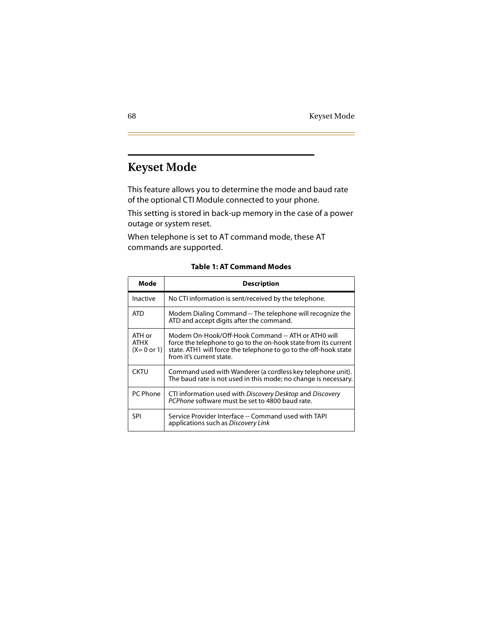# **Keyset Mode**

This feature allows you to determine the mode and baud rate of the optional CTI Module connected to your phone.

This setting is stored in back-up memory in the case of a power outage or system reset.

When telephone is set to AT command mode, these AT commands are supported.

| Mode                                           | <b>Description</b>                                                                                                                                                                                                    |
|------------------------------------------------|-----------------------------------------------------------------------------------------------------------------------------------------------------------------------------------------------------------------------|
| Inactive                                       | No CTI information is sent/received by the telephone.                                                                                                                                                                 |
| ATD                                            | Modem Dialing Command -- The telephone will recognize the<br>ATD and accept digits after the command.                                                                                                                 |
| ATH or<br><b>ATHX</b><br>$(X=0 \text{ or } 1)$ | Modem On-Hook/Off-Hook Command -- ATH or ATH0 will<br>force the telephone to go to the on-hook state from its current<br>state. ATH1 will force the telephone to go to the off-hook state<br>from it's current state. |
| <b>CKTU</b>                                    | Command used with Wanderer (a cordless key telephone unit).<br>The baud rate is not used in this mode; no change is necessary.                                                                                        |
| PC Phone                                       | CTI information used with Discovery Desktop and Discovery<br>PCPhone software must be set to 4800 baud rate.                                                                                                          |
| SPI                                            | Service Provider Interface -- Command used with TAPI<br>applications such as Discovery Link                                                                                                                           |

**Table 1: AT Command Modes**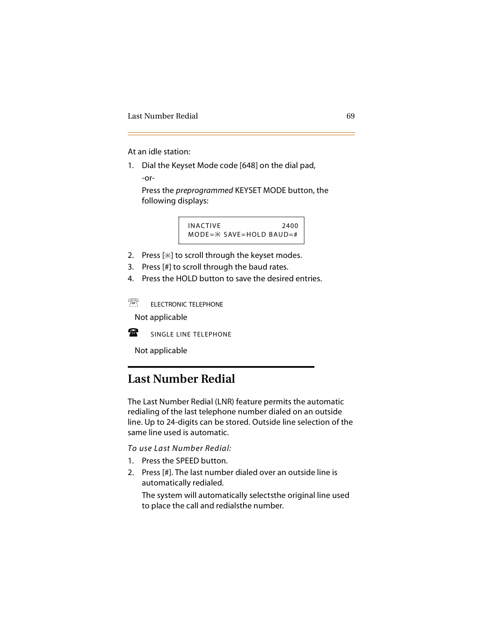At an idle station:

1. Dial the Keyset Mode code [648] on the dial pad,

-or-

Press the *preprogrammed* KEYSET MODE button, the following displays:

$$
INACTIVE\n
$$
MODE = * SAVE = HOLD BADD = *
$$
$$

- 2. Press  $[\ast]$  to scroll through the keyset modes.
- 3. Press [#] to scroll through the baud rates.
- 4. Press the HOLD button to save the desired entries.

Т ELECTRONIC TELEPHONE

-Not applicable



SINGLE LINE TELEPHONE

Not applicable

# **Last Number Redial**

The Last Number Redial (LNR) feature permits the automatic redialing of the last telephone number dialed on an outside line. Up to 24-digits can be stored. Outside line selection of the same line used is automatic.

*To use Last Number Redial:*

- 1. Press the SPEED button.
- 2. Press [#]. The last number dialed over an outside line is automatically redialed.

The system will automatically selectsthe original line used to place the call and redialsthe number.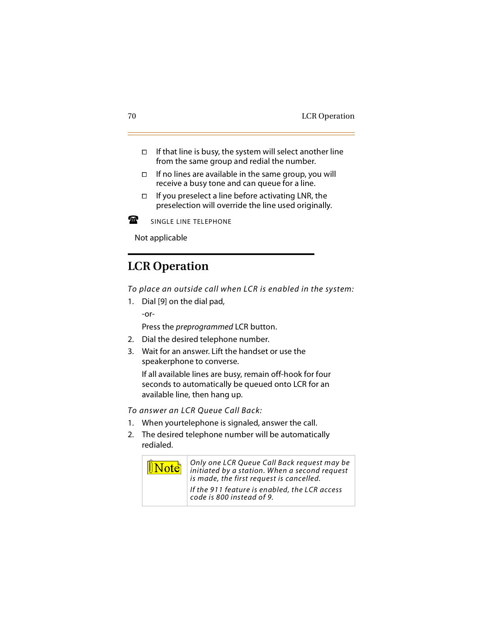- $\Box$  If that line is busy, the system will select another line from the same group and redial the number.
- $\Box$  If no lines are available in the same group, you will receive a busy tone and can queue for a line.
- $\Box$  If you preselect a line before activating LNR, the preselection will override the line used originally.



SINGLE LINE TELEPHONE

Not applicable

# **LCR Operation**

*To place an outside call when LCR is enabled in the system:*

1. Dial [9] on the dial pad, -or-

Press the *preprogrammed* LCR button.

- 2. Dial the desired telephone number.
- 3. Wait for an answer. Lift the handset or use the speakerphone to converse.

If all available lines are busy, remain off-hook for four seconds to automatically be queued onto LCR for an available line, then hang up.

*To answer an LCR Queue Call Back:*

- 1. When yourtelephone is signaled, answer the call.
- 2. The desired telephone number will be automatically redialed.

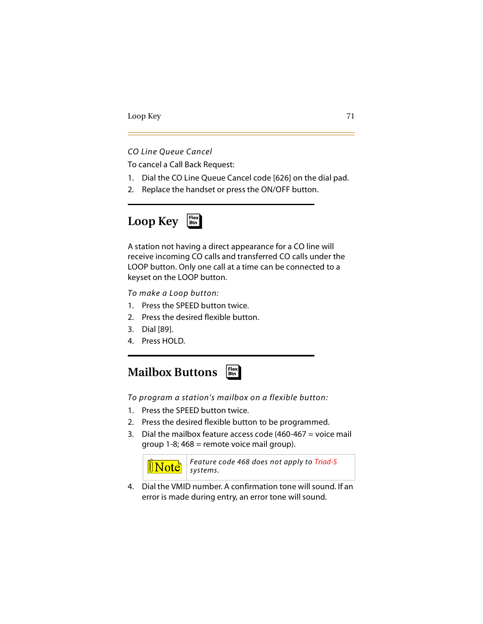#### *CO Line Queue Cancel*

To cancel a Call Back Request:

- 1. Dial the CO Line Queue Cancel code [626] on the dial pad.
- 2. Replace the handset or press the ON/OFF button.

#### **Loop Key** ❑ **Flex Btn**

A station not having a direct appearance for a CO line will receive incoming CO calls and transferred CO calls under the LOOP button. Only one call at a time can be connected to a keyset on the LOOP button.

*To make a Loop button:*

- 1. Press the SPEED button twice.
- 2. Press the desired flexible button.
- 3. Dial [89].
- 4. Press HOLD.

#### **Mailbox Buttons** ❑ **Flex Btn**

*To program a station's mailbox on a flexible button:*

- 1. Press the SPEED button twice.
- 2. Press the desired flexible button to be programmed.
- 3. Dial the mailbox feature access code (460-467 = voice mail group  $1-8$ ;  $468$  = remote voice mail group).



*Feature code 468 does not apply to Triad-S*

4. Dial the VMID number. A confirmation tone will sound. If an error is made during entry, an error tone will sound.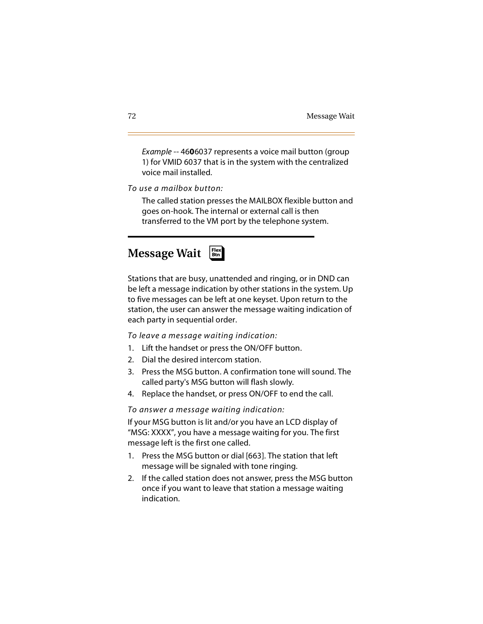*Example* -- 46**0**6037 represents a voice mail button (group 1) for VMID 6037 that is in the system with the centralized voice mail installed.

*To use a mailbox button:*

The called station presses the MAILBOX flexible button and goes on-hook. The internal or external call is then transferred to the VM port by the telephone system.

#### **Message Wait** ❑ **Flex Btn**

Stations that are busy, unattended and ringing, or in DND can be left a message indication by other stations in the system. Up to five messages can be left at one keyset. Upon return to the station, the user can answer the message waiting indication of each party in sequential order.

*To leave a message waiting indication:*

- 1. Lift the handset or press the ON/OFF button.
- 2. Dial the desired intercom station.
- 3. Press the MSG button. A confirmation tone will sound. The called party's MSG button will flash slowly.
- 4. Replace the handset, or press ON/OFF to end the call.

#### *To answer a message waiting indication:*

If your MSG button is lit and/or you have an LCD display of "MSG: XXXX", you have a message waiting for you. The first message left is the first one called.

- 1. Press the MSG button or dial [663]. The station that left message will be signaled with tone ringing.
- 2. If the called station does not answer, press the MSG button once if you want to leave that station a message waiting indication.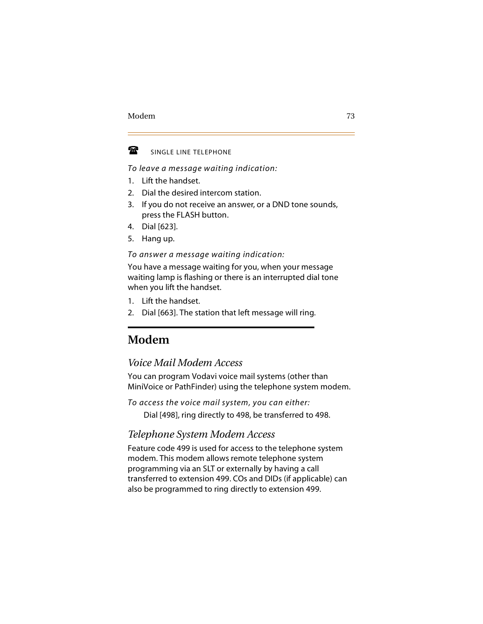

SINGLE LINE TELEPHONE

*To leave a message waiting indication:*

- 1. Lift the handset.
- 2. Dial the desired intercom station.
- 3. If you do not receive an answer, or a DND tone sounds, press the FLASH button.
- 4. Dial [623].
- 5. Hang up.

*To answer a message waiting indication:*

You have a message waiting for you, when your message waiting lamp is flashing or there is an interrupted dial tone when you lift the handset.

- 1. Lift the handset.
- 2. Dial [663]. The station that left message will ring.

# **Modem**

## *Voice Mail Modem Access*

You can program Vodavi voice mail systems (other than MiniVoice or PathFinder) using the telephone system modem.

*To access the voice mail system, you can either:*

Dial [498], ring directly to 498, be transferred to 498.

## *Telephone System Modem Access*

Feature code 499 is used for access to the telephone system modem. This modem allows remote telephone system programming via an SLT or externally by having a call transferred to extension 499. COs and DIDs (if applicable) can also be programmed to ring directly to extension 499.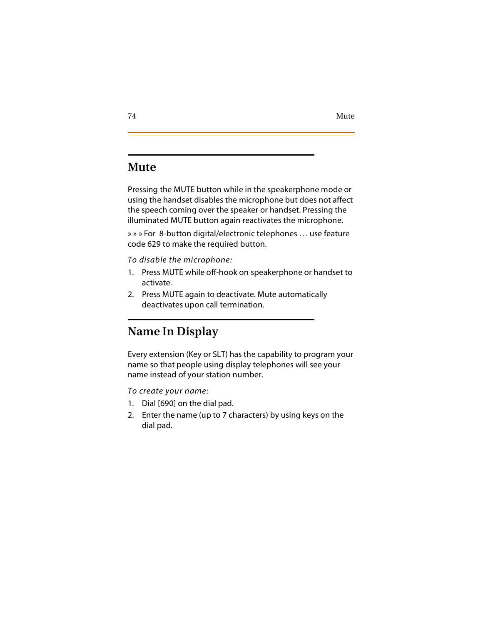# **Mute**

Pressing the MUTE button while in the speakerphone mode or using the handset disables the microphone but does not affect the speech coming over the speaker or handset. Pressing the illuminated MUTE button again reactivates the microphone.

» » » For 8-button digital/electronic telephones … use feature code 629 to make the required button.

#### *To disable the microphone:*

- 1. Press MUTE while off-hook on speakerphone or handset to activate.
- 2. Press MUTE again to deactivate. Mute automatically deactivates upon call termination.

# **Name In Display**

Every extension (Key or SLT) has the capability to program your name so that people using display telephones will see your name instead of your station number.

*To create your name:*

- 1. Dial [690] on the dial pad.
- 2. Enter the name (up to 7 characters) by using keys on the dial pad.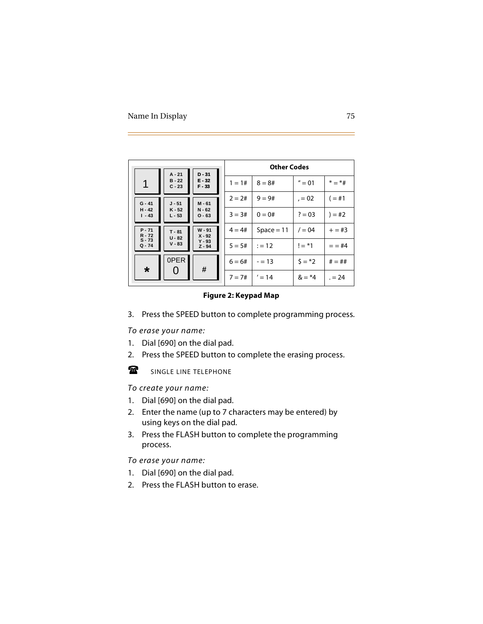| $D - 31$<br>$A - 21$ |                      |                      | <b>Other Codes</b> |              |                |           |
|----------------------|----------------------|----------------------|--------------------|--------------|----------------|-----------|
| 1                    | $B - 22$<br>$C - 23$ | $E - 32$<br>$F - 33$ | $1 = 1#$           | $8 = 8#$     | $'' = 01$      | $* = *#$  |
| $G - 41$             | $J - 51$             | $M - 61$             | $2 = 2#$           | $9 = 9#$     | $= 02$         | $( = 11)$ |
| $H - 42$<br>$1 - 43$ | $K - 52$<br>$L - 53$ | $N - 62$<br>$O - 63$ | $3 = 3#$           | $0 = 0#$     | $? = 03$       | $) = #2$  |
| $P - 71$<br>$R - 72$ | $T - 81$<br>$U - 82$ | $W - 91$<br>$X - 92$ | $4 = 4#$           | $Space = 11$ | $/ = 04$       | $+=$ #3   |
| $S - 73$<br>$Q - 74$ | $V - 83$             | $Y - 93$<br>$Z - 94$ | $5 = 5#$           | $:= 12$      | $!=$ *1        | $= 44$    |
| $\star$              | 0PER                 | #                    | $6 = 6#$           | $= 13$       | $5 = *2$       | $# = ##$  |
|                      |                      |                      | $7 = 7#$           | $' = 14$     | $&= 4^{\circ}$ | $= 24$    |

**Figure 2: Keypad Map**

3. Press the SPEED button to complete programming process.

#### *To erase your name:*

- 1. Dial [690] on the dial pad.
- 2. Press the SPEED button to complete the erasing process.



SINGLE LINE TELEPHONE

*To create your name:*

- 1. Dial [690] on the dial pad.
- 2. Enter the name (up to 7 characters may be entered) by using keys on the dial pad.
- 3. Press the FLASH button to complete the programming process.

#### *To erase your name:*

- 1. Dial [690] on the dial pad.
- 2. Press the FLASH button to erase.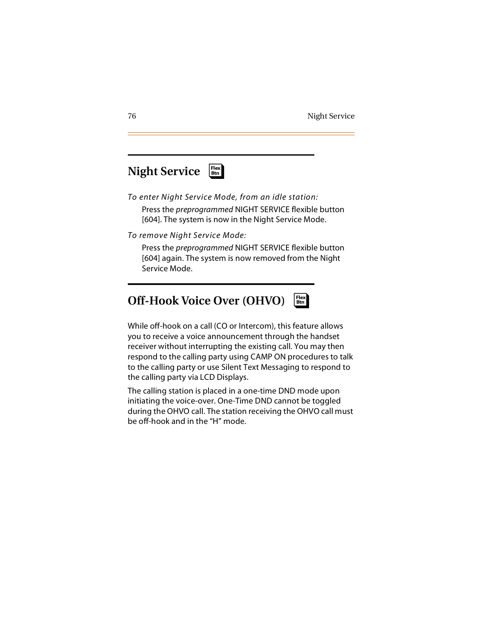#### **Night Service** ❑ **Flex Btn**

*To enter Night Service Mode, from an idle station:* Press the *preprogrammed* NIGHT SERVICE flexible button [604]. The system is now in the Night Service Mode.

*To remove Night Service Mode:*

Press the *preprogrammed* NIGHT SERVICE flexible button [604] again. The system is now removed from the Night Service Mode.

#### **Off-Hook Voice Over (OHVO)** ❑ **Flex Btn**

While off-hook on a call (CO or Intercom), this feature allows you to receive a voice announcement through the handset receiver without interrupting the existing call. You may then respond to the calling party using CAMP ON procedures to talk to the calling party or use Silent Text Messaging to respond to the calling party via LCD Displays.

The calling station is placed in a one-time DND mode upon initiating the voice-over. One-Time DND cannot be toggled during the OHVO call. The station receiving the OHVO call must be off-hook and in the "H" mode.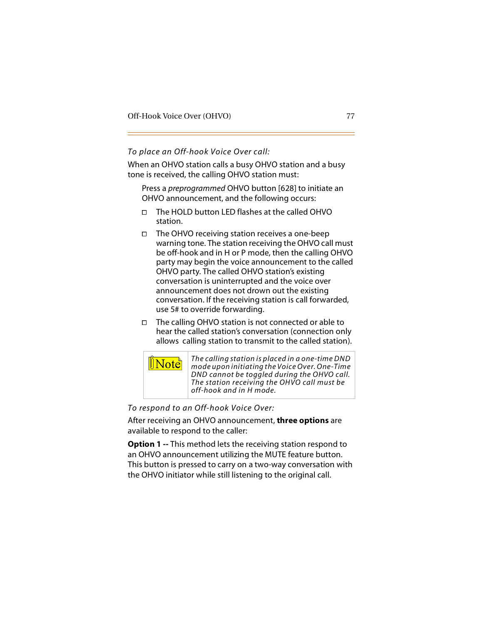#### *To place an Off-hook Voice Over call:*

When an OHVO station calls a busy OHVO station and a busy tone is received, the calling OHVO station must:

Press a *preprogrammed* OHVO button [628] to initiate an OHVO announcement, and the following occurs:

- The HOLD button LED flashes at the called OHVO station.
- $\Box$  The OHVO receiving station receives a one-beep warning tone. The station receiving the OHVO call must be off-hook and in H or P mode, then the calling OHVO party may begin the voice announcement to the called OHVO party. The called OHVO station's existing conversation is uninterrupted and the voice over announcement does not drown out the existing conversation. If the receiving station is call forwarded, use 5# to override forwarding.
- The calling OHVO station is not connected or able to hear the called station's conversation (connection only allows calling station to transmit to the called station).



*To respond to an Off-hook Voice Over:*

After receiving an OHVO announcement, **three options** are available to respond to the caller:

**Option 1 --** This method lets the receiving station respond to an OHVO announcement utilizing the MUTE feature button. This button is pressed to carry on a two-way conversation with the OHVO initiator while still listening to the original call.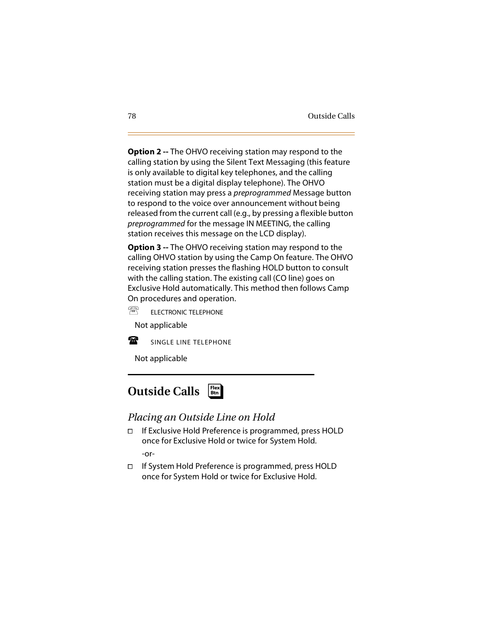**Option 2 --** The OHVO receiving station may respond to the calling station by using the Silent Text Messaging (this feature is only available to digital key telephones, and the calling station must be a digital display telephone). The OHVO receiving station may press a *preprogrammed* Message button to respond to the voice over announcement without being released from the current call (e.g., by pressing a flexible button *preprogrammed* for the message IN MEETING, the calling station receives this message on the LCD display).

**Option 3 --** The OHVO receiving station may respond to the calling OHVO station by using the Camp On feature. The OHVO receiving station presses the flashing HOLD button to consult with the calling station. The existing call (CO line) goes on Exclusive Hold automatically. This method then follows Camp On procedures and operation.

需 ELECTRONIC TELEPHONE

-Not applicable



SINGLE LINE TELEPHONE

Not applicable



## *Placing an Outside Line on Hold*

- If Exclusive Hold Preference is programmed, press HOLD once for Exclusive Hold or twice for System Hold. -or-
- If System Hold Preference is programmed, press HOLD once for System Hold or twice for Exclusive Hold.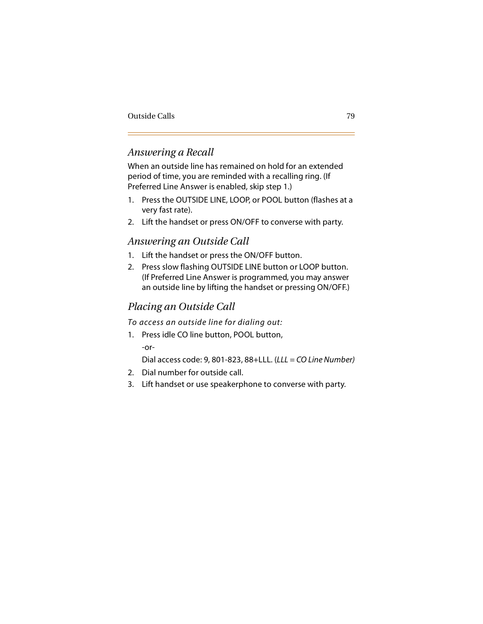## *Answering a Recall*

When an outside line has remained on hold for an extended period of time, you are reminded with a recalling ring. (If Preferred Line Answer is enabled, skip step 1.)

- 1. Press the OUTSIDE LINE, LOOP, or POOL button (flashes at a very fast rate).
- 2. Lift the handset or press ON/OFF to converse with party.

## *Answering an Outside Call*

- 1. Lift the handset or press the ON/OFF button.
- 2. Press slow flashing OUTSIDE LINE button or LOOP button. (If Preferred Line Answer is programmed, you may answer an outside line by lifting the handset or pressing ON/OFF.)

## *Placing an Outside Call*

*To access an outside line for dialing out:*

1. Press idle CO line button, POOL button, -or-

Dial access code: 9, 801-823, 88+LLL. (*LLL = CO Line Number)*

- 2. Dial number for outside call.
- 3. Lift handset or use speakerphone to converse with party.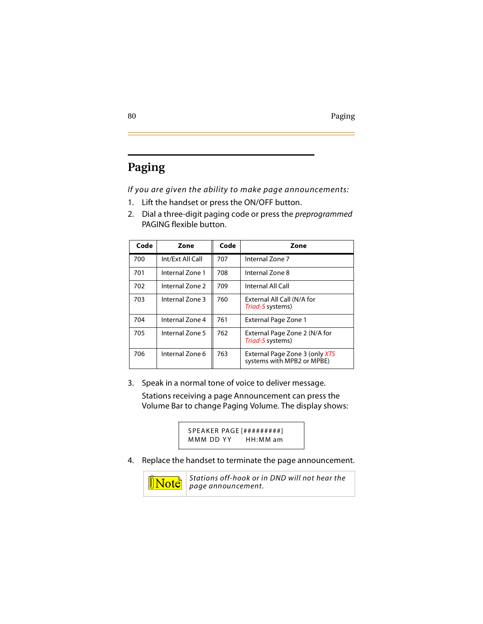# **Paging**

*If you are given the ability to make page announcements:*

- 1. Lift the handset or press the ON/OFF button.
- 2. Dial a three-digit paging code or press the *preprogrammed* PAGING flexible button.

| Code | Zone             | Code | Zone                                                         |
|------|------------------|------|--------------------------------------------------------------|
| 700  | Int/Ext All Call | 707  | Internal Zone 7                                              |
| 701  | Internal Zone 1  | 708  | Internal Zone 8                                              |
| 702  | Internal Zone 2  | 709  | Internal All Call                                            |
| 703  | Internal Zone 3  | 760  | External All Call (N/A for<br>Triad-S systems)               |
| 704  | Internal Zone 4  | 761  | <b>External Page Zone 1</b>                                  |
| 705  | Internal Zone 5  | 762  | External Page Zone 2 (N/A for<br>Triad-S systems)            |
| 706  | Internal Zone 6  | 763  | External Page Zone 3 (only XTS<br>systems with MPB2 or MPBE) |

3. Speak in a normal tone of voice to deliver message. Stations receiving a page Announcement can press the Volume Bar to change Paging Volume. The display shows:

> S PEA KER PAGE [#########] MMM DD YY HH: MM am

4. Replace the handset to terminate the page announcement.



*Stations off-hook or in DND will not hear the page announcement.*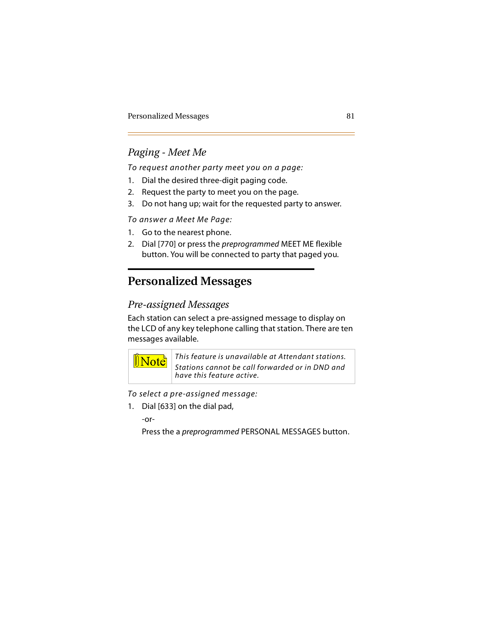# *Paging - Meet Me*

*To request another party meet you on a page:*

- 1. Dial the desired three-digit paging code.
- 2. Request the party to meet you on the page.
- 3. Do not hang up; wait for the requested party to answer.

*To answer a Meet Me Page:*

- 1. Go to the nearest phone.
- 2. Dial [770] or press the *preprogrammed* MEET ME flexible button. You will be connected to party that paged you.

# **Personalized Messages**

## *Pre-assigned Messages*

Each station can select a pre-assigned message to display on the LCD of any key telephone calling that station. There are ten messages available.



*This feature is unavailable at Attendant stations. Stations cannot be call forwarded or in DND and have this feature active.*

*To select a pre-assigned message:*

1. Dial [633] on the dial pad,

-or-

Press the a *preprogrammed* PERSONAL MESSAGES button.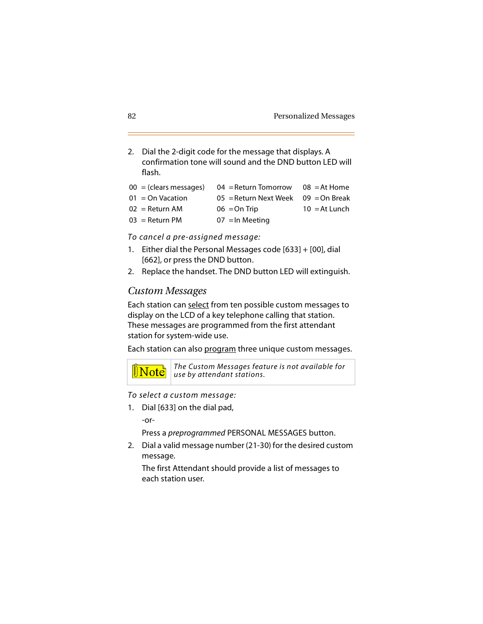2. Dial the 2-digit code for the message that displays. A confirmation tone will sound and the DND button LED will flash.

| $00 = (clears messages)$ | 04 = Return Tomorrow                  | $08$ = At Home  |
|--------------------------|---------------------------------------|-----------------|
| $01 =$ On Vacation       | 05 = Return Next Week $09$ = On Break |                 |
| $02 =$ Return AM         | $06 = On$ Trip                        | $10 = At$ Lunch |
| $03 =$ Return PM         | $07$ = In Meeting                     |                 |

*To cancel a pre-assigned message:*

- 1. Either dial the Personal Messages code [633] + [00], dial [662], or press the DND button.
- 2. Replace the handset. The DND button LED will extinguish.

#### *Custom Messages*

Each station can select from ten possible custom messages to display on the LCD of a key telephone calling that station. These messages are programmed from the first attendant station for system-wide use.

Each station can also program three unique custom messages.



*The Custom Messages feature is not available for use by attendant stations.*

*To select a custom message:*

1. Dial [633] on the dial pad,

-or-

Press a *preprogrammed* PERSONAL MESSAGES button.

2. Dial a valid message number (21-30) for the desired custom message.

The first Attendant should provide a list of messages to each station user.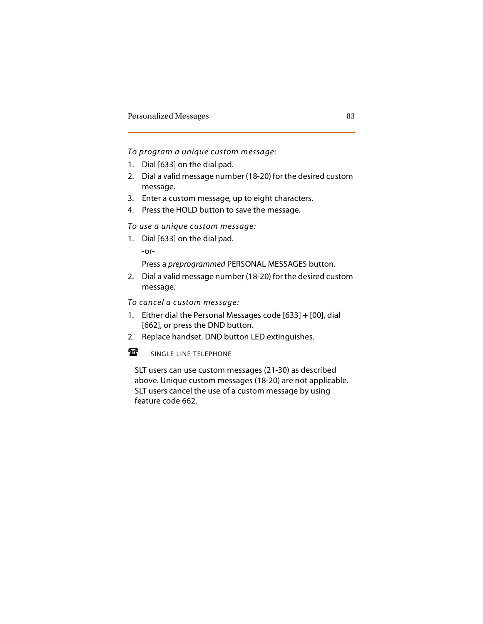*To program a unique custom message:*

- 1. Dial [633] on the dial pad.
- 2. Dial a valid message number (18-20) for the desired custom message.
- 3. Enter a custom message, up to eight characters.
- 4. Press the HOLD button to save the message.

*To use a unique custom message:*

1. Dial [633] on the dial pad.

-or-

Press a *preprogrammed* PERSONAL MESSAGES button.

2. Dial a valid message number (18-20) for the desired custom message.

*To cancel a custom message:*

- 1. Either dial the Personal Messages code [633] + [00], dial [662], or press the DND button.
- 2. Replace handset. DND button LED extinguishes.

#### $\mathbf{F}$ SINGLE LINE TELEPHONE

-SLT users can use custom messages (21-30) as described above. Unique custom messages (18-20) are not applicable. SLT users cancel the use of a custom message by using feature code 662.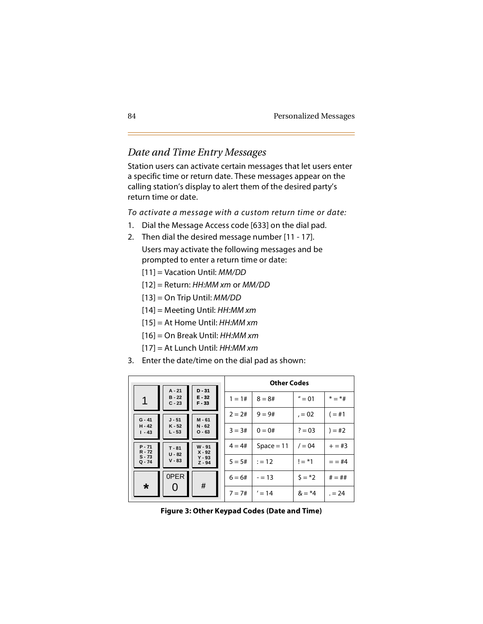## *Date and Time Entry Messages*

Station users can activate certain messages that let users enter a specific time or return date. These messages appear on the calling station's display to alert them of the desired party's return time or date.

*To activate a message with a custom return time or date:*

- 1. Dial the Message Access code [633] on the dial pad.
- 2. Then dial the desired message number [11 17].

Users may activate the following messages and be prompted to enter a return time or date:

- [11] = Vacation Until: *MM/DD*
- [12] = Return: *HH:MM xm* or *MM/DD*
- [13] = On Trip Until: *MM/DD*
- [14] = Meeting Until: *HH:MM xm*
- [15] = At Home Until: *HH:MM xm*
- [16] = On Break Until: *HH:MM xm*
- [17] = At Lunch Until: *HH:MM xm*
- 3. Enter the date/time on the dial pad as shown:

| $D - 31$<br>$A - 21$ |                      |                      | <b>Other Codes</b> |              |           |            |
|----------------------|----------------------|----------------------|--------------------|--------------|-----------|------------|
| 1                    | $B - 22$<br>$C - 23$ | $E - 32$<br>$F - 33$ | $1 = 1#$           | $8 = 8#$     | $'' = 01$ | $* = *#$   |
| $G - 41$             | $J - 51$             | $M - 61$             | $2 = 2#$           | $9 = 9#$     | $, = 02$  | $( = 11)$  |
| $H - 42$<br>$1 - 43$ | $K - 52$<br>$L - 53$ | $N - 62$<br>$O - 63$ | $3 = 3#$           | $0 = 0#$     | $? = 03$  | $) = #2$   |
| $P - 71$<br>$R - 72$ | $T - 81$             | $W - 91$<br>$X - 92$ | $4 = 4#$           | $Space = 11$ | $/ = 04$  | $+=$ #3    |
| $S - 73$<br>$Q - 74$ | $U - 82$<br>$V - 83$ | $Y - 93$<br>$Z - 94$ | $5 = 5#$           | $:= 12$      | $!=$ *1   | $=$ $=$ #4 |
| $\star$              | 0PER                 | #                    | $6 = 6#$           | $= 13$       | $5 = *2$  | $# = ##$   |
|                      |                      |                      | $7 = 7#$           | $' = 14$     | $& = *4$  | $= 24$     |

**Figure 3: Other Keypad Codes (Date and Time)**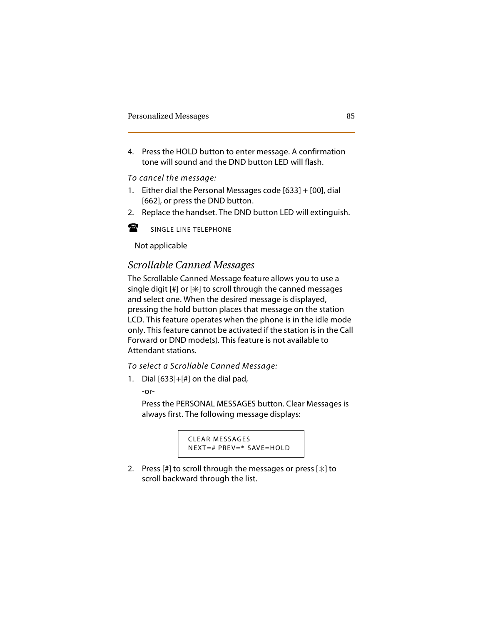4. Press the HOLD button to enter message. A confirmation tone will sound and the DND button LED will flash.

#### *To cancel the message:*

- 1. Either dial the Personal Messages code [633] + [00], dial [662], or press the DND button.
- 2. Replace the handset. The DND button LED will extinguish.



Not applicable

## *Scrollable Canned Messages*

The Scrollable Canned Message feature allows you to use a single digit  $[H]$  or  $[\ast]$  to scroll through the canned messages and select one. When the desired message is displayed, pressing the hold button places that message on the station LCD. This feature operates when the phone is in the idle mode only. This feature cannot be activated if the station is in the Call Forward or DND mode(s). This feature is not available to Attendant stations.

#### *To select a Scrollable Canned Message:*

1. Dial [633]+[#] on the dial pad,

-or-

Press the PERSONAL MESSAGES button. Clear Messages is always first. The following message displays:

```
CLEAR MESSAGES
NEXT=# PREV=* SAVE=HOLD
```
2. Press [#] to scroll through the messages or press [ $\ast$ ] to scroll backward through the list.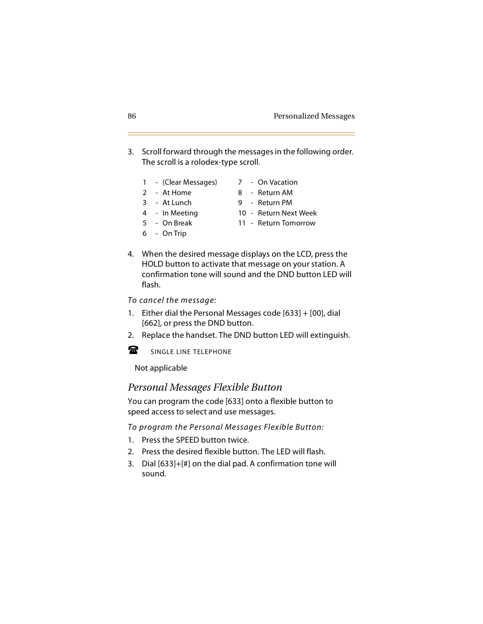- 3. Scroll forward through the messages in the following order. The scroll is a rolodex-type scroll.
	- 1 (Clear Messages) 7 On Vacation
	- 2 At Home 8 Return AM
	- 3 At Lunch 9 Return PM
	-
- 
- 
- 4 In Meeting 10 Return Next Week
	-
- 6 On Trip
- 5 On Break 11 Return Tomorrow
- 4. When the desired message displays on the LCD, press the HOLD button to activate that message on your station. A confirmation tone will sound and the DND button LED will flash.

*To cancel the message:*

- 1. Either dial the Personal Messages code [633] + [00], dial [662], or press the DND button.
- 2. Replace the handset. The DND button LED will extinguish.

金 SINGLE LINE TELEPHONE

Not applicable

#### *Personal Messages Flexible Button*

You can program the code [633] onto a flexible button to speed access to select and use messages.

*To program the Personal Messages Flexible Button:*

- 1. Press the SPEED button twice.
- 2. Press the desired flexible button. The LED will flash.
- 3. Dial [633]+[#] on the dial pad. A confirmation tone will sound.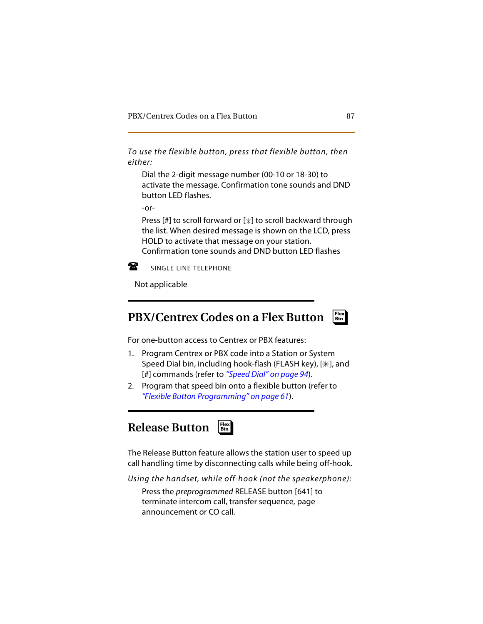*To use the flexible button, press that flexible button, then either:*

Dial the 2-digit message number (00-10 or 18-30) to activate the message. Confirmation tone sounds and DND button LED flashes.

-or-

Press [#] to scroll forward or  $[+]$  to scroll backward through the list. When desired message is shown on the LCD, press HOLD to activate that message on your station. Confirmation tone sounds and DND button LED flashes



SINGLE LINE TELEPHONE

Not applicable

## **PBX/Centrex Codes on a Flex Button**



- 1. Program Centrex or PBX code into a Station or System Speed Dial bin, including hook-flash (FLASH key),  $[\n#]$ , and [#] commands (refer to *["Speed Dial" on page 94](#page-107-0)*).
- 2. Program that speed bin onto a flexible button (refer to *["Flexible Button Programming" on page 61](#page-74-0)*).

❑ **Flex Btn**

# **Release Button**

The Release Button feature allows the station user to speed up call handling time by disconnecting calls while being off-hook.

*Using the handset, while off-hook (not the speakerphone):* Press the *preprogrammed* RELEASE button [641] to terminate intercom call, transfer sequence, page announcement or CO call.

❑ **Flex Btn**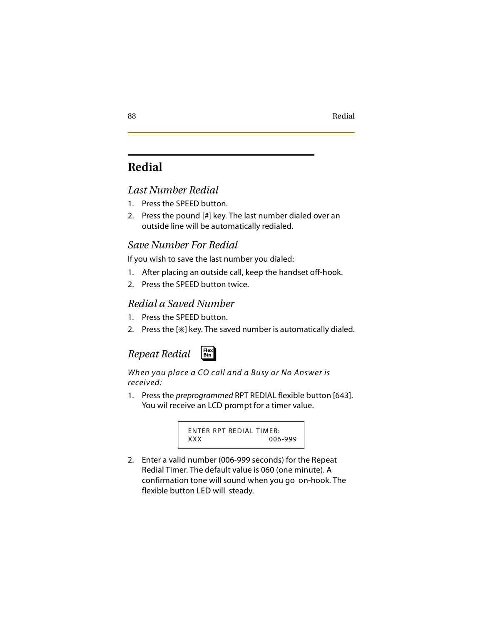# **Redial**

## *Last Number Redial*

- 1. Press the SPEED button.
- 2. Press the pound [#] key. The last number dialed over an outside line will be automatically redialed.

## *Save Number For Redial*

If you wish to save the last number you dialed:

- 1. After placing an outside call, keep the handset off-hook.
- 2. Press the SPEED button twice.

## *Redial a Saved Number*

- 1. Press the SPEED button.
- 2. Press the  $[+]$  key. The saved number is automatically dialed.

# *Repeat Redial*



#### *When you place a CO call and a Busy or No Answer is received:*

1. Press the *preprogrammed* RPT REDIAL flexible button [643]. You wil receive an LCD prompt for a timer value.

> ENTER RPT REDIAL TIMER: XXX 006-999

2. Enter a valid number (006-999 seconds) for the Repeat Redial Timer. The default value is 060 (one minute). A confirmation tone will sound when you go on-hook. The flexible button LED will steady.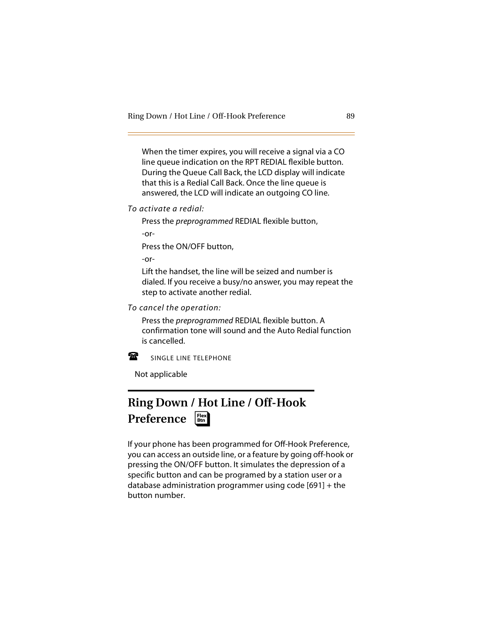When the timer expires, you will receive a signal via a CO line queue indication on the RPT REDIAL flexible button. During the Queue Call Back, the LCD display will indicate that this is a Redial Call Back. Once the line queue is answered, the LCD will indicate an outgoing CO line.

*To activate a redial:*

Press the *preprogrammed* REDIAL flexible button,

-or-

Press the ON/OFF button,

-or-

Lift the handset, the line will be seized and number is dialed. If you receive a busy/no answer, you may repeat the step to activate another redial.

*To cancel the operation:*

Press the *preprogrammed* REDIAL flexible button. A confirmation tone will sound and the Auto Redial function is cancelled.



SINGLE LINE TELEPHONE

Not applicable

#### **Ring Down / Hot Line / Off-Hook Preference** ❑ **Flex Btn**

If your phone has been programmed for Off-Hook Preference, you can access an outside line, or a feature by going off-hook or pressing the ON/OFF button. It simulates the depression of a specific button and can be programed by a station user or a database administration programmer using code [691] + the button number.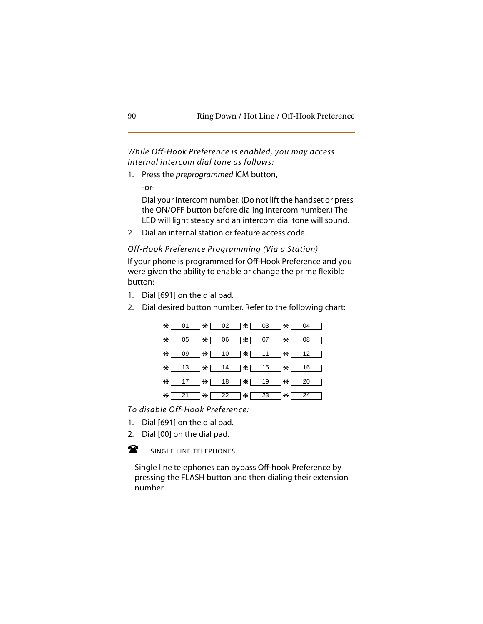*While Off-Hook Preference is enabled, you may access internal intercom dial tone as follows:*

1. Press the *preprogrammed* ICM button,

-or-

Dial your intercom number. (Do not lift the handset or press the ON/OFF button before dialing intercom number.) The LED will light steady and an intercom dial tone will sound.

2. Dial an internal station or feature access code.

*Off-Hook Preference Programming (Via a Station)*

If your phone is programmed for Off-Hook Preference and you were given the ability to enable or change the prime flexible button:

- 1. Dial [691] on the dial pad.
- 2. Dial desired button number. Refer to the following chart:



*To disable Off-Hook Preference:*

- 1. Dial [691] on the dial pad.
- 2. Dial [00] on the dial pad.

金 SINGLE LINE TELEPHONES

- 7. juli Single line telephones can bypass Off-hook Preference by pressing the FLASH button and then dialing their extension number.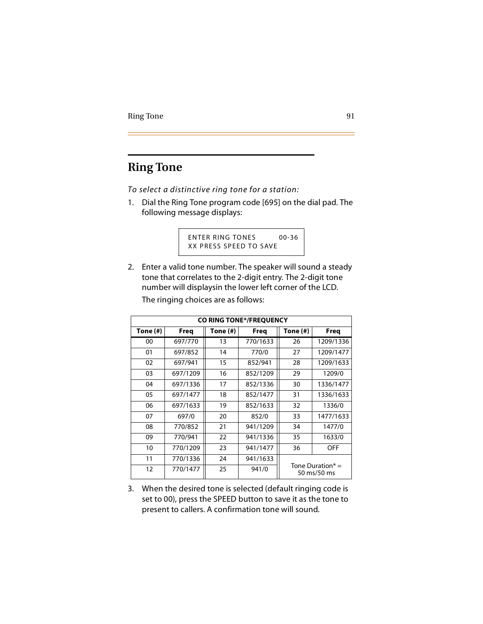# **Ring Tone**

*To select a distinctive ring tone for a station:*

1. Dial the Ring Tone program code [695] on the dial pad. The following message displays:

> ENTER RING TONES 00-36 XX PRESS SPEED TO SAVE

2. Enter a valid tone number. The speaker will sound a steady tone that correlates to the 2-digit entry. The 2-digit tone number will displaysin the lower left corner of the LCD.

| CO RING TONE*/FREQUENCY |          |          |          |                                    |           |  |
|-------------------------|----------|----------|----------|------------------------------------|-----------|--|
| Tone (#)                | Freg     | Tone (#) | Freg     | Tone (#)                           | Freg      |  |
| 00                      | 697/770  | 13       | 770/1633 | 26                                 | 1209/1336 |  |
| 01                      | 697/852  | 14       | 770/0    | 27                                 | 1209/1477 |  |
| 02                      | 697/941  | 15       | 852/941  | 28                                 | 1209/1633 |  |
| 03                      | 697/1209 | 16       | 852/1209 | 29                                 | 1209/0    |  |
| 04                      | 697/1336 | 17       | 852/1336 | 30                                 | 1336/1477 |  |
| 05                      | 697/1477 | 18       | 852/1477 | 31                                 | 1336/1633 |  |
| 06                      | 697/1633 | 19       | 852/1633 | 32                                 | 1336/0    |  |
| 07                      | 697/0    | 20       | 852/0    | 33                                 | 1477/1633 |  |
| 08                      | 770/852  | 21       | 941/1209 | 34                                 | 1477/0    |  |
| 09                      | 770/941  | 22       | 941/1336 | 35                                 | 1633/0    |  |
| 10                      | 770/1209 | 23       | 941/1477 | 36                                 | OFF       |  |
| 11                      | 770/1336 | 24       | 941/1633 |                                    |           |  |
| 12                      | 770/1477 | 25       | 941/0    | Tone Duration $* =$<br>50 ms/50 ms |           |  |

The ringing choices are as follows:

3. When the desired tone is selected (default ringing code is set to 00), press the SPEED button to save it as the tone to present to callers. A confirmation tone will sound.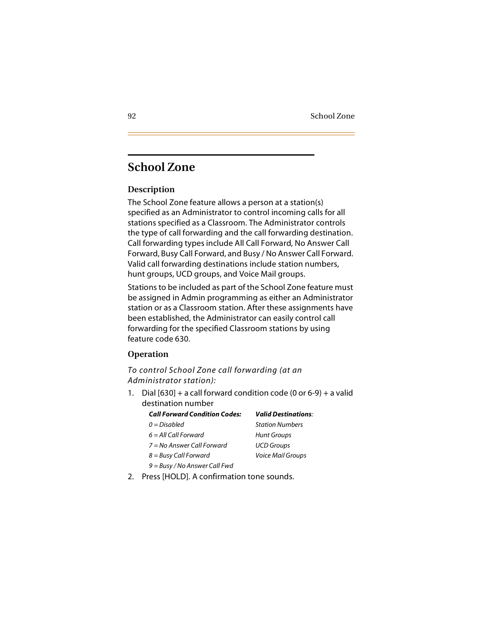# **School Zone**

### **Description**

The School Zone feature allows a person at a station(s) specified as an Administrator to control incoming calls for all stations specified as a Classroom. The Administrator controls the type of call forwarding and the call forwarding destination. Call forwarding types include All Call Forward, No Answer Call Forward, Busy Call Forward, and Busy / No Answer Call Forward. Valid call forwarding destinations include station numbers, hunt groups, UCD groups, and Voice Mail groups.

Stations to be included as part of the School Zone feature must be assigned in Admin programming as either an Administrator station or as a Classroom station. After these assignments have been established, the Administrator can easily control call forwarding for the specified Classroom stations by using feature code 630.

#### **Operation**

*To control School Zone call forwarding (at an Administrator station):*

1. Dial  $[630]$  + a call forward condition code  $(0 \text{ or } 6-9)$  + a valid destination number

| <b>Call Forward Condition Codes:</b> | <b>Valid Destinations:</b> |
|--------------------------------------|----------------------------|
| $0 = Disabled$                       | <b>Station Numbers</b>     |
| $6 = All Call Forward$               | <b>Hunt Groups</b>         |
| $7 = No$ Answer Call Forward         | <b>UCD Groups</b>          |
| $8 =$ Busy Call Forward              | Voice Mail Groups          |
| 9 = Busy / No Answer Call Fwd        |                            |

2. Press [HOLD]. A confirmation tone sounds.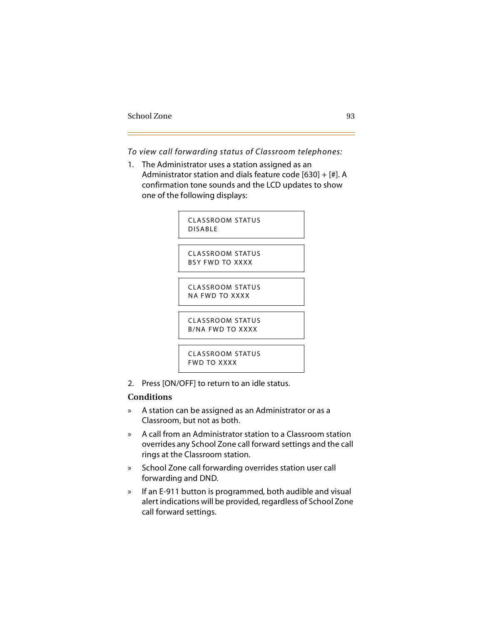*To view call forwarding status of Classroom telephones:*

1. The Administrator uses a station assigned as an Administrator station and dials feature code [630] + [#]. A confirmation tone sounds and the LCD updates to show one of the following displays:



2. Press [ON/OFF] to return to an idle status.

## **Conditions**

- » A station can be assigned as an Administrator or as a Classroom, but not as both.
- » A call from an Administrator station to a Classroom station overrides any School Zone call forward settings and the call rings at the Classroom station.
- » School Zone call forwarding overrides station user call forwarding and DND.
- » If an E-911 button is programmed, both audible and visual alert indications will be provided, regardless of School Zone call forward settings.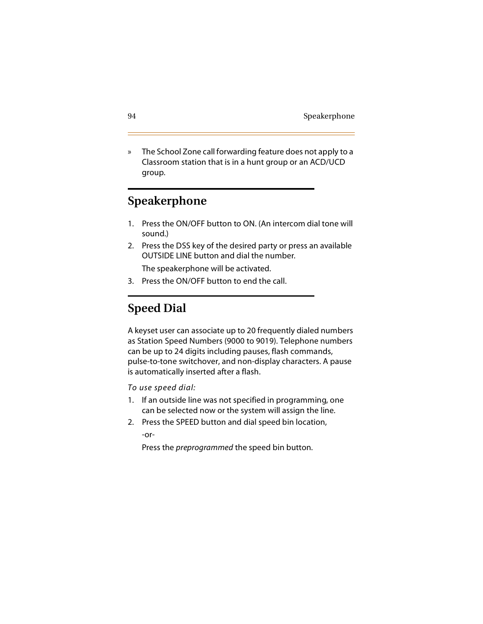» The School Zone call forwarding feature does not apply to a Classroom station that is in a hunt group or an ACD/UCD group.

# **Speakerphone**

- 1. Press the ON/OFF button to ON. (An intercom dial tone will sound.)
- 2. Press the DSS key of the desired party or press an available OUTSIDE LINE button and dial the number.

The speakerphone will be activated.

3. Press the ON/OFF button to end the call.

# <span id="page-107-0"></span>**Speed Dial**

A keyset user can associate up to 20 frequently dialed numbers as Station Speed Numbers (9000 to 9019). Telephone numbers can be up to 24 digits including pauses, flash commands, pulse-to-tone switchover, and non-display characters. A pause is automatically inserted after a flash.

*To use speed dial:*

- 1. If an outside line was not specified in programming, one can be selected now or the system will assign the line.
- 2. Press the SPEED button and dial speed bin location, -or-

Press the *preprogrammed* the speed bin button.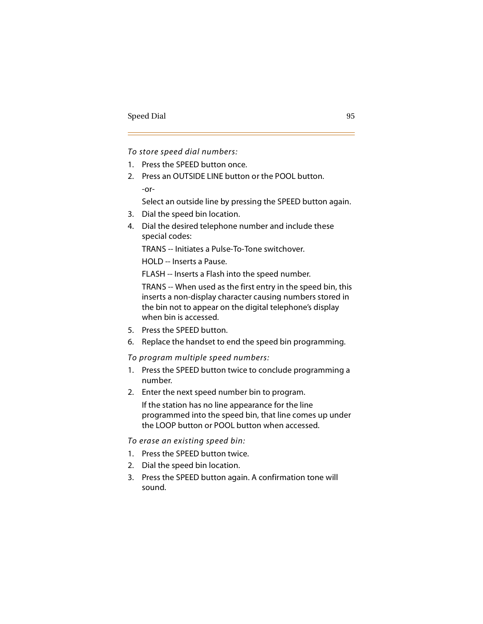*To store speed dial numbers:*

- 1. Press the SPEED button once.
- 2. Press an OUTSIDE LINE button or the POOL button. -or-

Select an outside line by pressing the SPEED button again.

- 3. Dial the speed bin location.
- 4. Dial the desired telephone number and include these special codes:

TRANS -- Initiates a Pulse-To-Tone switchover.

HOLD -- Inserts a Pause.

FLASH -- Inserts a Flash into the speed number.

TRANS -- When used as the first entry in the speed bin, this inserts a non-display character causing numbers stored in the bin not to appear on the digital telephone's display when bin is accessed.

- 5. Press the SPEED button.
- 6. Replace the handset to end the speed bin programming.

*To program multiple speed numbers:*

- 1. Press the SPEED button twice to conclude programming a number.
- 2. Enter the next speed number bin to program.

If the station has no line appearance for the line programmed into the speed bin, that line comes up under the LOOP button or POOL button when accessed.

#### *To erase an existing speed bin:*

- 1. Press the SPEED button twice.
- 2. Dial the speed bin location.
- 3. Press the SPEED button again. A confirmation tone will sound.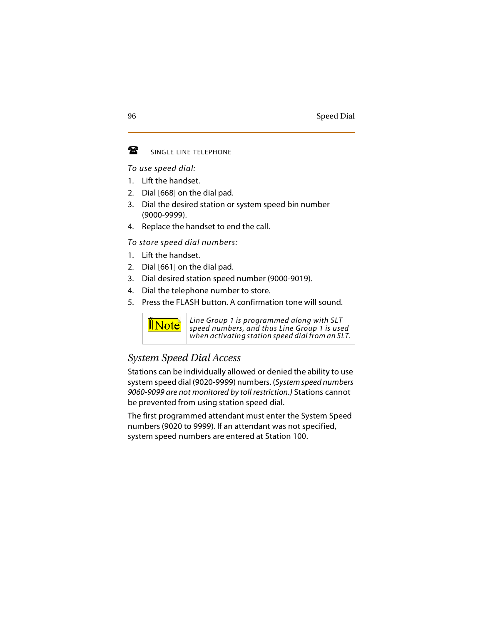#### 魯 SINGLE LINE TELEPHONE

*To use speed dial:*

- 1. Lift the handset.
- 2. Dial [668] on the dial pad.
- 3. Dial the desired station or system speed bin number (9000-9999).
- 4. Replace the handset to end the call.

*To store speed dial numbers:*

- 1. Lift the handset.
- 2. Dial [661] on the dial pad.
- 3. Dial desired station speed number (9000-9019).
- 4. Dial the telephone number to store.
- 5. Press the FLASH button. A confirmation tone will sound.



*Line Group 1 is programmed along with SLT speed numbers, and thus Line Group 1 is used when activating station speed dial from an SLT.*

## *System Speed Dial Access*

Stations can be individually allowed or denied the ability to use system speed dial (9020-9999) numbers. (*System speed numbers 9060-9099 are not monitored by toll restriction.)* Stations cannot be prevented from using station speed dial.

The first programmed attendant must enter the System Speed numbers (9020 to 9999). If an attendant was not specified, system speed numbers are entered at Station 100.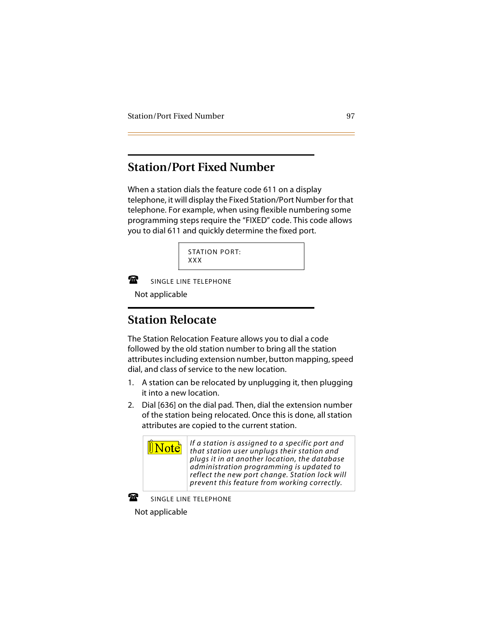## **Station/Port Fixed Number**

When a station dials the feature code 611 on a display telephone, it will display the Fixed Station/Port Number for that telephone. For example, when using flexible numbering some programming steps require the "FIXED" code. This code allows you to dial 611 and quickly determine the fixed port.

```
STATION PORT:
XXX
```
曾

SINGLE LINE TELEPHONE

-Not applicable

# **Station Relocate**

The Station Relocation Feature allows you to dial a code followed by the old station number to bring all the station attributes including extension number, button mapping, speed dial, and class of service to the new location.

- 1. A station can be relocated by unplugging it, then plugging it into a new location.
- 2. Dial [636] on the dial pad. Then, dial the extension number of the station being relocated. Once this is done, all station attributes are copied to the current station.

*If a station is assigned to a specific port and that station user unplugs their station and plugs it in at another location, the database administration programming is updated to reflect the new port change. Station lock will prevent this feature from working correctly.*



SINGLE LINE TELEPHONE

-Not applicable

 $\mathbb{I}$ Note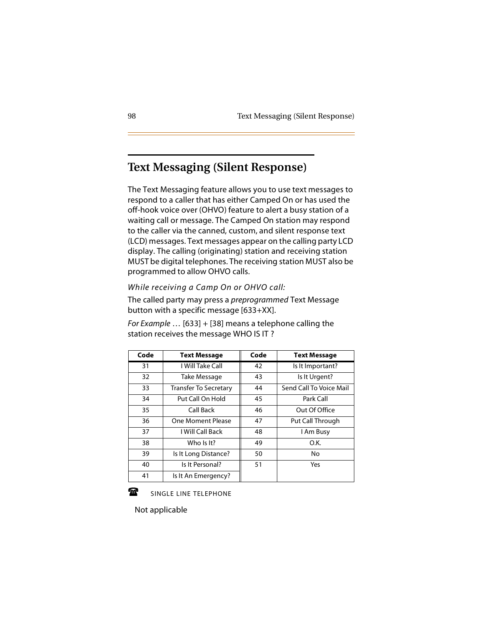## **Text Messaging (Silent Response)**

The Text Messaging feature allows you to use text messages to respond to a caller that has either Camped On or has used the off-hook voice over (OHVO) feature to alert a busy station of a waiting call or message. The Camped On station may respond to the caller via the canned, custom, and silent response text (LCD) messages. Text messages appear on the calling party LCD display. The calling (originating) station and receiving station MUST be digital telephones. The receiving station MUST also be programmed to allow OHVO calls.

#### *While receiving a Camp On or OHVO call:*

The called party may press a *preprogrammed* Text Message button with a specific message [633+XX].

*For Example* … [633] + [38] means a telephone calling the station receives the message WHO IS IT ?

| Code | <b>Text Message</b>   | Code | <b>Text Message</b>     |
|------|-----------------------|------|-------------------------|
| 31   | I Will Take Call      | 42   | Is It Important?        |
| 32   | Take Message          | 43   | Is It Urgent?           |
| 33   | Transfer To Secretary | 44   | Send Call To Voice Mail |
| 34   | Put Call On Hold      | 45   | Park Call               |
| 35   | Call Back             | 46   | Out Of Office           |
| 36   | One Moment Please     | 47   | Put Call Through        |
| 37   | I Will Call Back      | 48   | I Am Busy               |
| 38   | Who Is It?            | 49   | O.K.                    |
| 39   | Is It Long Distance?  | 50   | No                      |
| 40   | Is It Personal?       | 51   | Yes                     |
| 41   | Is It An Emergency?   |      |                         |

$$
\mathbf{a}
$$

SINGLE LINE TELEPHONE

- 70a Not applicable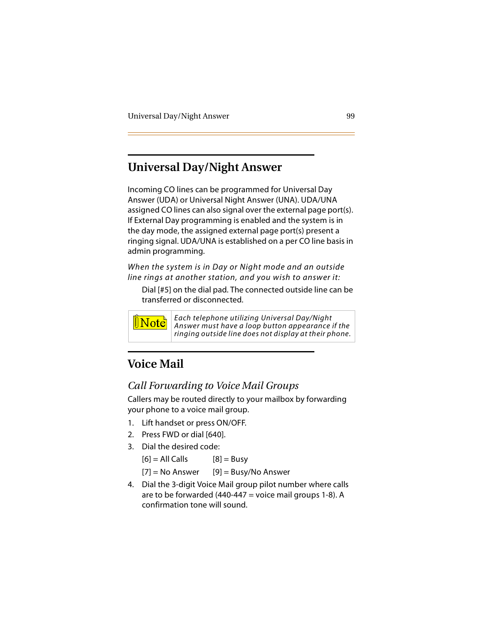# **Universal Day/Night Answer**

Incoming CO lines can be programmed for Universal Day Answer (UDA) or Universal Night Answer (UNA). UDA/UNA assigned CO lines can also signal over the external page port(s). If External Day programming is enabled and the system is in the day mode, the assigned external page port(s) present a ringing signal. UDA/UNA is established on a per CO line basis in admin programming.

*When the system is in Day or Night mode and an outside line rings at another station, and you wish to answer it:*

Dial [#5] on the dial pad. The connected outside line can be transferred or disconnected.



*Each telephone utilizing Universal Day/Night Answer must have a loop button appearance if the ringing outside line does not display at their phone.*

# **Voice Mail**

## *Call Forwarding to Voice Mail Groups*

Callers may be routed directly to your mailbox by forwarding your phone to a voice mail group.

- 1. Lift handset or press ON/OFF.
- 2. Press FWD or dial [640].
- 3. Dial the desired code:

 $[6] = AllCalls$   $[8] = Busy$  $[7]$  = No Answer [9] = Busy/No Answer

4. Dial the 3-digit Voice Mail group pilot number where calls are to be forwarded  $(440-447 = v^2)$  voice mail groups 1-8). A confirmation tone will sound.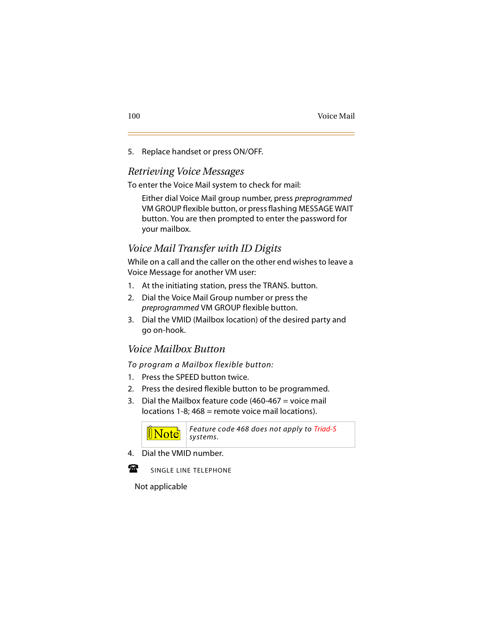5. Replace handset or press ON/OFF.

### *Retrieving Voice Messages*

To enter the Voice Mail system to check for mail:

Either dial Voice Mail group number, press *preprogrammed* VM GROUP flexible button, or press flashing MESSAGE WAIT button. You are then prompted to enter the password for your mailbox.

## *Voice Mail Transfer with ID Digits*

While on a call and the caller on the other end wishes to leave a Voice Message for another VM user:

- 1. At the initiating station, press the TRANS. button.
- 2. Dial the Voice Mail Group number or press the *preprogrammed* VM GROUP flexible button.
- 3. Dial the VMID (Mailbox location) of the desired party and go on-hook.

## *Voice Mailbox Button*

*To program a Mailbox flexible button:*

- 1. Press the SPEED button twice.
- 2. Press the desired flexible button to be programmed.
- 3. Dial the Mailbox feature code (460-467 = voice mail  $locations$  1-8;  $468 = remote$  voice mail  $locations)$ .



4. Dial the VMID number.



SINGLE LINE TELEPHONE

Not applicable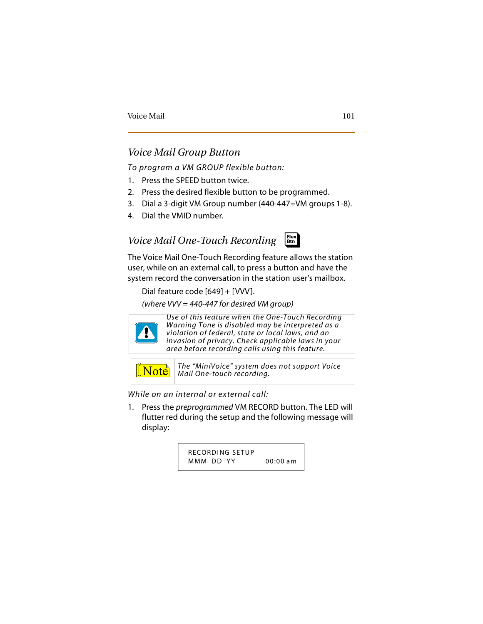#### *Voice Mail Group Button*

*To program a VM GROUP flexible button:*

- 1. Press the SPEED button twice.
- 2. Press the desired flexible button to be programmed.
- 3. Dial a 3-digit VM Group number (440-447=VM groups 1-8).
- 4. Dial the VMID number.

#### *Voice Mail One-Touch Recording* ❑ **Flex Btn**



Dial feature code [649] + [VVV].

*(where VVV = 440-447 for desired VM group)*



*Use of this feature when the One-Touch Recording Warning Tone is disabled may be interpreted as a violation of federal, state or local laws, and an invasion of privacy. Check applicable laws in your area before recording calls using this feature.*

 $\mathbb{N}$ ote

*The "MiniVoice" system does not support Voice Mail One-touch recording.*

*While on an internal or external call:*

1. Press the *preprogrammed* VM RECORD button. The LED will flutter red during the setup and the following message will display:

> RECORDING SETUP MMM DD YY 00:00 am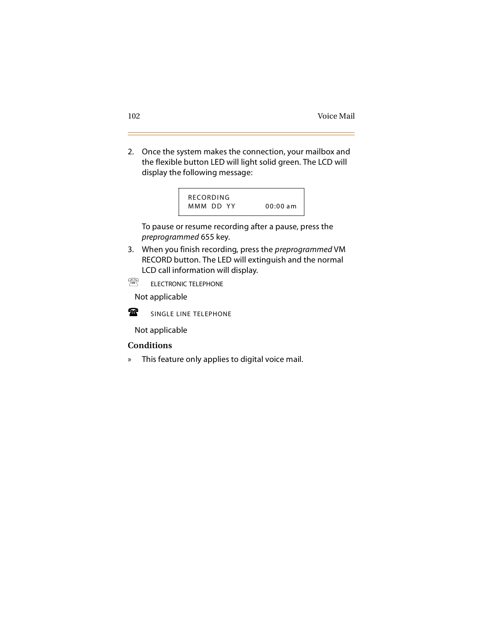2. Once the system makes the connection, your mailbox and the flexible button LED will light solid green. The LCD will display the following message:



To pause or resume recording after a pause, press the *preprogrammed* 655 key.

- 3. When you finish recording, press the *preprogrammed* VM RECORD button. The LED will extinguish and the normal LCD call information will display.
- ∕ଲ ELECTRONIC TELEPHONE

-Not applicable



SINGLE LINE TELEPHONE

Not applicable

#### **Conditions**

» This feature only applies to digital voice mail.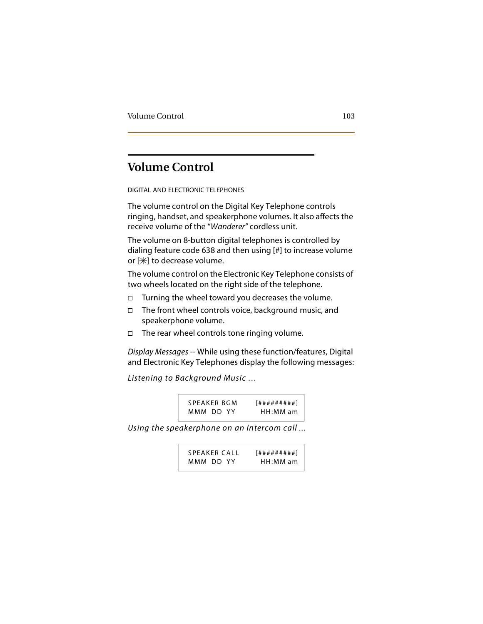## **Volume Control**

DIGITAL AND ELECTRONIC TELEPHONES

The volume control on the Digital Key Telephone controls ringing, handset, and speakerphone volumes. It also affects the receive volume of the "*Wanderer"* cordless unit.

The volume on 8-button digital telephones is controlled by dialing feature code 638 and then using [#] to increase volume or  $[\n#]$  to decrease volume.

The volume control on the Electronic Key Telephone consists of two wheels located on the right side of the telephone.

- $\Box$  Turning the wheel toward you decreases the volume.
- $\Box$  The front wheel controls voice, background music, and speakerphone volume.
- $\Box$  The rear wheel controls tone ringing volume.

*Display Messages* -- While using these function/features, Digital and Electronic Key Telephones display the following messages:

*Listening to Background Music …*

| SPEAKER BGM | [#########] |
|-------------|-------------|
| MMM DD YY   | $HH:MM$ am  |

*Using the speakerphone on an Intercom call ...*

| SPEAKER CALL | [#########] |
|--------------|-------------|
| MMM DD YY    | $HH:MM$ am  |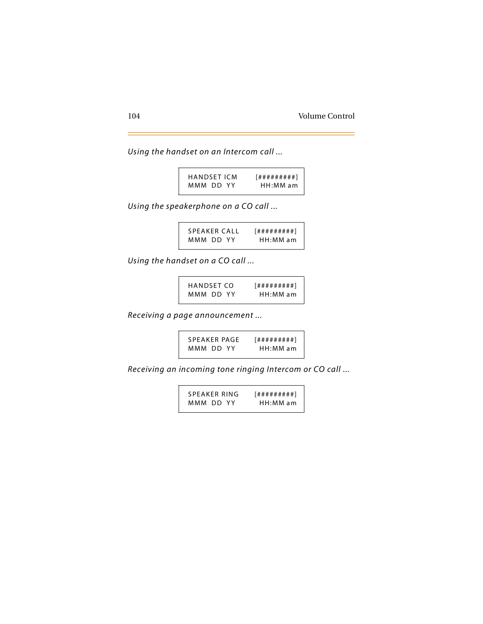*Using the handset on an Intercom call ...*

| <b>HANDSET ICM</b> | [#########] |
|--------------------|-------------|
| MMM DD YY          | HH:MM am    |

*Using the speakerphone on a CO call ...*

| SPEAKER CALL | [#########] |
|--------------|-------------|
| MMM DD YY    | HH:MM am    |

*Using the handset on a CO call ...*

| HANDSET CO | [#########] |
|------------|-------------|
| MMM DD YY  | HH:MM am    |

*Receiving a page announcement ...*

SPEAKER PAGE [#########] MMM DD YY HH:MM am

*Receiving an incoming tone ringing Intercom or CO call ...*

SPEAKER RING [#########] MMM DD YY HH:MM am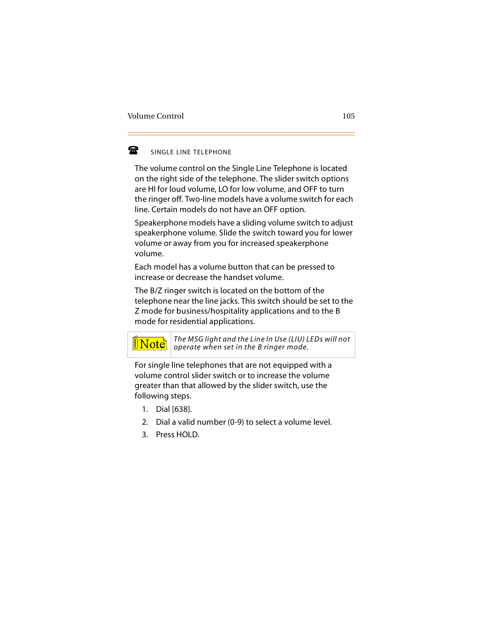#### 魯 SINGLE LINE TELEPHONE

The volume control on the Single Line Telephone is located on the right side of the telephone. The slider switch options are HI for loud volume, LO for low volume, and OFF to turn the ringer off. Two-line models have a volume switch for each line. Certain models do not have an OFF option.

Speakerphone models have a sliding volume switch to adjust speakerphone volume. Slide the switch toward you for lower volume or away from you for increased speakerphone volume.

Each model has a volume button that can be pressed to increase or decrease the handset volume.

The B/Z ringer switch is located on the bottom of the telephone near the line jacks. This switch should be set to the Z mode for business/hospitality applications and to the B mode for residential applications.



*The MSG light and the Line In Use (LIU) LEDs will not operate when set in the B ringer mode.*

For single line telephones that are not equipped with a volume control slider switch or to increase the volume greater than that allowed by the slider switch, use the following steps.

- 1. Dial [638].
- 2. Dial a valid number (0-9) to select a volume level.
- 3. Press HOLD.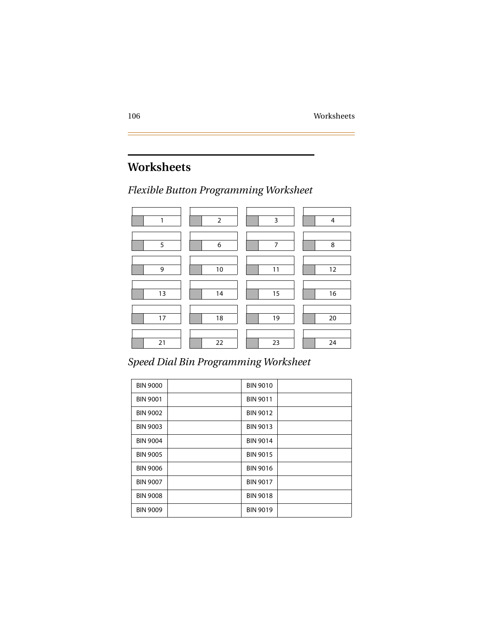# **Worksheets**

## *Flexible Button Programming Worksheet*



# *Speed Dial Bin Programming Worksheet*

| <b>BIN 9000</b> | <b>BIN 9010</b> |
|-----------------|-----------------|
| <b>BIN 9001</b> | <b>BIN 9011</b> |
| <b>BIN 9002</b> | <b>BIN 9012</b> |
| <b>BIN 9003</b> | <b>BIN 9013</b> |
| <b>BIN 9004</b> | <b>BIN 9014</b> |
| <b>BIN 9005</b> | <b>BIN 9015</b> |
| <b>BIN 9006</b> | <b>BIN 9016</b> |
| <b>BIN 9007</b> | <b>BIN 9017</b> |
| <b>BIN 9008</b> | <b>BIN 9018</b> |
| <b>BIN 9009</b> | <b>BIN 9019</b> |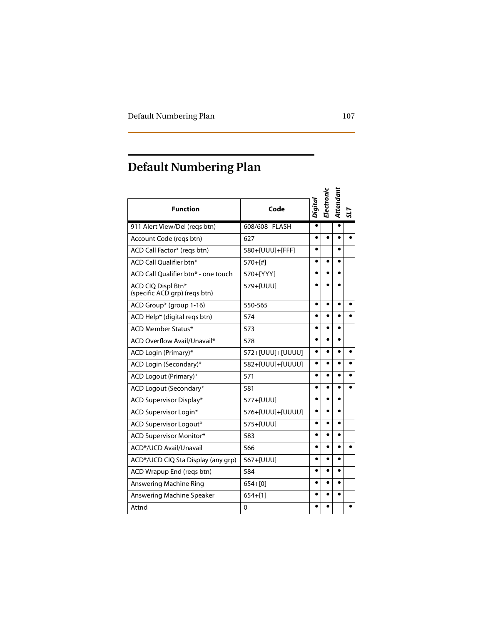# **Default Numbering Plan**

| <b>Function</b>                                     | Code             | Digital   | Electronic | Attendani |  |
|-----------------------------------------------------|------------------|-----------|------------|-----------|--|
| 911 Alert View/Del (reqs btn)                       | 608/608+FLASH    |           |            |           |  |
| Account Code (regs btn)                             | 627              |           |            |           |  |
| ACD Call Factor* (reqs btn)                         | 580+[UUU]+[FFF]  |           |            | ●         |  |
| ACD Call Oualifier btn*                             | $570+[#]$        |           |            |           |  |
| ACD Call Qualifier btn* - one touch                 | 570+[YYY]        | $\bullet$ |            | $\bullet$ |  |
| ACD CIQ Displ Btn*<br>(specific ACD grp) (regs btn) | 579+[UUU]        |           |            |           |  |
| ACD Group* (group 1-16)                             | 550-565          |           |            |           |  |
| ACD Help* (digital reqs btn)                        | 574              |           |            |           |  |
| <b>ACD Member Status*</b>                           | 573              |           |            |           |  |
| ACD Overflow Avail/Unavail*                         | 578              |           |            |           |  |
| ACD Login (Primary)*                                | 572+[UUU]+[UUUU] | $\bullet$ |            |           |  |
| ACD Login (Secondary)*                              | 582+[UUU]+[UUUU] |           |            |           |  |
| ACD Logout (Primary)*                               | 571              |           |            |           |  |
| ACD Logout (Secondary*                              | 581              |           |            |           |  |
| ACD Supervisor Display*                             | 577+[UUU]        |           |            |           |  |
| <b>ACD Supervisor Login*</b>                        | 576+[UUU]+[UUUU] |           |            |           |  |
| ACD Supervisor Logout*                              | 575+[UUU]        |           |            |           |  |
| <b>ACD Supervisor Monitor*</b>                      | 583              | $\bullet$ | $\bullet$  | $\bullet$ |  |
| ACD*/UCD Avail/Unavail                              | 566              |           |            |           |  |
| ACD*/UCD CIQ Sta Display (any grp)                  | 567+[UUU]        |           |            |           |  |
| ACD Wrapup End (regs btn)                           | 584              |           |            |           |  |
| Answering Machine Ring                              | $654 + [0]$      |           |            |           |  |
| Answering Machine Speaker                           | $654+[1]$        |           |            |           |  |
| Attnd                                               | 0                |           |            |           |  |

-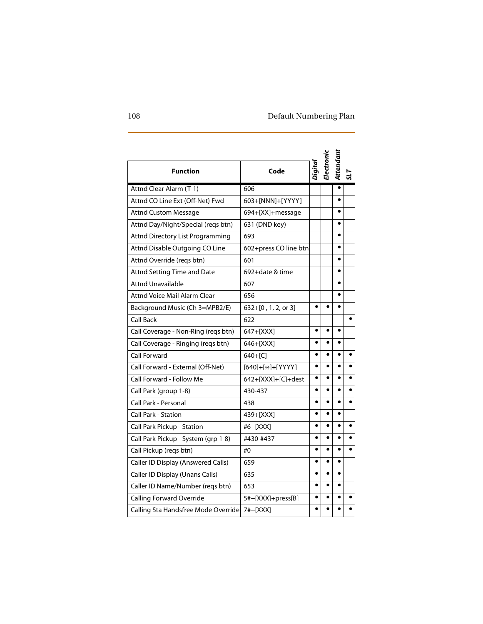$\overline{\phantom{a}}$ 

| <b>Function</b>                     | Code                  | Digital   | <b>Electronic</b> | Attendant |  |
|-------------------------------------|-----------------------|-----------|-------------------|-----------|--|
| Attnd Clear Alarm (T-1)             | 606                   |           |                   | $\bullet$ |  |
| Attnd CO Line Ext (Off-Net) Fwd     | 603+[NNN]+[YYYY]      |           |                   | $\bullet$ |  |
| <b>Attnd Custom Message</b>         | 694+[XX]+message      |           |                   | $\bullet$ |  |
| Attnd Day/Night/Special (reqs btn)  | 631 (DND key)         |           |                   | $\bullet$ |  |
| Attnd Directory List Programming    | 693                   |           |                   | $\bullet$ |  |
| Attnd Disable Outgoing CO Line      | 602+press CO line btn |           |                   | $\bullet$ |  |
| Attnd Override (reqs btn)           | 601                   |           |                   | $\bullet$ |  |
| Attnd Setting Time and Date         | 692+date & time       |           |                   |           |  |
| <b>Attnd Unavailable</b>            | 607                   |           |                   | $\bullet$ |  |
| Attnd Voice Mail Alarm Clear        | 656                   |           |                   | $\bullet$ |  |
| Background Music (Ch 3=MPB2/E)      | 632+[0, 1, 2, or 3]   | $\bullet$ | $\bullet$         | $\bullet$ |  |
| <b>Call Back</b>                    | 622                   |           |                   |           |  |
| Call Coverage - Non-Ring (reqs btn) | 647+[XXX]             | ٠         |                   |           |  |
| Call Coverage - Ringing (reqs btn)  | 646+[XXX]             | $\bullet$ |                   |           |  |
| <b>Call Forward</b>                 | $640+[C]$             |           |                   |           |  |
| Call Forward - External (Off-Net)   | [640]+[*]+[YYYY]      | $\bullet$ |                   | $\bullet$ |  |
| Call Forward - Follow Me            | 642+[XXX]+[C]+dest    | $\bullet$ | $\bullet$         | $\bullet$ |  |
| Call Park (group 1-8)               | 430-437               | ٠         |                   |           |  |
| Call Park - Personal                | 438                   |           |                   | $\bullet$ |  |
| <b>Call Park - Station</b>          | 439+[XXX]             |           |                   | $\bullet$ |  |
| Call Park Pickup - Station          | #6+[XXX]              | $\bullet$ |                   |           |  |
| Call Park Pickup - System (grp 1-8) | #430-#437             |           |                   |           |  |
| Call Pickup (reqs btn)              | #0                    | $\bullet$ |                   | $\bullet$ |  |
| Caller ID Display (Answered Calls)  | 659                   |           |                   | $\bullet$ |  |
| Caller ID Display (Unans Calls)     | 635                   |           |                   | $\bullet$ |  |
| Caller ID Name/Number (reqs btn)    | 653                   | $\bullet$ | $\bullet$         | $\bullet$ |  |
| Calling Forward Override            | 5#+[XXX]+press[B]     |           |                   |           |  |
| Calling Sta Handsfree Mode Override | 7#+[XXX]              |           |                   |           |  |

E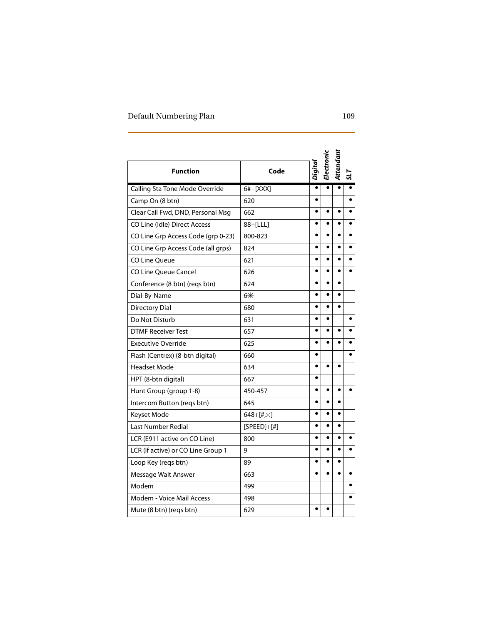$\overline{z}$ 

| <b>Function</b>                    | Code          | Digital   | Electronic | Attendant |           |
|------------------------------------|---------------|-----------|------------|-----------|-----------|
| Calling Sta Tone Mode Override     | 6#+[XXX]      |           |            |           |           |
| Camp On (8 btn)                    | 620           |           |            |           |           |
| Clear Call Fwd, DND, Personal Msg  | 662           |           |            |           |           |
| CO Line (Idle) Direct Access       | 88+[LLL]      | $\bullet$ | $\bullet$  | $\bullet$ |           |
| CO Line Grp Access Code (qrp 0-23) | 800-823       |           |            |           |           |
| CO Line Grp Access Code (all grps) | 824           | $\bullet$ | $\bullet$  | $\bullet$ |           |
| CO Line Oueue                      | 621           |           |            |           |           |
| CO Line Queue Cancel               | 626           |           |            |           |           |
| Conference (8 btn) (reqs btn)      | 624           | $\bullet$ |            |           |           |
| Dial-By-Name                       | $6*$          |           |            |           |           |
| <b>Directory Dial</b>              | 680           | $\bullet$ | ٠          | $\bullet$ |           |
| Do Not Disturb                     | 631           | $\bullet$ | $\bullet$  |           | $\bullet$ |
| <b>DTMF Receiver Test</b>          | 657           |           |            |           |           |
| <b>Executive Override</b>          | 625           |           |            |           |           |
| Flash (Centrex) (8-btn digital)    | 660           |           |            |           |           |
| <b>Headset Mode</b>                | 634           | ٠         |            | ٠         |           |
| HPT (8-btn digital)                | 667           | $\bullet$ |            |           |           |
| Hunt Group (group 1-8)             | 450-457       |           | $\bullet$  |           |           |
| Intercom Button (regs btn)         | 645           |           |            |           |           |
| Keyset Mode                        | $648+[#,*)$   |           |            |           |           |
| Last Number Redial                 | $[SPEED]+[#]$ |           |            |           |           |
| LCR (E911 active on CO Line)       | 800           |           |            |           |           |
| LCR (if active) or CO Line Group 1 | 9             | ٠         | $\bullet$  | ٠         |           |
| Loop Key (reqs btn)                | 89            |           |            |           |           |
| Message Wait Answer                | 663           |           |            |           |           |
| Modem                              | 499           |           |            |           |           |
| Modem - Voice Mail Access          | 498           |           |            |           |           |
| Mute (8 btn) (regs btn)            | 629           |           |            |           |           |

 $\overline{\phantom{0}}$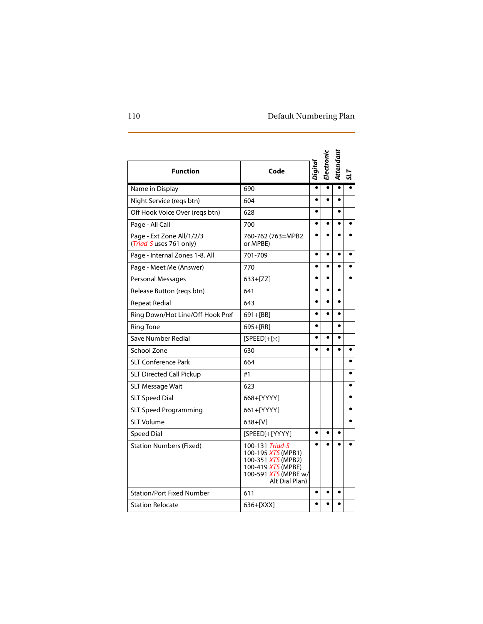$\overline{\phantom{a}}$ 

| <b>Function</b>                                      | Code                                                                                                                        | Digital   | Electronic | Attendani |  |
|------------------------------------------------------|-----------------------------------------------------------------------------------------------------------------------------|-----------|------------|-----------|--|
| Name in Display                                      | 690                                                                                                                         |           |            |           |  |
| Night Service (reqs btn)                             | 604                                                                                                                         |           |            |           |  |
| Off Hook Voice Over (regs btn)                       | 628                                                                                                                         |           |            |           |  |
| Page - All Call                                      | 700                                                                                                                         |           |            |           |  |
| Page - Ext Zone All/1/2/3<br>(Triad-S uses 761 only) | 760-762 (763=MPB2<br>or MPBE)                                                                                               |           |            |           |  |
| Page - Internal Zones 1-8, All                       | 701-709                                                                                                                     | $\bullet$ |            |           |  |
| Page - Meet Me (Answer)                              | 770                                                                                                                         | $\bullet$ | $\bullet$  |           |  |
| Personal Messages                                    | $633 + [ZZ]$                                                                                                                | $\bullet$ | $\bullet$  |           |  |
| Release Button (regs btn)                            | 641                                                                                                                         | $\bullet$ |            |           |  |
| <b>Repeat Redial</b>                                 | 643                                                                                                                         | $\bullet$ |            | $\bullet$ |  |
| Ring Down/Hot Line/Off-Hook Pref                     | $691 + [BB]$                                                                                                                |           |            |           |  |
| <b>Ring Tone</b>                                     | 695+[RR]                                                                                                                    | $\bullet$ |            |           |  |
| Save Number Redial                                   | $[SPEED]+[*]$                                                                                                               |           |            |           |  |
| School Zone                                          | 630                                                                                                                         |           |            |           |  |
| <b>SLT Conference Park</b>                           | 664                                                                                                                         |           |            |           |  |
| <b>SLT Directed Call Pickup</b>                      | #1                                                                                                                          |           |            |           |  |
| <b>SLT Message Wait</b>                              | 623                                                                                                                         |           |            |           |  |
| <b>SLT Speed Dial</b>                                | 668+[YYYY]                                                                                                                  |           |            |           |  |
| <b>SLT Speed Programming</b>                         | 661+[YYYY]                                                                                                                  |           |            |           |  |
| SLT Volume                                           | $638 + [V]$                                                                                                                 |           |            |           |  |
| <b>Speed Dial</b>                                    | [SPEED]+[YYYY]                                                                                                              | $\bullet$ | $\bullet$  |           |  |
| <b>Station Numbers (Fixed)</b>                       | 100-131 Triad-S<br>100-195 XTS (MPB1)<br>100-351 XTS (MPB2)<br>100-419 XTS (MPBE)<br>100-591 XTS (MPBE w/<br>Alt Dial Plan) |           |            |           |  |
| <b>Station/Port Fixed Number</b>                     | 611                                                                                                                         | ٠         |            |           |  |
| <b>Station Relocate</b>                              | $636 + [XXX]$                                                                                                               |           |            |           |  |

d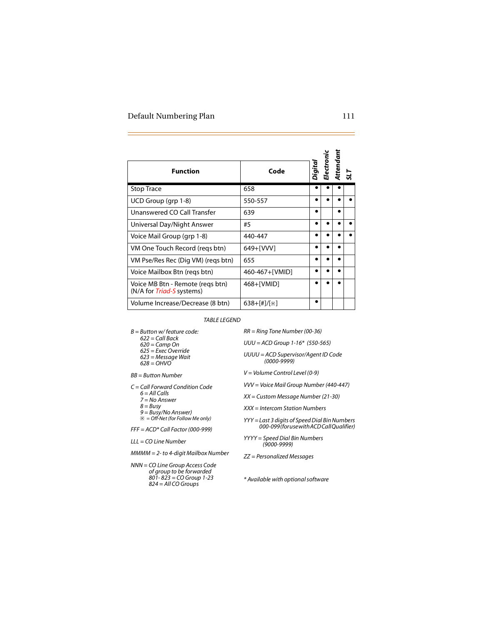| <b>Function</b>                                                                                                                     | Code                                                                                                                           | igita.    | lectronio | Attendan | 51 |  |
|-------------------------------------------------------------------------------------------------------------------------------------|--------------------------------------------------------------------------------------------------------------------------------|-----------|-----------|----------|----|--|
| <b>Stop Trace</b>                                                                                                                   | 658                                                                                                                            |           |           |          |    |  |
| UCD Group (grp 1-8)                                                                                                                 | 550-557                                                                                                                        | $\bullet$ |           |          |    |  |
| Unanswered CO Call Transfer                                                                                                         | 639                                                                                                                            | ٠         |           | ٠        |    |  |
| Universal Day/Night Answer                                                                                                          | #5                                                                                                                             |           | ٠         |          |    |  |
| Voice Mail Group (grp 1-8)                                                                                                          | 440-447                                                                                                                        | $\bullet$ | $\bullet$ |          |    |  |
| VM One Touch Record (reqs btn)                                                                                                      | 649+[VVV]                                                                                                                      |           |           |          |    |  |
| VM Pse/Res Rec (Dig VM) (regs btn)                                                                                                  | 655                                                                                                                            |           |           |          |    |  |
| Voice Mailbox Btn (regs btn)                                                                                                        | 460-467+[VMID]                                                                                                                 |           |           |          |    |  |
| Voice MB Btn - Remote (regs btn)<br>(N/A for Triad-S systems)                                                                       | 468+[VMID]                                                                                                                     |           |           |          |    |  |
| Volume Increase/Decrease (8 btn)                                                                                                    | $638 + [#]/[*]$                                                                                                                | $\bullet$ |           |          |    |  |
| <b>TABLE LEGEND</b>                                                                                                                 |                                                                                                                                |           |           |          |    |  |
| $B =$ Button w/feature code:<br>$622 =$ Call Back<br>$620 = Camp On$<br>$625$ = Exec Override<br>623 = Message Wait<br>$628 = OHVO$ | $RR = Ring$ Tone Number (00-36)<br>$UUU = ACD$ Group 1-16* (550-565)<br>UUUU = ACD Supervisor/Agent ID Code<br>$(0000 - 9999)$ |           |           |          |    |  |
| $BB = Butteron Number$                                                                                                              | V = Volume Control Level (0-9)                                                                                                 |           |           |          |    |  |
| $C =$ Call Forward Condition Code<br>$6 = AllCalls$<br>7 = No Answer<br>$8 = Busv$<br>$9 = \frac{Bus}{V}$ No Answer)                | VVV = Voice Mail Group Number (440-447)<br>XX = Custom Message Number (21-30)<br>XXX = Intercom Station Numbers                |           |           |          |    |  |
| $* =$ Off-Net (for Follow Me only)<br>$FFF = ACD*Call Factor (000-999)$                                                             | YYY = Last 3 digits of Speed Dial Bin Numbers<br>000-099 (for use with ACD Call Oualifier)                                     |           |           |          |    |  |
| $LL = CO$ Line Number<br>$MMMM = 2$ - to 4-digit Mailbox Number                                                                     | YYYY = Speed Dial Bin Numbers<br>(9000-9999)                                                                                   |           |           |          |    |  |
| NNN = CO Line Group Access Code<br>of group to be forwarded<br>801-823 = CO Group 1-23                                              | ZZ = Personalized Messages<br>* Available with optional software                                                               |           |           |          |    |  |

- *6 = All Calls*
- *7 = No Answer*
- *8 = Busy*
- *9 = Busy/No Answer) = Off-Net (for Follow Me only)*

*NNN = CO Line Group Access Code of group to be forwarded 801- 823 = CO Group 1-23 824 = All CO Groups*